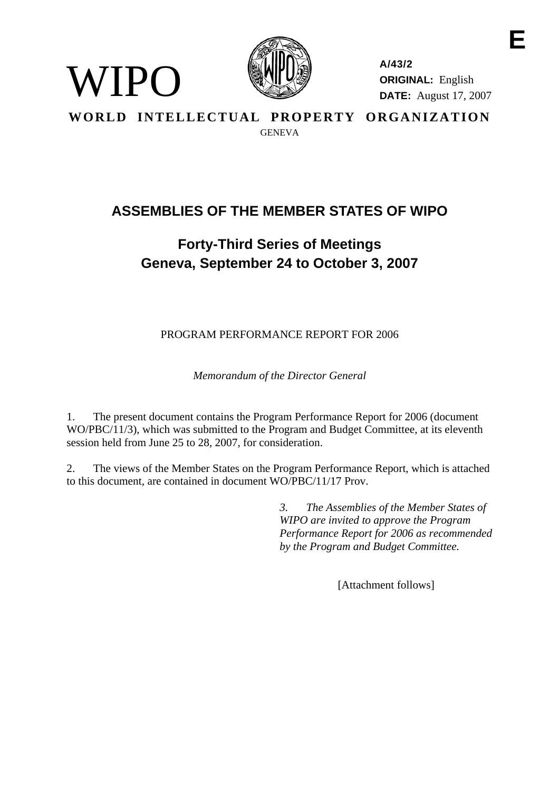

WIPO

**A/43/2 ORIGINAL:** English **DATE:** August 17, 2007 **E** 

**WORLD INTELLECTUAL PROPERTY ORGANIZATION GENEVA** 

# **ASSEMBLIES OF THE MEMBER STATES OF WIPO**

# **Forty-Third Series of Meetings Geneva, September 24 to October 3, 2007**

PROGRAM PERFORMANCE REPORT FOR 2006

*Memorandum of the Director General* 

1. The present document contains the Program Performance Report for 2006 (document WO/PBC/11/3), which was submitted to the Program and Budget Committee, at its eleventh session held from June 25 to 28, 2007, for consideration.

2. The views of the Member States on the Program Performance Report, which is attached to this document, are contained in document WO/PBC/11/17 Prov.

> *3. The Assemblies of the Member States of WIPO are invited to approve the Program Performance Report for 2006 as recommended by the Program and Budget Committee.*

> > [Attachment follows]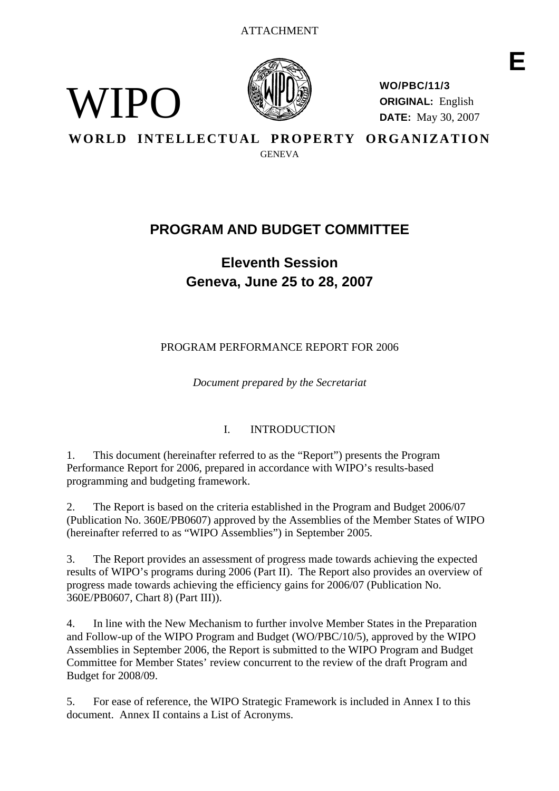

<span id="page-1-0"></span>WIPO)

**WO/PBC/11/3 ORIGINAL:** English **DATE:** May 30, 2007

**WORLD INTELLECTUAL PROPERTY ORGANIZATION** 

**GENEVA** 

# **PROGRAM AND BUDGET COMMITTEE**

**Eleventh Session Geneva, June 25 to 28, 2007** 

PROGRAM PERFORMANCE REPORT FOR 2006

*Document prepared by the Secretariat* 

# I. INTRODUCTION

1. This document (hereinafter referred to as the "Report") presents the Program Performance Report for 2006, prepared in accordance with WIPO's results-based programming and budgeting framework.

2. The Report is based on the criteria established in the Program and Budget 2006/07 (Publication No. 360E/PB0607) approved by the Assemblies of the Member States of WIPO (hereinafter referred to as "WIPO Assemblies") in September 2005.

3. The Report provides an assessment of progress made towards achieving the expected results of WIPO's programs during 2006 (Part II). The Report also provides an overview of progress made towards achieving the efficiency gains for 2006/07 (Publication No. 360E/PB0607, Chart 8) (Part III)).

4. In line with the New Mechanism to further involve Member States in the Preparation and Follow-up of the WIPO Program and Budget (WO/PBC/10/5), approved by the WIPO Assemblies in September 2006, the Report is submitted to the WIPO Program and Budget Committee for Member States' review concurrent to the review of the draft Program and Budget for 2008/09.

5. For ease of reference, the WIPO Strategic Framework is included in Annex I to this document. Annex II contains a List of Acronyms.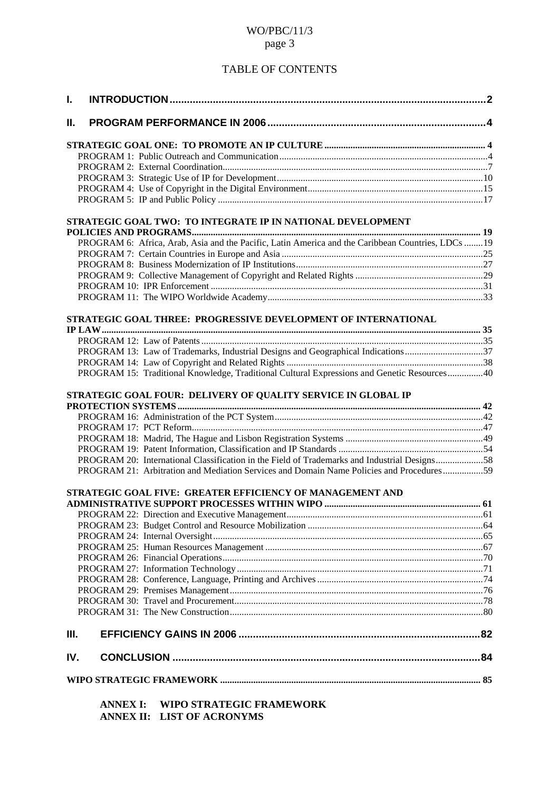# TABLE OF CONTENTS

| L.   |                                                                                                    |  |
|------|----------------------------------------------------------------------------------------------------|--|
| Ш.   |                                                                                                    |  |
|      |                                                                                                    |  |
|      |                                                                                                    |  |
|      |                                                                                                    |  |
|      |                                                                                                    |  |
|      |                                                                                                    |  |
|      |                                                                                                    |  |
|      | STRATEGIC GOAL TWO: TO INTEGRATE IP IN NATIONAL DEVELOPMENT                                        |  |
|      |                                                                                                    |  |
|      | PROGRAM 6: Africa, Arab, Asia and the Pacific, Latin America and the Caribbean Countries, LDCs  19 |  |
|      |                                                                                                    |  |
|      |                                                                                                    |  |
|      |                                                                                                    |  |
|      |                                                                                                    |  |
|      |                                                                                                    |  |
|      | STRATEGIC GOAL THREE: PROGRESSIVE DEVELOPMENT OF INTERNATIONAL                                     |  |
|      |                                                                                                    |  |
|      |                                                                                                    |  |
|      | PROGRAM 13: Law of Trademarks, Industrial Designs and Geographical Indications37                   |  |
|      |                                                                                                    |  |
|      | PROGRAM 15: Traditional Knowledge, Traditional Cultural Expressions and Genetic Resources40        |  |
|      | STRATEGIC GOAL FOUR: DELIVERY OF QUALITY SERVICE IN GLOBAL IP                                      |  |
|      |                                                                                                    |  |
|      |                                                                                                    |  |
|      |                                                                                                    |  |
|      |                                                                                                    |  |
|      |                                                                                                    |  |
|      | PROGRAM 20: International Classification in the Field of Trademarks and Industrial Designs58       |  |
|      | PROGRAM 21: Arbitration and Mediation Services and Domain Name Policies and Procedures59           |  |
|      | STRATEGIC GOAL FIVE: GREATER EFFICIENCY OF MANAGEMENT AND                                          |  |
|      |                                                                                                    |  |
|      |                                                                                                    |  |
|      |                                                                                                    |  |
|      |                                                                                                    |  |
|      |                                                                                                    |  |
|      |                                                                                                    |  |
|      |                                                                                                    |  |
|      |                                                                                                    |  |
|      |                                                                                                    |  |
|      |                                                                                                    |  |
|      |                                                                                                    |  |
| III. |                                                                                                    |  |
| IV.  |                                                                                                    |  |
|      |                                                                                                    |  |
|      | WIPO STRATEGIC FRAMEWORK<br><b>ANNEX I:</b>                                                        |  |

 **ANNEX II: LIST OF ACRONYMS**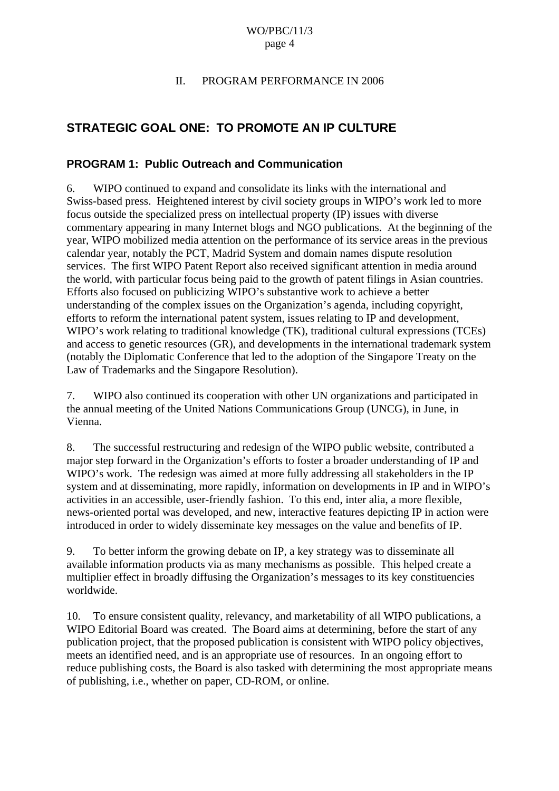#### II. PROGRAM PERFORMANCE IN 2006

# <span id="page-3-0"></span>**STRATEGIC GOAL ONE: TO PROMOTE AN IP CULTURE**

### **PROGRAM 1: Public Outreach and Communication**

6. WIPO continued to expand and consolidate its links with the international and Swiss-based press. Heightened interest by civil society groups in WIPO's work led to more focus outside the specialized press on intellectual property (IP) issues with diverse commentary appearing in many Internet blogs and NGO publications. At the beginning of the year, WIPO mobilized media attention on the performance of its service areas in the previous calendar year, notably the PCT, Madrid System and domain names dispute resolution services. The first WIPO Patent Report also received significant attention in media around the world, with particular focus being paid to the growth of patent filings in Asian countries. Efforts also focused on publicizing WIPO's substantive work to achieve a better understanding of the complex issues on the Organization's agenda, including copyright, efforts to reform the international patent system, issues relating to IP and development, WIPO's work relating to traditional knowledge (TK), traditional cultural expressions (TCEs) and access to genetic resources (GR), and developments in the international trademark system (notably the Diplomatic Conference that led to the adoption of the Singapore Treaty on the Law of Trademarks and the Singapore Resolution).

7. WIPO also continued its cooperation with other UN organizations and participated in the annual meeting of the United Nations Communications Group (UNCG), in June, in Vienna.

8. The successful restructuring and redesign of the WIPO public website, contributed a major step forward in the Organization's efforts to foster a broader understanding of IP and WIPO's work. The redesign was aimed at more fully addressing all stakeholders in the IP system and at disseminating, more rapidly, information on developments in IP and in WIPO's activities in an accessible, user-friendly fashion. To this end, inter alia, a more flexible, news-oriented portal was developed, and new, interactive features depicting IP in action were introduced in order to widely disseminate key messages on the value and benefits of IP.

9. To better inform the growing debate on IP, a key strategy was to disseminate all available information products via as many mechanisms as possible. This helped create a multiplier effect in broadly diffusing the Organization's messages to its key constituencies worldwide.

10. To ensure consistent quality, relevancy, and marketability of all WIPO publications, a WIPO Editorial Board was created. The Board aims at determining, before the start of any publication project, that the proposed publication is consistent with WIPO policy objectives, meets an identified need, and is an appropriate use of resources. In an ongoing effort to reduce publishing costs, the Board is also tasked with determining the most appropriate means of publishing, i.e., whether on paper, CD-ROM, or online.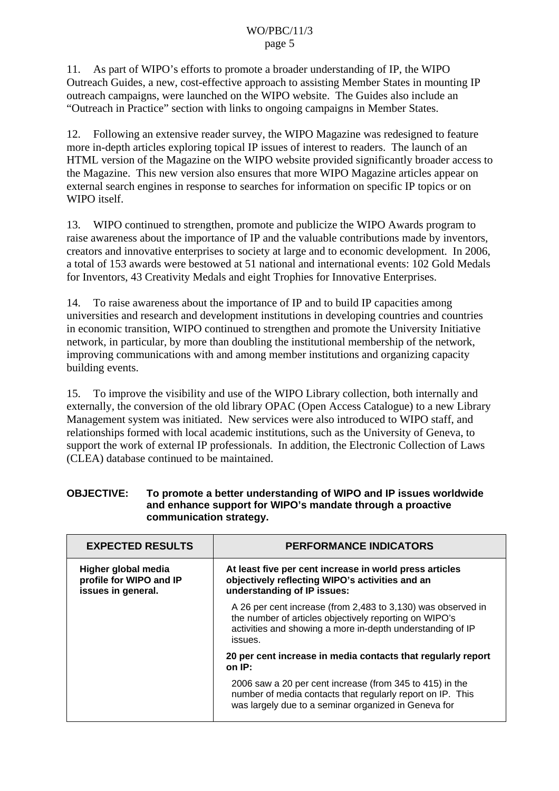11. As part of WIPO's efforts to promote a broader understanding of IP, the WIPO Outreach Guides, a new, cost-effective approach to assisting Member States in mounting IP outreach campaigns, were launched on the WIPO website. The Guides also include an "Outreach in Practice" section with links to ongoing campaigns in Member States.

12. Following an extensive reader survey, the WIPO Magazine was redesigned to feature more in-depth articles exploring topical IP issues of interest to readers. The launch of an HTML version of the Magazine on the WIPO website provided significantly broader access to the Magazine. This new version also ensures that more WIPO Magazine articles appear on external search engines in response to searches for information on specific IP topics or on WIPO itself.

13. WIPO continued to strengthen, promote and publicize the WIPO Awards program to raise awareness about the importance of IP and the valuable contributions made by inventors, creators and innovative enterprises to society at large and to economic development. In 2006, a total of 153 awards were bestowed at 51 national and international events: 102 Gold Medals for Inventors, 43 Creativity Medals and eight Trophies for Innovative Enterprises.

14. To raise awareness about the importance of IP and to build IP capacities among universities and research and development institutions in developing countries and countries in economic transition, WIPO continued to strengthen and promote the University Initiative network, in particular, by more than doubling the institutional membership of the network, improving communications with and among member institutions and organizing capacity building events.

15. To improve the visibility and use of the WIPO Library collection, both internally and externally, the conversion of the old library OPAC (Open Access Catalogue) to a new Library Management system was initiated. New services were also introduced to WIPO staff, and relationships formed with local academic institutions, such as the University of Geneva, to support the work of external IP professionals. In addition, the Electronic Collection of Laws (CLEA) database continued to be maintained.

| <b>OBJECTIVE:</b> | To promote a better understanding of WIPO and IP issues worldwide |
|-------------------|-------------------------------------------------------------------|
|                   | and enhance support for WIPO's mandate through a proactive        |
|                   | communication strategy.                                           |

| <b>EXPECTED RESULTS</b>                                              | <b>PERFORMANCE INDICATORS</b>                                                                                                                                                                   |
|----------------------------------------------------------------------|-------------------------------------------------------------------------------------------------------------------------------------------------------------------------------------------------|
| Higher global media<br>profile for WIPO and IP<br>issues in general. | At least five per cent increase in world press articles<br>objectively reflecting WIPO's activities and an<br>understanding of IP issues:                                                       |
|                                                                      | A 26 per cent increase (from 2,483 to 3,130) was observed in<br>the number of articles objectively reporting on WIPO's<br>activities and showing a more in-depth understanding of IP<br>issues. |
|                                                                      | 20 per cent increase in media contacts that regularly report<br>on IP:                                                                                                                          |
|                                                                      | 2006 saw a 20 per cent increase (from 345 to 415) in the<br>number of media contacts that regularly report on IP. This<br>was largely due to a seminar organized in Geneva for                  |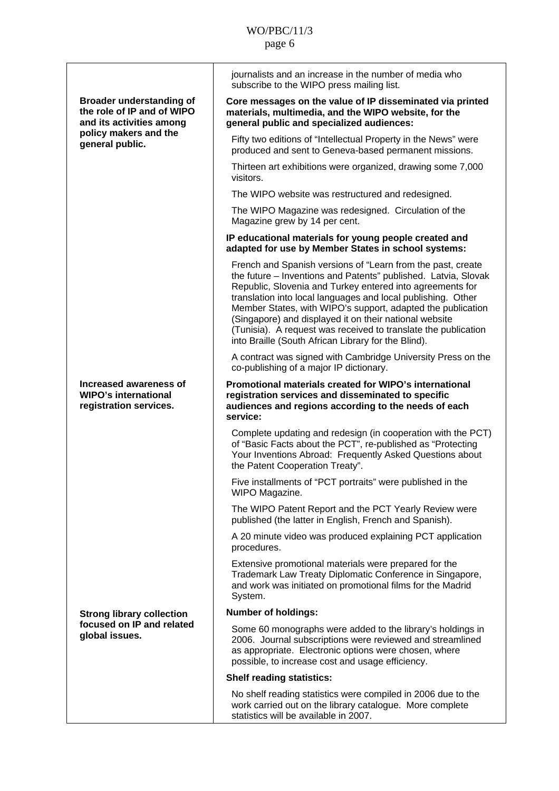|                                                                                           | journalists and an increase in the number of media who<br>subscribe to the WIPO press mailing list.                                                                                                                                                                                                                                                                                                                                                                                                          |
|-------------------------------------------------------------------------------------------|--------------------------------------------------------------------------------------------------------------------------------------------------------------------------------------------------------------------------------------------------------------------------------------------------------------------------------------------------------------------------------------------------------------------------------------------------------------------------------------------------------------|
| <b>Broader understanding of</b><br>the role of IP and of WIPO<br>and its activities among | Core messages on the value of IP disseminated via printed<br>materials, multimedia, and the WIPO website, for the<br>general public and specialized audiences:                                                                                                                                                                                                                                                                                                                                               |
| policy makers and the<br>general public.                                                  | Fifty two editions of "Intellectual Property in the News" were<br>produced and sent to Geneva-based permanent missions.                                                                                                                                                                                                                                                                                                                                                                                      |
|                                                                                           | Thirteen art exhibitions were organized, drawing some 7,000<br>visitors.                                                                                                                                                                                                                                                                                                                                                                                                                                     |
|                                                                                           | The WIPO website was restructured and redesigned.                                                                                                                                                                                                                                                                                                                                                                                                                                                            |
|                                                                                           | The WIPO Magazine was redesigned. Circulation of the<br>Magazine grew by 14 per cent.                                                                                                                                                                                                                                                                                                                                                                                                                        |
|                                                                                           | IP educational materials for young people created and<br>adapted for use by Member States in school systems:                                                                                                                                                                                                                                                                                                                                                                                                 |
|                                                                                           | French and Spanish versions of "Learn from the past, create<br>the future - Inventions and Patents" published. Latvia, Slovak<br>Republic, Slovenia and Turkey entered into agreements for<br>translation into local languages and local publishing. Other<br>Member States, with WIPO's support, adapted the publication<br>(Singapore) and displayed it on their national website<br>(Tunisia). A request was received to translate the publication<br>into Braille (South African Library for the Blind). |
|                                                                                           | A contract was signed with Cambridge University Press on the<br>co-publishing of a major IP dictionary.                                                                                                                                                                                                                                                                                                                                                                                                      |
| Increased awareness of<br><b>WIPO's international</b><br>registration services.           | Promotional materials created for WIPO's international<br>registration services and disseminated to specific<br>audiences and regions according to the needs of each<br>service:                                                                                                                                                                                                                                                                                                                             |
|                                                                                           | Complete updating and redesign (in cooperation with the PCT)<br>of "Basic Facts about the PCT", re-published as "Protecting<br>Your Inventions Abroad: Frequently Asked Questions about<br>the Patent Cooperation Treaty".                                                                                                                                                                                                                                                                                   |
|                                                                                           | Five installments of "PCT portraits" were published in the<br>WIPO Magazine.                                                                                                                                                                                                                                                                                                                                                                                                                                 |
|                                                                                           | The WIPO Patent Report and the PCT Yearly Review were<br>published (the latter in English, French and Spanish).                                                                                                                                                                                                                                                                                                                                                                                              |
|                                                                                           | A 20 minute video was produced explaining PCT application<br>procedures.                                                                                                                                                                                                                                                                                                                                                                                                                                     |
|                                                                                           | Extensive promotional materials were prepared for the<br>Trademark Law Treaty Diplomatic Conference in Singapore,<br>and work was initiated on promotional films for the Madrid<br>System.                                                                                                                                                                                                                                                                                                                   |
| <b>Strong library collection</b>                                                          | <b>Number of holdings:</b>                                                                                                                                                                                                                                                                                                                                                                                                                                                                                   |
| focused on IP and related<br>global issues.                                               | Some 60 monographs were added to the library's holdings in<br>2006. Journal subscriptions were reviewed and streamlined<br>as appropriate. Electronic options were chosen, where<br>possible, to increase cost and usage efficiency.                                                                                                                                                                                                                                                                         |
|                                                                                           | <b>Shelf reading statistics:</b>                                                                                                                                                                                                                                                                                                                                                                                                                                                                             |
|                                                                                           | No shelf reading statistics were compiled in 2006 due to the<br>work carried out on the library catalogue. More complete<br>statistics will be available in 2007.                                                                                                                                                                                                                                                                                                                                            |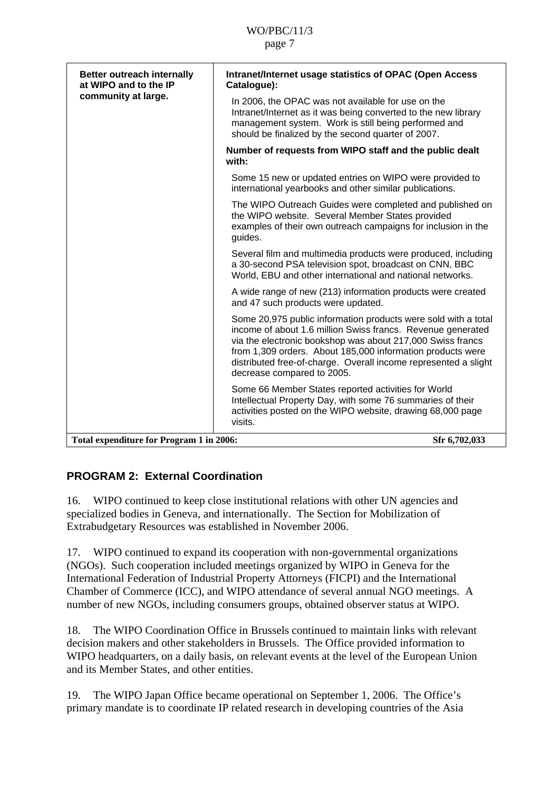<span id="page-6-0"></span>

| <b>Better outreach internally</b><br>at WIPO and to the IP | Intranet/Internet usage statistics of OPAC (Open Access<br>Catalogue):                                                                                                                                                                                                                                                                                     |
|------------------------------------------------------------|------------------------------------------------------------------------------------------------------------------------------------------------------------------------------------------------------------------------------------------------------------------------------------------------------------------------------------------------------------|
| community at large.                                        | In 2006, the OPAC was not available for use on the<br>Intranet/Internet as it was being converted to the new library<br>management system. Work is still being performed and<br>should be finalized by the second quarter of 2007.                                                                                                                         |
|                                                            | Number of requests from WIPO staff and the public dealt<br>with:                                                                                                                                                                                                                                                                                           |
|                                                            | Some 15 new or updated entries on WIPO were provided to<br>international yearbooks and other similar publications.                                                                                                                                                                                                                                         |
|                                                            | The WIPO Outreach Guides were completed and published on<br>the WIPO website. Several Member States provided<br>examples of their own outreach campaigns for inclusion in the<br>guides.                                                                                                                                                                   |
|                                                            | Several film and multimedia products were produced, including<br>a 30-second PSA television spot, broadcast on CNN, BBC<br>World, EBU and other international and national networks.                                                                                                                                                                       |
|                                                            | A wide range of new (213) information products were created<br>and 47 such products were updated.                                                                                                                                                                                                                                                          |
|                                                            | Some 20,975 public information products were sold with a total<br>income of about 1.6 million Swiss francs. Revenue generated<br>via the electronic bookshop was about 217,000 Swiss francs<br>from 1,309 orders. About 185,000 information products were<br>distributed free-of-charge. Overall income represented a slight<br>decrease compared to 2005. |
|                                                            | Some 66 Member States reported activities for World<br>Intellectual Property Day, with some 76 summaries of their<br>activities posted on the WIPO website, drawing 68,000 page<br>visits.                                                                                                                                                                 |
| Total expenditure for Program 1 in 2006:                   | Sfr 6,702,033                                                                                                                                                                                                                                                                                                                                              |

# **PROGRAM 2: External Coordination**

16. WIPO continued to keep close institutional relations with other UN agencies and specialized bodies in Geneva, and internationally. The Section for Mobilization of Extrabudgetary Resources was established in November 2006.

17. WIPO continued to expand its cooperation with non-governmental organizations (NGOs). Such cooperation included meetings organized by WIPO in Geneva for the International Federation of Industrial Property Attorneys (FICPI) and the International Chamber of Commerce (ICC), and WIPO attendance of several annual NGO meetings. A number of new NGOs, including consumers groups, obtained observer status at WIPO.

18. The WIPO Coordination Office in Brussels continued to maintain links with relevant decision makers and other stakeholders in Brussels. The Office provided information to WIPO headquarters, on a daily basis, on relevant events at the level of the European Union and its Member States, and other entities.

19. The WIPO Japan Office became operational on September 1, 2006. The Office's primary mandate is to coordinate IP related research in developing countries of the Asia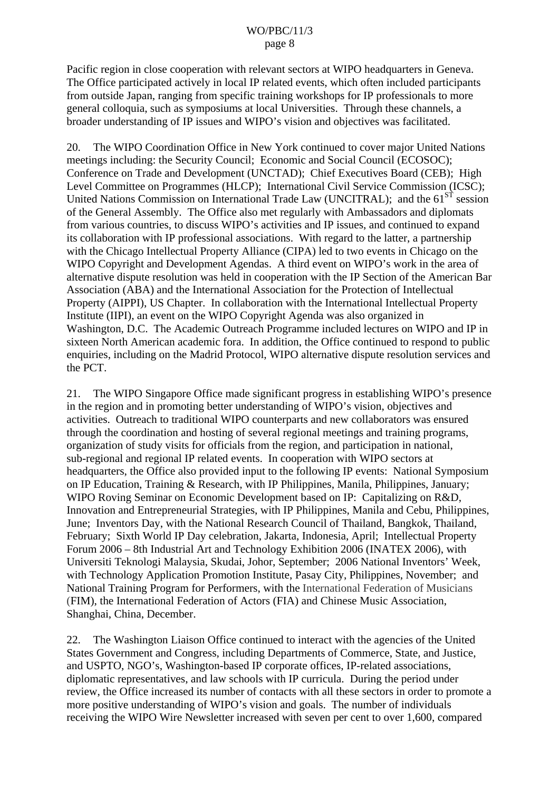Pacific region in close cooperation with relevant sectors at WIPO headquarters in Geneva. The Office participated actively in local IP related events, which often included participants from outside Japan, ranging from specific training workshops for IP professionals to more general colloquia, such as symposiums at local Universities. Through these channels, a broader understanding of IP issues and WIPO's vision and objectives was facilitated.

20. The WIPO Coordination Office in New York continued to cover major United Nations meetings including: the Security Council; Economic and Social Council (ECOSOC); Conference on Trade and Development (UNCTAD); Chief Executives Board (CEB); High Level Committee on Programmes (HLCP); International Civil Service Commission (ICSC); United Nations Commission on International Trade Law (UNCITRAL); and the  $61<sup>ST</sup>$  session of the General Assembly. The Office also met regularly with Ambassadors and diplomats from various countries, to discuss WIPO's activities and IP issues, and continued to expand its collaboration with IP professional associations. With regard to the latter, a partnership with the Chicago Intellectual Property Alliance (CIPA) led to two events in Chicago on the WIPO Copyright and Development Agendas. A third event on WIPO's work in the area of alternative dispute resolution was held in cooperation with the IP Section of the American Bar Association (ABA) and the International Association for the Protection of Intellectual Property (AIPPI), US Chapter. In collaboration with the International Intellectual Property Institute (IIPI), an event on the WIPO Copyright Agenda was also organized in Washington, D.C. The Academic Outreach Programme included lectures on WIPO and IP in sixteen North American academic fora. In addition, the Office continued to respond to public enquiries, including on the Madrid Protocol, WIPO alternative dispute resolution services and the PCT.

21. The WIPO Singapore Office made significant progress in establishing WIPO's presence in the region and in promoting better understanding of WIPO's vision, objectives and activities. Outreach to traditional WIPO counterparts and new collaborators was ensured through the coordination and hosting of several regional meetings and training programs, organization of study visits for officials from the region, and participation in national, sub-regional and regional IP related events. In cooperation with WIPO sectors at headquarters, the Office also provided input to the following IP events: National Symposium on IP Education, Training & Research, with IP Philippines, Manila, Philippines, January; WIPO Roving Seminar on Economic Development based on IP: Capitalizing on R&D, Innovation and Entrepreneurial Strategies, with IP Philippines, Manila and Cebu, Philippines, June; Inventors Day, with the National Research Council of Thailand, Bangkok, Thailand, February; Sixth World IP Day celebration, Jakarta, Indonesia, April; Intellectual Property Forum 2006 – 8th Industrial Art and Technology Exhibition 2006 (INATEX 2006), with Universiti Teknologi Malaysia, Skudai, Johor, September; 2006 National Inventors' Week, with Technology Application Promotion Institute, Pasay City, Philippines, November; and National Training Program for Performers, with the International Federation of Musicians (FIM), the International Federation of Actors (FIA) and Chinese Music Association, Shanghai, China, December.

22. The Washington Liaison Office continued to interact with the agencies of the United States Government and Congress, including Departments of Commerce, State, and Justice, and USPTO, NGO's, Washington-based IP corporate offices, IP-related associations, diplomatic representatives, and law schools with IP curricula. During the period under review, the Office increased its number of contacts with all these sectors in order to promote a more positive understanding of WIPO's vision and goals. The number of individuals receiving the WIPO Wire Newsletter increased with seven per cent to over 1,600, compared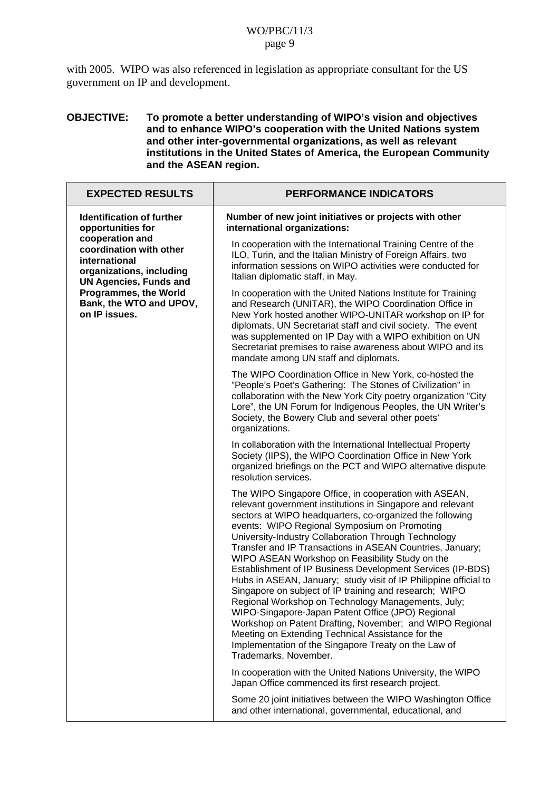with 2005. WIPO was also referenced in legislation as appropriate consultant for the US government on IP and development.

#### **OBJECTIVE: To promote a better understanding of WIPO's vision and objectives and to enhance WIPO's cooperation with the United Nations system and other inter-governmental organizations, as well as relevant institutions in the United States of America, the European Community and the ASEAN region.**

| <b>EXPECTED RESULTS</b>                                                                                                  | <b>PERFORMANCE INDICATORS</b>                                                                                                                                                                                                                                                                                                                                                                                                                                                                                                                                                                                                                                                                                                                                                                                                                                                                                    |
|--------------------------------------------------------------------------------------------------------------------------|------------------------------------------------------------------------------------------------------------------------------------------------------------------------------------------------------------------------------------------------------------------------------------------------------------------------------------------------------------------------------------------------------------------------------------------------------------------------------------------------------------------------------------------------------------------------------------------------------------------------------------------------------------------------------------------------------------------------------------------------------------------------------------------------------------------------------------------------------------------------------------------------------------------|
| <b>Identification of further</b><br>opportunities for                                                                    | Number of new joint initiatives or projects with other<br>international organizations:                                                                                                                                                                                                                                                                                                                                                                                                                                                                                                                                                                                                                                                                                                                                                                                                                           |
| cooperation and<br>coordination with other<br>international<br>organizations, including<br><b>UN Agencies, Funds and</b> | In cooperation with the International Training Centre of the<br>ILO, Turin, and the Italian Ministry of Foreign Affairs, two<br>information sessions on WIPO activities were conducted for<br>Italian diplomatic staff, in May.                                                                                                                                                                                                                                                                                                                                                                                                                                                                                                                                                                                                                                                                                  |
| <b>Programmes, the World</b><br>Bank, the WTO and UPOV,<br>on IP issues.                                                 | In cooperation with the United Nations Institute for Training<br>and Research (UNITAR), the WIPO Coordination Office in<br>New York hosted another WIPO-UNITAR workshop on IP for<br>diplomats, UN Secretariat staff and civil society. The event<br>was supplemented on IP Day with a WIPO exhibition on UN<br>Secretariat premises to raise awareness about WIPO and its<br>mandate among UN staff and diplomats.                                                                                                                                                                                                                                                                                                                                                                                                                                                                                              |
|                                                                                                                          | The WIPO Coordination Office in New York, co-hosted the<br>"People's Poet's Gathering: The Stones of Civilization" in<br>collaboration with the New York City poetry organization "City<br>Lore", the UN Forum for Indigenous Peoples, the UN Writer's<br>Society, the Bowery Club and several other poets'<br>organizations.                                                                                                                                                                                                                                                                                                                                                                                                                                                                                                                                                                                    |
|                                                                                                                          | In collaboration with the International Intellectual Property<br>Society (IIPS), the WIPO Coordination Office in New York<br>organized briefings on the PCT and WIPO alternative dispute<br>resolution services.                                                                                                                                                                                                                                                                                                                                                                                                                                                                                                                                                                                                                                                                                                 |
|                                                                                                                          | The WIPO Singapore Office, in cooperation with ASEAN,<br>relevant government institutions in Singapore and relevant<br>sectors at WIPO headquarters, co-organized the following<br>events: WIPO Regional Symposium on Promoting<br>University-Industry Collaboration Through Technology<br>Transfer and IP Transactions in ASEAN Countries, January;<br>WIPO ASEAN Workshop on Feasibility Study on the<br>Establishment of IP Business Development Services (IP-BDS)<br>Hubs in ASEAN, January; study visit of IP Philippine official to<br>Singapore on subject of IP training and research; WIPO<br>Regional Workshop on Technology Managements, July;<br>WIPO-Singapore-Japan Patent Office (JPO) Regional<br>Workshop on Patent Drafting, November; and WIPO Regional<br>Meeting on Extending Technical Assistance for the<br>Implementation of the Singapore Treaty on the Law of<br>Trademarks, November. |
|                                                                                                                          | In cooperation with the United Nations University, the WIPO<br>Japan Office commenced its first research project.                                                                                                                                                                                                                                                                                                                                                                                                                                                                                                                                                                                                                                                                                                                                                                                                |
|                                                                                                                          | Some 20 joint initiatives between the WIPO Washington Office<br>and other international, governmental, educational, and                                                                                                                                                                                                                                                                                                                                                                                                                                                                                                                                                                                                                                                                                                                                                                                          |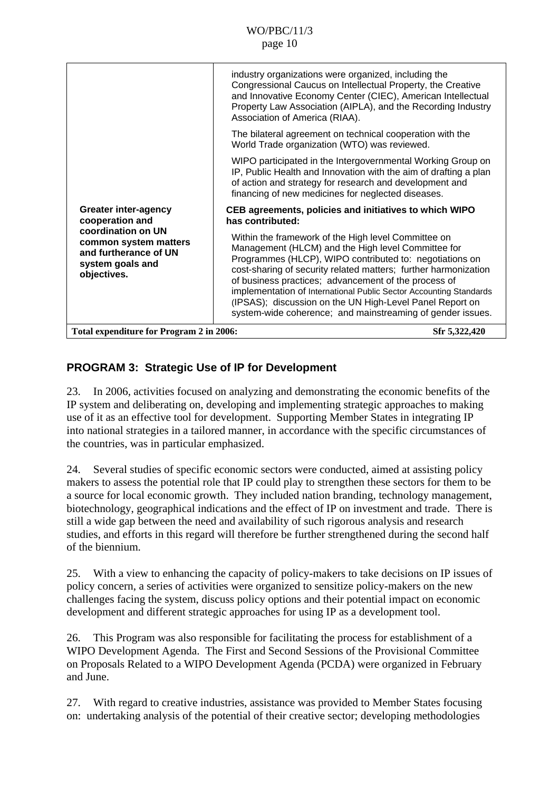<span id="page-9-0"></span>

|                                                                                                         | industry organizations were organized, including the<br>Congressional Caucus on Intellectual Property, the Creative<br>and Innovative Economy Center (CIEC), American Intellectual<br>Property Law Association (AIPLA), and the Recording Industry<br>Association of America (RIAA).                                                                                                                                                                                                            |
|---------------------------------------------------------------------------------------------------------|-------------------------------------------------------------------------------------------------------------------------------------------------------------------------------------------------------------------------------------------------------------------------------------------------------------------------------------------------------------------------------------------------------------------------------------------------------------------------------------------------|
|                                                                                                         | The bilateral agreement on technical cooperation with the<br>World Trade organization (WTO) was reviewed.                                                                                                                                                                                                                                                                                                                                                                                       |
|                                                                                                         | WIPO participated in the Intergovernmental Working Group on<br>IP, Public Health and Innovation with the aim of drafting a plan<br>of action and strategy for research and development and<br>financing of new medicines for neglected diseases.                                                                                                                                                                                                                                                |
| <b>Greater inter-agency</b><br>cooperation and                                                          | CEB agreements, policies and initiatives to which WIPO<br>has contributed:                                                                                                                                                                                                                                                                                                                                                                                                                      |
| coordination on UN<br>common system matters<br>and furtherance of UN<br>system goals and<br>objectives. | Within the framework of the High level Committee on<br>Management (HLCM) and the High level Committee for<br>Programmes (HLCP), WIPO contributed to: negotiations on<br>cost-sharing of security related matters; further harmonization<br>of business practices; advancement of the process of<br>implementation of International Public Sector Accounting Standards<br>(IPSAS); discussion on the UN High-Level Panel Report on<br>system-wide coherence; and mainstreaming of gender issues. |
| Total expenditure for Program 2 in 2006:<br>Sfr 5,322,420                                               |                                                                                                                                                                                                                                                                                                                                                                                                                                                                                                 |

### **PROGRAM 3: Strategic Use of IP for Development**

23. In 2006, activities focused on analyzing and demonstrating the economic benefits of the IP system and deliberating on, developing and implementing strategic approaches to making use of it as an effective tool for development. Supporting Member States in integrating IP into national strategies in a tailored manner, in accordance with the specific circumstances of the countries, was in particular emphasized.

24. Several studies of specific economic sectors were conducted, aimed at assisting policy makers to assess the potential role that IP could play to strengthen these sectors for them to be a source for local economic growth. They included nation branding, technology management, biotechnology, geographical indications and the effect of IP on investment and trade. There is still a wide gap between the need and availability of such rigorous analysis and research studies, and efforts in this regard will therefore be further strengthened during the second half of the biennium.

25. With a view to enhancing the capacity of policy-makers to take decisions on IP issues of policy concern, a series of activities were organized to sensitize policy-makers on the new challenges facing the system, discuss policy options and their potential impact on economic development and different strategic approaches for using IP as a development tool.

26. This Program was also responsible for facilitating the process for establishment of a WIPO Development Agenda. The First and Second Sessions of the Provisional Committee on Proposals Related to a WIPO Development Agenda (PCDA) were organized in February and June.

27. With regard to creative industries, assistance was provided to Member States focusing on: undertaking analysis of the potential of their creative sector; developing methodologies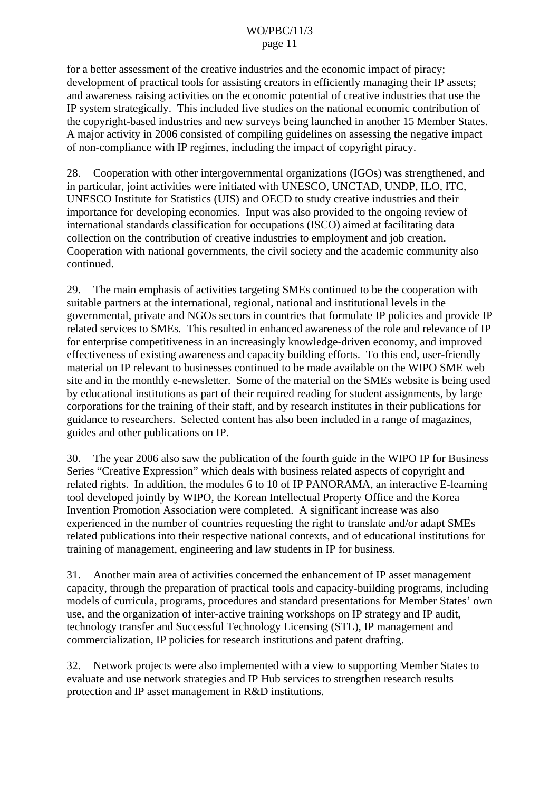for a better assessment of the creative industries and the economic impact of piracy; development of practical tools for assisting creators in efficiently managing their IP assets; and awareness raising activities on the economic potential of creative industries that use the IP system strategically. This included five studies on the national economic contribution of the copyright-based industries and new surveys being launched in another 15 Member States. A major activity in 2006 consisted of compiling guidelines on assessing the negative impact of non-compliance with IP regimes, including the impact of copyright piracy.

28. Cooperation with other intergovernmental organizations (IGOs) was strengthened, and in particular, joint activities were initiated with UNESCO, UNCTAD, UNDP, ILO, ITC, UNESCO Institute for Statistics (UIS) and OECD to study creative industries and their importance for developing economies. Input was also provided to the ongoing review of international standards classification for occupations (ISCO) aimed at facilitating data collection on the contribution of creative industries to employment and job creation. Cooperation with national governments, the civil society and the academic community also continued.

29. The main emphasis of activities targeting SMEs continued to be the cooperation with suitable partners at the international, regional, national and institutional levels in the governmental, private and NGOs sectors in countries that formulate IP policies and provide IP related services to SMEs. This resulted in enhanced awareness of the role and relevance of IP for enterprise competitiveness in an increasingly knowledge-driven economy, and improved effectiveness of existing awareness and capacity building efforts. To this end, user-friendly material on IP relevant to businesses continued to be made available on the WIPO SME web site and in the monthly e-newsletter. Some of the material on the SMEs website is being used by educational institutions as part of their required reading for student assignments, by large corporations for the training of their staff, and by research institutes in their publications for guidance to researchers. Selected content has also been included in a range of magazines, guides and other publications on IP.

30. The year 2006 also saw the publication of the fourth guide in the WIPO IP for Business Series "Creative Expression" which deals with business related aspects of copyright and related rights. In addition, the modules 6 to 10 of IP PANORAMA, an interactive E-learning tool developed jointly by WIPO, the Korean Intellectual Property Office and the Korea Invention Promotion Association were completed. A significant increase was also experienced in the number of countries requesting the right to translate and/or adapt SMEs related publications into their respective national contexts, and of educational institutions for training of management, engineering and law students in IP for business.

31. Another main area of activities concerned the enhancement of IP asset management capacity, through the preparation of practical tools and capacity-building programs, including models of curricula, programs, procedures and standard presentations for Member States' own use, and the organization of inter-active training workshops on IP strategy and IP audit, technology transfer and Successful Technology Licensing (STL), IP management and commercialization, IP policies for research institutions and patent drafting.

32. Network projects were also implemented with a view to supporting Member States to evaluate and use network strategies and IP Hub services to strengthen research results protection and IP asset management in R&D institutions.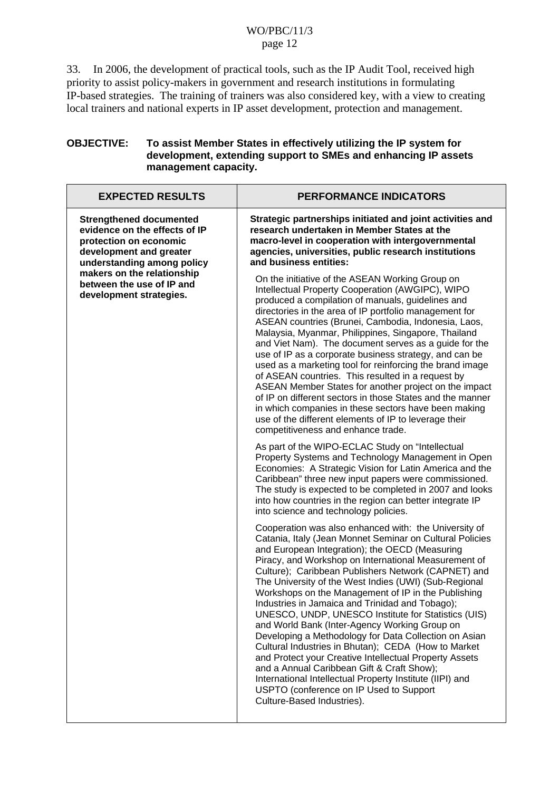33. In 2006, the development of practical tools, such as the IP Audit Tool, received high priority to assist policy-makers in government and research institutions in formulating IP-based strategies. The training of trainers was also considered key, with a view to creating local trainers and national experts in IP asset development, protection and management.

#### **OBJECTIVE: To assist Member States in effectively utilizing the IP system for development, extending support to SMEs and enhancing IP assets management capacity.**

| <b>EXPECTED RESULTS</b>                                                                                                                            | <b>PERFORMANCE INDICATORS</b>                                                                                                                                                                                                                                                                                                                                                                                                                                                                                                                                                                                                                                                                                                                                                                                                                                                                                              |
|----------------------------------------------------------------------------------------------------------------------------------------------------|----------------------------------------------------------------------------------------------------------------------------------------------------------------------------------------------------------------------------------------------------------------------------------------------------------------------------------------------------------------------------------------------------------------------------------------------------------------------------------------------------------------------------------------------------------------------------------------------------------------------------------------------------------------------------------------------------------------------------------------------------------------------------------------------------------------------------------------------------------------------------------------------------------------------------|
| <b>Strengthened documented</b><br>evidence on the effects of IP<br>protection on economic<br>development and greater<br>understanding among policy | Strategic partnerships initiated and joint activities and<br>research undertaken in Member States at the<br>macro-level in cooperation with intergovernmental<br>agencies, universities, public research institutions<br>and business entities:                                                                                                                                                                                                                                                                                                                                                                                                                                                                                                                                                                                                                                                                            |
| makers on the relationship<br>between the use of IP and<br>development strategies.                                                                 | On the initiative of the ASEAN Working Group on<br>Intellectual Property Cooperation (AWGIPC), WIPO<br>produced a compilation of manuals, guidelines and<br>directories in the area of IP portfolio management for<br>ASEAN countries (Brunei, Cambodia, Indonesia, Laos,<br>Malaysia, Myanmar, Philippines, Singapore, Thailand<br>and Viet Nam). The document serves as a guide for the<br>use of IP as a corporate business strategy, and can be<br>used as a marketing tool for reinforcing the brand image<br>of ASEAN countries. This resulted in a request by<br>ASEAN Member States for another project on the impact<br>of IP on different sectors in those States and the manner<br>in which companies in these sectors have been making<br>use of the different elements of IP to leverage their<br>competitiveness and enhance trade.                                                                          |
|                                                                                                                                                    | As part of the WIPO-ECLAC Study on "Intellectual<br>Property Systems and Technology Management in Open<br>Economies: A Strategic Vision for Latin America and the<br>Caribbean" three new input papers were commissioned.<br>The study is expected to be completed in 2007 and looks<br>into how countries in the region can better integrate IP<br>into science and technology policies.                                                                                                                                                                                                                                                                                                                                                                                                                                                                                                                                  |
|                                                                                                                                                    | Cooperation was also enhanced with: the University of<br>Catania, Italy (Jean Monnet Seminar on Cultural Policies<br>and European Integration); the OECD (Measuring<br>Piracy, and Workshop on International Measurement of<br>Culture); Caribbean Publishers Network (CAPNET) and<br>The University of the West Indies (UWI) (Sub-Regional<br>Workshops on the Management of IP in the Publishing<br>Industries in Jamaica and Trinidad and Tobago);<br>UNESCO, UNDP, UNESCO Institute for Statistics (UIS)<br>and World Bank (Inter-Agency Working Group on<br>Developing a Methodology for Data Collection on Asian<br>Cultural Industries in Bhutan); CEDA (How to Market<br>and Protect your Creative Intellectual Property Assets<br>and a Annual Caribbean Gift & Craft Show);<br>International Intellectual Property Institute (IIPI) and<br>USPTO (conference on IP Used to Support<br>Culture-Based Industries). |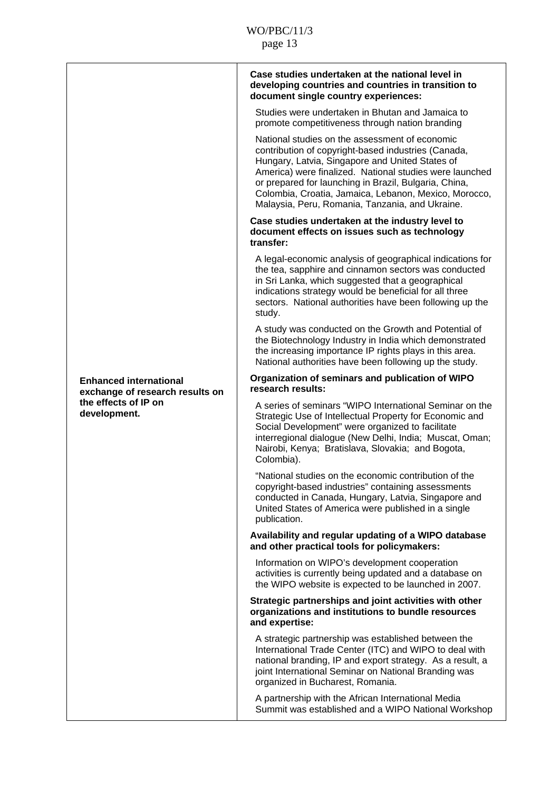|                                                                  | Case studies undertaken at the national level in<br>developing countries and countries in transition to                                                                                                                                                                                                                                                                                  |
|------------------------------------------------------------------|------------------------------------------------------------------------------------------------------------------------------------------------------------------------------------------------------------------------------------------------------------------------------------------------------------------------------------------------------------------------------------------|
|                                                                  | document single country experiences:<br>Studies were undertaken in Bhutan and Jamaica to                                                                                                                                                                                                                                                                                                 |
|                                                                  | promote competitiveness through nation branding                                                                                                                                                                                                                                                                                                                                          |
|                                                                  | National studies on the assessment of economic<br>contribution of copyright-based industries (Canada,<br>Hungary, Latvia, Singapore and United States of<br>America) were finalized. National studies were launched<br>or prepared for launching in Brazil, Bulgaria, China,<br>Colombia, Croatia, Jamaica, Lebanon, Mexico, Morocco,<br>Malaysia, Peru, Romania, Tanzania, and Ukraine. |
|                                                                  | Case studies undertaken at the industry level to<br>document effects on issues such as technology<br>transfer:                                                                                                                                                                                                                                                                           |
|                                                                  | A legal-economic analysis of geographical indications for<br>the tea, sapphire and cinnamon sectors was conducted<br>in Sri Lanka, which suggested that a geographical<br>indications strategy would be beneficial for all three<br>sectors. National authorities have been following up the<br>study.                                                                                   |
|                                                                  | A study was conducted on the Growth and Potential of<br>the Biotechnology Industry in India which demonstrated<br>the increasing importance IP rights plays in this area.<br>National authorities have been following up the study.                                                                                                                                                      |
| <b>Enhanced international</b><br>exchange of research results on | Organization of seminars and publication of WIPO<br>research results:                                                                                                                                                                                                                                                                                                                    |
| the effects of IP on<br>development.                             | A series of seminars "WIPO International Seminar on the<br>Strategic Use of Intellectual Property for Economic and<br>Social Development" were organized to facilitate<br>interregional dialogue (New Delhi, India; Muscat, Oman;<br>Nairobi, Kenya; Bratislava, Slovakia; and Bogota,<br>Colombia).                                                                                     |
|                                                                  | "National studies on the economic contribution of the<br>copyright-based industries" containing assessments<br>conducted in Canada, Hungary, Latvia, Singapore and<br>United States of America were published in a single<br>publication.                                                                                                                                                |
|                                                                  | Availability and regular updating of a WIPO database<br>and other practical tools for policymakers:                                                                                                                                                                                                                                                                                      |
|                                                                  | Information on WIPO's development cooperation<br>activities is currently being updated and a database on<br>the WIPO website is expected to be launched in 2007.                                                                                                                                                                                                                         |
|                                                                  | Strategic partnerships and joint activities with other<br>organizations and institutions to bundle resources<br>and expertise:                                                                                                                                                                                                                                                           |
|                                                                  | A strategic partnership was established between the<br>International Trade Center (ITC) and WIPO to deal with<br>national branding, IP and export strategy. As a result, a<br>joint International Seminar on National Branding was<br>organized in Bucharest, Romania.                                                                                                                   |
|                                                                  | A partnership with the African International Media<br>Summit was established and a WIPO National Workshop                                                                                                                                                                                                                                                                                |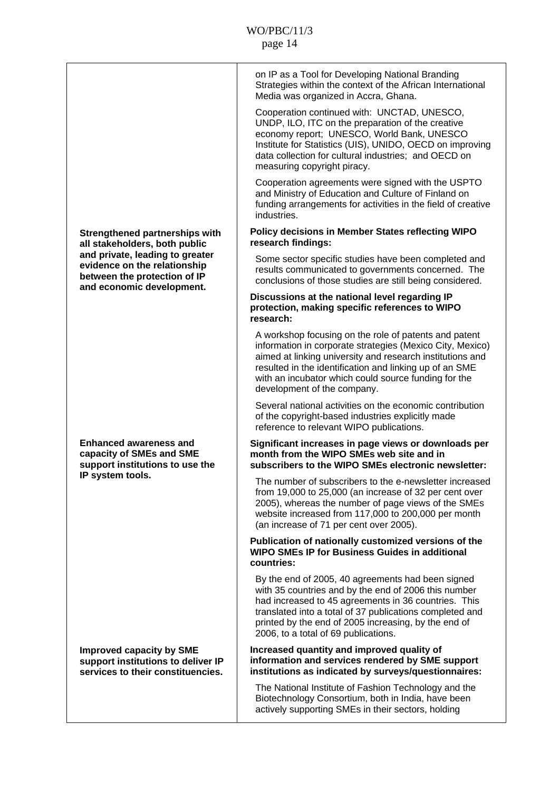|                                                                                                                              | on IP as a Tool for Developing National Branding<br>Strategies within the context of the African International<br>Media was organized in Accra, Ghana.                                                                                                                                                                            |
|------------------------------------------------------------------------------------------------------------------------------|-----------------------------------------------------------------------------------------------------------------------------------------------------------------------------------------------------------------------------------------------------------------------------------------------------------------------------------|
|                                                                                                                              | Cooperation continued with: UNCTAD, UNESCO,<br>UNDP, ILO, ITC on the preparation of the creative<br>economy report; UNESCO, World Bank, UNESCO<br>Institute for Statistics (UIS), UNIDO, OECD on improving<br>data collection for cultural industries; and OECD on<br>measuring copyright piracy.                                 |
|                                                                                                                              | Cooperation agreements were signed with the USPTO<br>and Ministry of Education and Culture of Finland on<br>funding arrangements for activities in the field of creative<br>industries.                                                                                                                                           |
| <b>Strengthened partnerships with</b><br>all stakeholders, both public                                                       | <b>Policy decisions in Member States reflecting WIPO</b><br>research findings:                                                                                                                                                                                                                                                    |
| and private, leading to greater<br>evidence on the relationship<br>between the protection of IP<br>and economic development. | Some sector specific studies have been completed and<br>results communicated to governments concerned. The<br>conclusions of those studies are still being considered.                                                                                                                                                            |
|                                                                                                                              | Discussions at the national level regarding IP<br>protection, making specific references to WIPO<br>research:                                                                                                                                                                                                                     |
|                                                                                                                              | A workshop focusing on the role of patents and patent<br>information in corporate strategies (Mexico City, Mexico)<br>aimed at linking university and research institutions and<br>resulted in the identification and linking up of an SME<br>with an incubator which could source funding for the<br>development of the company. |
|                                                                                                                              | Several national activities on the economic contribution<br>of the copyright-based industries explicitly made<br>reference to relevant WIPO publications.                                                                                                                                                                         |
| <b>Enhanced awareness and</b><br>capacity of SMEs and SME<br>support institutions to use the                                 | Significant increases in page views or downloads per<br>month from the WIPO SMEs web site and in<br>subscribers to the WIPO SMEs electronic newsletter:                                                                                                                                                                           |
| IP system tools.                                                                                                             | The number of subscribers to the e-newsletter increased<br>from 19,000 to 25,000 (an increase of 32 per cent over<br>2005), whereas the number of page views of the SMEs<br>website increased from 117,000 to 200,000 per month<br>(an increase of 71 per cent over 2005).                                                        |
|                                                                                                                              | Publication of nationally customized versions of the<br><b>WIPO SMEs IP for Business Guides in additional</b><br>countries:                                                                                                                                                                                                       |
|                                                                                                                              | By the end of 2005, 40 agreements had been signed<br>with 35 countries and by the end of 2006 this number<br>had increased to 45 agreements in 36 countries. This<br>translated into a total of 37 publications completed and<br>printed by the end of 2005 increasing, by the end of<br>2006, to a total of 69 publications.     |
| <b>Improved capacity by SME</b><br>support institutions to deliver IP<br>services to their constituencies.                   | Increased quantity and improved quality of<br>information and services rendered by SME support<br>institutions as indicated by surveys/questionnaires:                                                                                                                                                                            |
|                                                                                                                              | The National Institute of Fashion Technology and the<br>Biotechnology Consortium, both in India, have been<br>actively supporting SMEs in their sectors, holding                                                                                                                                                                  |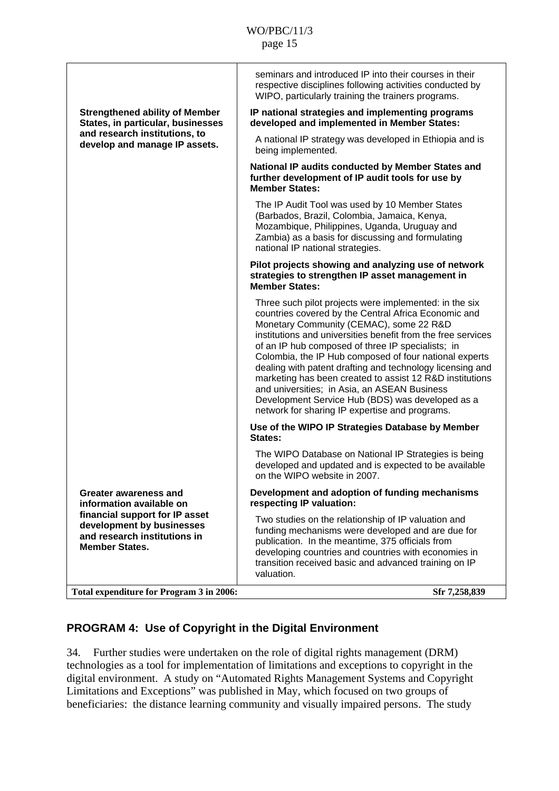<span id="page-14-0"></span>

|                                                                                                                      | seminars and introduced IP into their courses in their<br>respective disciplines following activities conducted by<br>WIPO, particularly training the trainers programs.                                                                                                                                                                                                                                                                                                                                                                                                                                                |
|----------------------------------------------------------------------------------------------------------------------|-------------------------------------------------------------------------------------------------------------------------------------------------------------------------------------------------------------------------------------------------------------------------------------------------------------------------------------------------------------------------------------------------------------------------------------------------------------------------------------------------------------------------------------------------------------------------------------------------------------------------|
| <b>Strengthened ability of Member</b><br>States, in particular, businesses                                           | IP national strategies and implementing programs<br>developed and implemented in Member States:                                                                                                                                                                                                                                                                                                                                                                                                                                                                                                                         |
| and research institutions, to<br>develop and manage IP assets.                                                       | A national IP strategy was developed in Ethiopia and is<br>being implemented.                                                                                                                                                                                                                                                                                                                                                                                                                                                                                                                                           |
|                                                                                                                      | National IP audits conducted by Member States and<br>further development of IP audit tools for use by<br><b>Member States:</b>                                                                                                                                                                                                                                                                                                                                                                                                                                                                                          |
|                                                                                                                      | The IP Audit Tool was used by 10 Member States<br>(Barbados, Brazil, Colombia, Jamaica, Kenya,<br>Mozambique, Philippines, Uganda, Uruguay and<br>Zambia) as a basis for discussing and formulating<br>national IP national strategies.                                                                                                                                                                                                                                                                                                                                                                                 |
|                                                                                                                      | Pilot projects showing and analyzing use of network<br>strategies to strengthen IP asset management in<br><b>Member States:</b>                                                                                                                                                                                                                                                                                                                                                                                                                                                                                         |
|                                                                                                                      | Three such pilot projects were implemented: in the six<br>countries covered by the Central Africa Economic and<br>Monetary Community (CEMAC), some 22 R&D<br>institutions and universities benefit from the free services<br>of an IP hub composed of three IP specialists; in<br>Colombia, the IP Hub composed of four national experts<br>dealing with patent drafting and technology licensing and<br>marketing has been created to assist 12 R&D institutions<br>and universities; in Asia, an ASEAN Business<br>Development Service Hub (BDS) was developed as a<br>network for sharing IP expertise and programs. |
|                                                                                                                      | Use of the WIPO IP Strategies Database by Member<br>States:                                                                                                                                                                                                                                                                                                                                                                                                                                                                                                                                                             |
|                                                                                                                      | The WIPO Database on National IP Strategies is being<br>developed and updated and is expected to be available<br>on the WIPO website in 2007.                                                                                                                                                                                                                                                                                                                                                                                                                                                                           |
| Greater awareness and<br>information available on                                                                    | Development and adoption of funding mechanisms<br>respecting IP valuation:                                                                                                                                                                                                                                                                                                                                                                                                                                                                                                                                              |
| financial support for IP asset<br>development by businesses<br>and research institutions in<br><b>Member States.</b> | Two studies on the relationship of IP valuation and<br>funding mechanisms were developed and are due for<br>publication. In the meantime, 375 officials from<br>developing countries and countries with economies in<br>transition received basic and advanced training on IP<br>valuation.                                                                                                                                                                                                                                                                                                                             |
| Total expenditure for Program 3 in 2006:                                                                             | Sfr 7,258,839                                                                                                                                                                                                                                                                                                                                                                                                                                                                                                                                                                                                           |

# **PROGRAM 4: Use of Copyright in the Digital Environment**

34. Further studies were undertaken on the role of digital rights management (DRM) technologies as a tool for implementation of limitations and exceptions to copyright in the digital environment. A study on "Automated Rights Management Systems and Copyright Limitations and Exceptions" was published in May, which focused on two groups of beneficiaries: the distance learning community and visually impaired persons. The study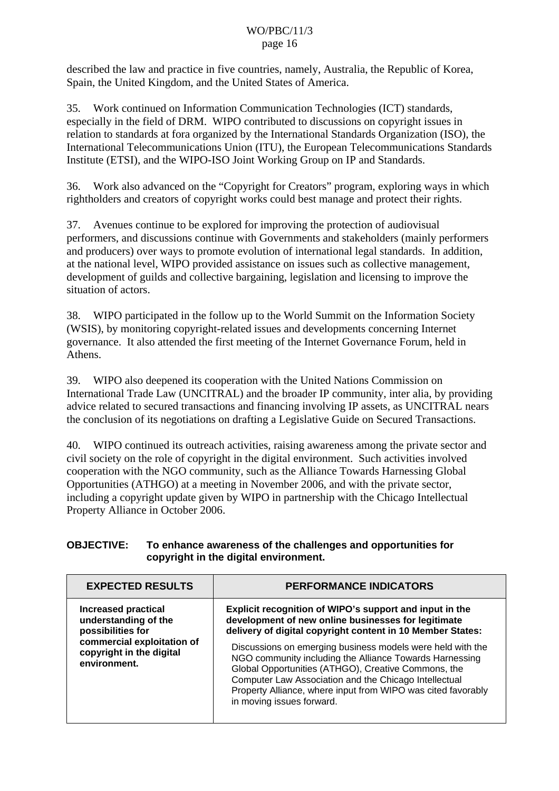described the law and practice in five countries, namely, Australia, the Republic of Korea, Spain, the United Kingdom, and the United States of America.

35. Work continued on Information Communication Technologies (ICT) standards, especially in the field of DRM. WIPO contributed to discussions on copyright issues in relation to standards at fora organized by the International Standards Organization (ISO), the International Telecommunications Union (ITU), the European Telecommunications Standards Institute (ETSI), and the WIPO-ISO Joint Working Group on IP and Standards.

36. Work also advanced on the "Copyright for Creators" program, exploring ways in which rightholders and creators of copyright works could best manage and protect their rights.

37. Avenues continue to be explored for improving the protection of audiovisual performers, and discussions continue with Governments and stakeholders (mainly performers and producers) over ways to promote evolution of international legal standards. In addition, at the national level, WIPO provided assistance on issues such as collective management, development of guilds and collective bargaining, legislation and licensing to improve the situation of actors.

38. WIPO participated in the follow up to the World Summit on the Information Society (WSIS), by monitoring copyright-related issues and developments concerning Internet governance. It also attended the first meeting of the Internet Governance Forum, held in Athens.

39. WIPO also deepened its cooperation with the United Nations Commission on International Trade Law (UNCITRAL) and the broader IP community, inter alia, by providing advice related to secured transactions and financing involving IP assets, as UNCITRAL nears the conclusion of its negotiations on drafting a Legislative Guide on Secured Transactions.

40. WIPO continued its outreach activities, raising awareness among the private sector and civil society on the role of copyright in the digital environment. Such activities involved cooperation with the NGO community, such as the Alliance Towards Harnessing Global Opportunities (ATHGO) at a meeting in November 2006, and with the private sector, including a copyright update given by WIPO in partnership with the Chicago Intellectual Property Alliance in October 2006.

#### **OBJECTIVE: To enhance awareness of the challenges and opportunities for copyright in the digital environment.**

| <b>EXPECTED RESULTS</b>                                                                                                                           | <b>PERFORMANCE INDICATORS</b>                                                                                                                                                                                                                                                                                                                                |
|---------------------------------------------------------------------------------------------------------------------------------------------------|--------------------------------------------------------------------------------------------------------------------------------------------------------------------------------------------------------------------------------------------------------------------------------------------------------------------------------------------------------------|
| <b>Increased practical</b><br>understanding of the<br>possibilities for<br>commercial exploitation of<br>copyright in the digital<br>environment. | Explicit recognition of WIPO's support and input in the<br>development of new online businesses for legitimate<br>delivery of digital copyright content in 10 Member States:<br>Discussions on emerging business models were held with the<br>NGO community including the Alliance Towards Harnessing<br>Global Opportunities (ATHGO), Creative Commons, the |
|                                                                                                                                                   | Computer Law Association and the Chicago Intellectual<br>Property Alliance, where input from WIPO was cited favorably<br>in moving issues forward.                                                                                                                                                                                                           |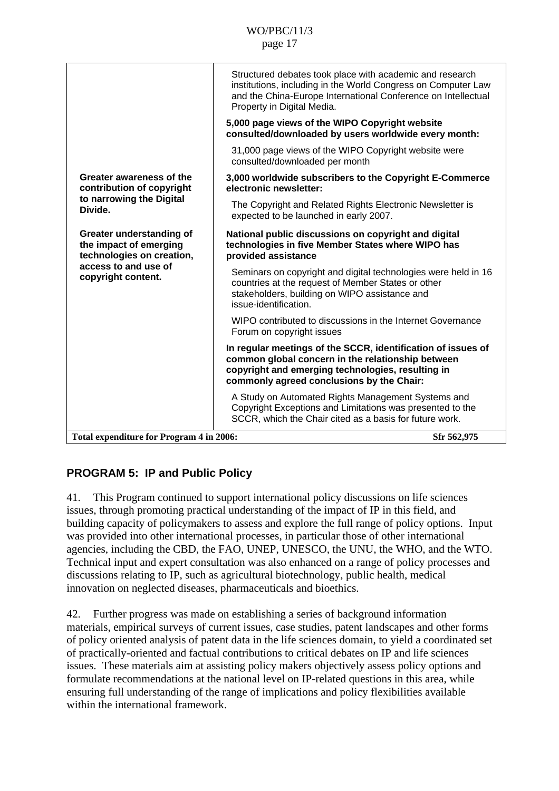<span id="page-16-0"></span>

|                                                                                              | Structured debates took place with academic and research<br>institutions, including in the World Congress on Computer Law<br>and the China-Europe International Conference on Intellectual<br>Property in Digital Media. |
|----------------------------------------------------------------------------------------------|--------------------------------------------------------------------------------------------------------------------------------------------------------------------------------------------------------------------------|
|                                                                                              | 5,000 page views of the WIPO Copyright website<br>consulted/downloaded by users worldwide every month:                                                                                                                   |
|                                                                                              | 31,000 page views of the WIPO Copyright website were<br>consulted/downloaded per month                                                                                                                                   |
| Greater awareness of the<br>contribution of copyright<br>to narrowing the Digital<br>Divide. | 3,000 worldwide subscribers to the Copyright E-Commerce<br>electronic newsletter:                                                                                                                                        |
|                                                                                              | The Copyright and Related Rights Electronic Newsletter is<br>expected to be launched in early 2007.                                                                                                                      |
| Greater understanding of<br>the impact of emerging<br>technologies on creation,              | National public discussions on copyright and digital<br>technologies in five Member States where WIPO has<br>provided assistance                                                                                         |
| access to and use of<br>copyright content.                                                   | Seminars on copyright and digital technologies were held in 16<br>countries at the request of Member States or other<br>stakeholders, building on WIPO assistance and<br>issue-identification.                           |
|                                                                                              | WIPO contributed to discussions in the Internet Governance<br>Forum on copyright issues                                                                                                                                  |
|                                                                                              | In regular meetings of the SCCR, identification of issues of<br>common global concern in the relationship between<br>copyright and emerging technologies, resulting in<br>commonly agreed conclusions by the Chair:      |
|                                                                                              | A Study on Automated Rights Management Systems and<br>Copyright Exceptions and Limitations was presented to the<br>SCCR, which the Chair cited as a basis for future work.                                               |
| Total expenditure for Program 4 in 2006:                                                     | Sfr 562,975                                                                                                                                                                                                              |

# **PROGRAM 5: IP and Public Policy**

41. This Program continued to support international policy discussions on life sciences issues, through promoting practical understanding of the impact of IP in this field, and building capacity of policymakers to assess and explore the full range of policy options. Input was provided into other international processes, in particular those of other international agencies, including the CBD, the FAO, UNEP, UNESCO, the UNU, the WHO, and the WTO. Technical input and expert consultation was also enhanced on a range of policy processes and discussions relating to IP, such as agricultural biotechnology, public health, medical innovation on neglected diseases, pharmaceuticals and bioethics.

42. Further progress was made on establishing a series of background information materials, empirical surveys of current issues, case studies, patent landscapes and other forms of policy oriented analysis of patent data in the life sciences domain, to yield a coordinated set of practically-oriented and factual contributions to critical debates on IP and life sciences issues. These materials aim at assisting policy makers objectively assess policy options and formulate recommendations at the national level on IP-related questions in this area, while ensuring full understanding of the range of implications and policy flexibilities available within the international framework.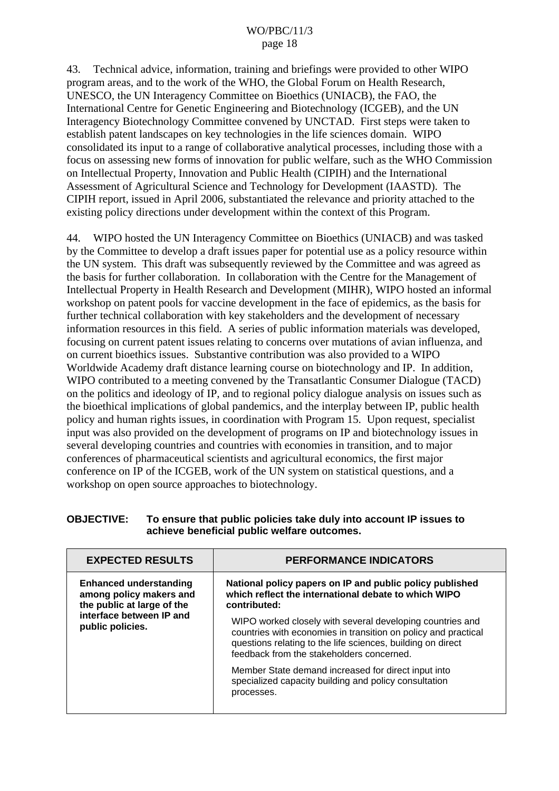43. Technical advice, information, training and briefings were provided to other WIPO program areas, and to the work of the WHO, the Global Forum on Health Research, UNESCO, the UN Interagency Committee on Bioethics (UNIACB), the FAO, the International Centre for Genetic Engineering and Biotechnology (ICGEB), and the UN Interagency Biotechnology Committee convened by UNCTAD. First steps were taken to establish patent landscapes on key technologies in the life sciences domain. WIPO consolidated its input to a range of collaborative analytical processes, including those with a focus on assessing new forms of innovation for public welfare, such as the WHO Commission on Intellectual Property, Innovation and Public Health (CIPIH) and the International Assessment of Agricultural Science and Technology for Development (IAASTD). The CIPIH report, issued in April 2006, substantiated the relevance and priority attached to the existing policy directions under development within the context of this Program.

44. WIPO hosted the UN Interagency Committee on Bioethics (UNIACB) and was tasked by the Committee to develop a draft issues paper for potential use as a policy resource within the UN system. This draft was subsequently reviewed by the Committee and was agreed as the basis for further collaboration. In collaboration with the Centre for the Management of Intellectual Property in Health Research and Development (MIHR), WIPO hosted an informal workshop on patent pools for vaccine development in the face of epidemics, as the basis for further technical collaboration with key stakeholders and the development of necessary information resources in this field. A series of public information materials was developed, focusing on current patent issues relating to concerns over mutations of avian influenza, and on current bioethics issues. Substantive contribution was also provided to a WIPO Worldwide Academy draft distance learning course on biotechnology and IP. In addition, WIPO contributed to a meeting convened by the Transatlantic Consumer Dialogue (TACD) on the politics and ideology of IP, and to regional policy dialogue analysis on issues such as the bioethical implications of global pandemics, and the interplay between IP, public health policy and human rights issues, in coordination with Program 15. Upon request, specialist input was also provided on the development of programs on IP and biotechnology issues in several developing countries and countries with economies in transition, and to major conferences of pharmaceutical scientists and agricultural economics, the first major conference on IP of the ICGEB, work of the UN system on statistical questions, and a workshop on open source approaches to biotechnology.

| <b>EXPECTED RESULTS</b>                                                                                                                | <b>PERFORMANCE INDICATORS</b>                                                                                                                                                                                                           |
|----------------------------------------------------------------------------------------------------------------------------------------|-----------------------------------------------------------------------------------------------------------------------------------------------------------------------------------------------------------------------------------------|
| <b>Enhanced understanding</b><br>among policy makers and<br>the public at large of the<br>interface between IP and<br>public policies. | National policy papers on IP and public policy published<br>which reflect the international debate to which WIPO<br>contributed:                                                                                                        |
|                                                                                                                                        | WIPO worked closely with several developing countries and<br>countries with economies in transition on policy and practical<br>questions relating to the life sciences, building on direct<br>feedback from the stakeholders concerned. |
|                                                                                                                                        | Member State demand increased for direct input into<br>specialized capacity building and policy consultation<br>processes.                                                                                                              |

#### **OBJECTIVE: To ensure that public policies take duly into account IP issues to achieve beneficial public welfare outcomes.**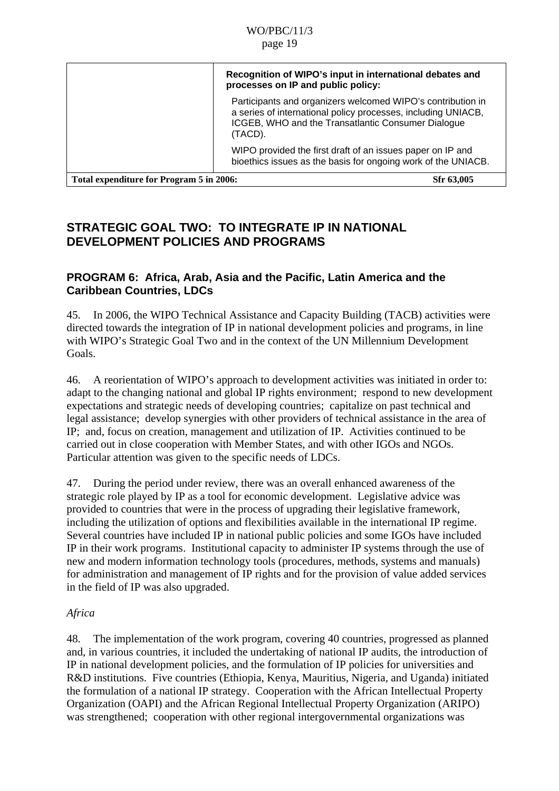<span id="page-18-0"></span>

|                                          | Recognition of WIPO's input in international debates and<br>processes on IP and public policy:                                                                                                |
|------------------------------------------|-----------------------------------------------------------------------------------------------------------------------------------------------------------------------------------------------|
|                                          | Participants and organizers welcomed WIPO's contribution in<br>a series of international policy processes, including UNIACB,<br>ICGEB, WHO and the Transatlantic Consumer Dialogue<br>(TACD). |
|                                          | WIPO provided the first draft of an issues paper on IP and<br>bioethics issues as the basis for ongoing work of the UNIACB.                                                                   |
| Total expenditure for Program 5 in 2006: | Sfr 63,005                                                                                                                                                                                    |

## **STRATEGIC GOAL TWO: TO INTEGRATE IP IN NATIONAL DEVELOPMENT POLICIES AND PROGRAMS**

### **PROGRAM 6: Africa, Arab, Asia and the Pacific, Latin America and the Caribbean Countries, LDCs**

45. In 2006, the WIPO Technical Assistance and Capacity Building (TACB) activities were directed towards the integration of IP in national development policies and programs, in line with WIPO's Strategic Goal Two and in the context of the UN Millennium Development Goals.

46. A reorientation of WIPO's approach to development activities was initiated in order to: adapt to the changing national and global IP rights environment; respond to new development expectations and strategic needs of developing countries; capitalize on past technical and legal assistance; develop synergies with other providers of technical assistance in the area of IP; and, focus on creation, management and utilization of IP. Activities continued to be carried out in close cooperation with Member States, and with other IGOs and NGOs. Particular attention was given to the specific needs of LDCs.

47. During the period under review, there was an overall enhanced awareness of the strategic role played by IP as a tool for economic development. Legislative advice was provided to countries that were in the process of upgrading their legislative framework, including the utilization of options and flexibilities available in the international IP regime. Several countries have included IP in national public policies and some IGOs have included IP in their work programs. Institutional capacity to administer IP systems through the use of new and modern information technology tools (procedures, methods, systems and manuals) for administration and management of IP rights and for the provision of value added services in the field of IP was also upgraded.

### *Africa*

48. The implementation of the work program, covering 40 countries, progressed as planned and, in various countries, it included the undertaking of national IP audits, the introduction of IP in national development policies, and the formulation of IP policies for universities and R&D institutions. Five countries (Ethiopia, Kenya, Mauritius, Nigeria, and Uganda) initiated the formulation of a national IP strategy. Cooperation with the African Intellectual Property Organization (OAPI) and the African Regional Intellectual Property Organization (ARIPO) was strengthened; cooperation with other regional intergovernmental organizations was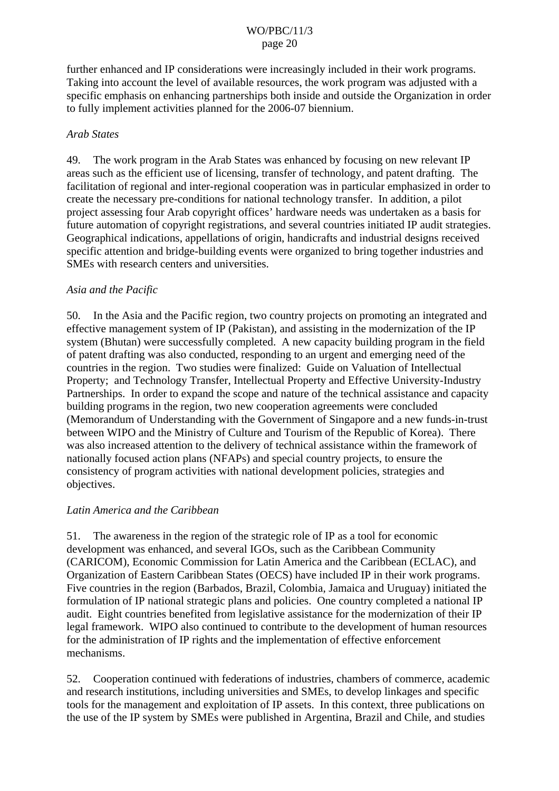further enhanced and IP considerations were increasingly included in their work programs. Taking into account the level of available resources, the work program was adjusted with a specific emphasis on enhancing partnerships both inside and outside the Organization in order to fully implement activities planned for the 2006-07 biennium.

#### *Arab States*

49. The work program in the Arab States was enhanced by focusing on new relevant IP areas such as the efficient use of licensing, transfer of technology, and patent drafting. The facilitation of regional and inter-regional cooperation was in particular emphasized in order to create the necessary pre-conditions for national technology transfer. In addition, a pilot project assessing four Arab copyright offices' hardware needs was undertaken as a basis for future automation of copyright registrations, and several countries initiated IP audit strategies. Geographical indications, appellations of origin, handicrafts and industrial designs received specific attention and bridge-building events were organized to bring together industries and SMEs with research centers and universities.

#### *Asia and the Pacific*

50. In the Asia and the Pacific region, two country projects on promoting an integrated and effective management system of IP (Pakistan), and assisting in the modernization of the IP system (Bhutan) were successfully completed. A new capacity building program in the field of patent drafting was also conducted, responding to an urgent and emerging need of the countries in the region. Two studies were finalized: Guide on Valuation of Intellectual Property; and Technology Transfer, Intellectual Property and Effective University-Industry Partnerships. In order to expand the scope and nature of the technical assistance and capacity building programs in the region, two new cooperation agreements were concluded (Memorandum of Understanding with the Government of Singapore and a new funds-in-trust between WIPO and the Ministry of Culture and Tourism of the Republic of Korea). There was also increased attention to the delivery of technical assistance within the framework of nationally focused action plans (NFAPs) and special country projects, to ensure the consistency of program activities with national development policies, strategies and objectives.

#### *Latin America and the Caribbean*

51. The awareness in the region of the strategic role of IP as a tool for economic development was enhanced, and several IGOs, such as the Caribbean Community (CARICOM), Economic Commission for Latin America and the Caribbean (ECLAC), and Organization of Eastern Caribbean States (OECS) have included IP in their work programs. Five countries in the region (Barbados, Brazil, Colombia, Jamaica and Uruguay) initiated the formulation of IP national strategic plans and policies. One country completed a national IP audit. Eight countries benefited from legislative assistance for the modernization of their IP legal framework. WIPO also continued to contribute to the development of human resources for the administration of IP rights and the implementation of effective enforcement mechanisms.

52. Cooperation continued with federations of industries, chambers of commerce, academic and research institutions, including universities and SMEs, to develop linkages and specific tools for the management and exploitation of IP assets. In this context, three publications on the use of the IP system by SMEs were published in Argentina, Brazil and Chile, and studies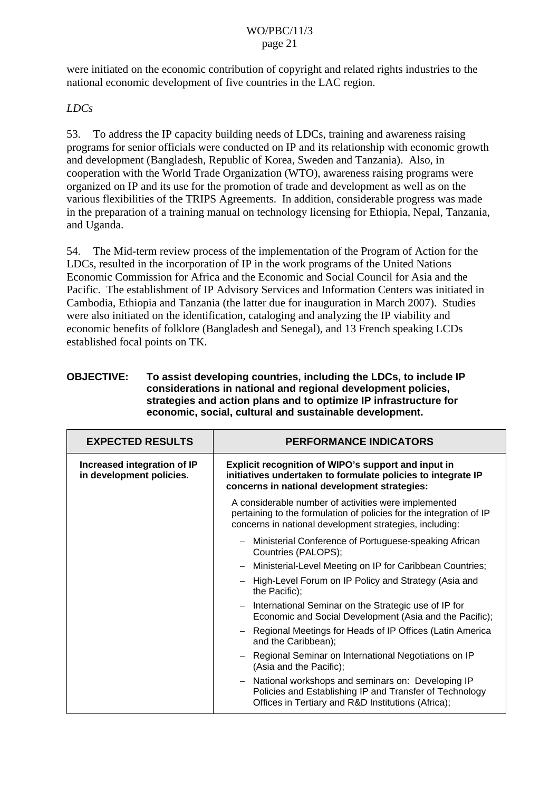were initiated on the economic contribution of copyright and related rights industries to the national economic development of five countries in the LAC region.

*LDCs* 

53. To address the IP capacity building needs of LDCs, training and awareness raising programs for senior officials were conducted on IP and its relationship with economic growth and development (Bangladesh, Republic of Korea, Sweden and Tanzania). Also, in cooperation with the World Trade Organization (WTO), awareness raising programs were organized on IP and its use for the promotion of trade and development as well as on the various flexibilities of the TRIPS Agreements. In addition, considerable progress was made in the preparation of a training manual on technology licensing for Ethiopia, Nepal, Tanzania, and Uganda.

54. The Mid-term review process of the implementation of the Program of Action for the LDCs, resulted in the incorporation of IP in the work programs of the United Nations Economic Commission for Africa and the Economic and Social Council for Asia and the Pacific. The establishment of IP Advisory Services and Information Centers was initiated in Cambodia, Ethiopia and Tanzania (the latter due for inauguration in March 2007). Studies were also initiated on the identification, cataloging and analyzing the IP viability and economic benefits of folklore (Bangladesh and Senegal), and 13 French speaking LCDs established focal points on TK.

#### **OBJECTIVE: To assist developing countries, including the LDCs, to include IP considerations in national and regional development policies, strategies and action plans and to optimize IP infrastructure for economic, social, cultural and sustainable development.**

| <b>EXPECTED RESULTS</b>                                 | <b>PERFORMANCE INDICATORS</b>                                                                                                                                                          |
|---------------------------------------------------------|----------------------------------------------------------------------------------------------------------------------------------------------------------------------------------------|
| Increased integration of IP<br>in development policies. | Explicit recognition of WIPO's support and input in<br>initiatives undertaken to formulate policies to integrate IP<br>concerns in national development strategies:                    |
|                                                         | A considerable number of activities were implemented<br>pertaining to the formulation of policies for the integration of IP<br>concerns in national development strategies, including: |
|                                                         | Ministerial Conference of Portuguese-speaking African<br>Countries (PALOPS);                                                                                                           |
|                                                         | Ministerial-Level Meeting on IP for Caribbean Countries;                                                                                                                               |
|                                                         | High-Level Forum on IP Policy and Strategy (Asia and<br>the Pacific);                                                                                                                  |
|                                                         | International Seminar on the Strategic use of IP for<br>$ \,$<br>Economic and Social Development (Asia and the Pacific);                                                               |
|                                                         | Regional Meetings for Heads of IP Offices (Latin America<br>and the Caribbean);                                                                                                        |
|                                                         | Regional Seminar on International Negotiations on IP<br>(Asia and the Pacific);                                                                                                        |
|                                                         | National workshops and seminars on: Developing IP<br>Policies and Establishing IP and Transfer of Technology<br>Offices in Tertiary and R&D Institutions (Africa);                     |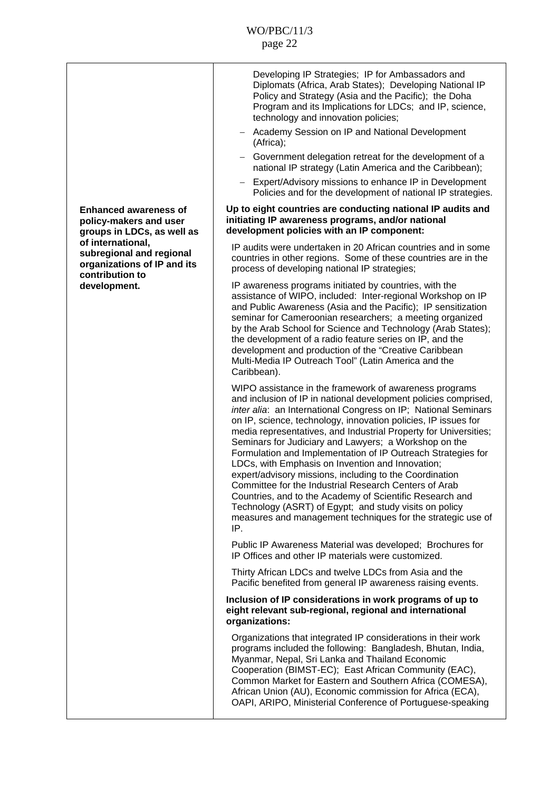|                                                                                                 | Developing IP Strategies; IP for Ambassadors and<br>Diplomats (Africa, Arab States); Developing National IP<br>Policy and Strategy (Asia and the Pacific); the Doha<br>Program and its Implications for LDCs; and IP, science,<br>technology and innovation policies;<br>Academy Session on IP and National Development<br>$\overline{\phantom{0}}$<br>(Africa);<br>- Government delegation retreat for the development of a                                                                                                                                                                                                                                                                                                                                                                                                   |
|-------------------------------------------------------------------------------------------------|--------------------------------------------------------------------------------------------------------------------------------------------------------------------------------------------------------------------------------------------------------------------------------------------------------------------------------------------------------------------------------------------------------------------------------------------------------------------------------------------------------------------------------------------------------------------------------------------------------------------------------------------------------------------------------------------------------------------------------------------------------------------------------------------------------------------------------|
|                                                                                                 | national IP strategy (Latin America and the Caribbean);<br>Expert/Advisory missions to enhance IP in Development<br>$\qquad \qquad -$                                                                                                                                                                                                                                                                                                                                                                                                                                                                                                                                                                                                                                                                                          |
| <b>Enhanced awareness of</b><br>policy-makers and user<br>groups in LDCs, as well as            | Policies and for the development of national IP strategies.<br>Up to eight countries are conducting national IP audits and<br>initiating IP awareness programs, and/or national<br>development policies with an IP component:                                                                                                                                                                                                                                                                                                                                                                                                                                                                                                                                                                                                  |
| of international,<br>subregional and regional<br>organizations of IP and its<br>contribution to | IP audits were undertaken in 20 African countries and in some<br>countries in other regions. Some of these countries are in the<br>process of developing national IP strategies;                                                                                                                                                                                                                                                                                                                                                                                                                                                                                                                                                                                                                                               |
| development.                                                                                    | IP awareness programs initiated by countries, with the<br>assistance of WIPO, included: Inter-regional Workshop on IP<br>and Public Awareness (Asia and the Pacific); IP sensitization<br>seminar for Cameroonian researchers; a meeting organized<br>by the Arab School for Science and Technology (Arab States);<br>the development of a radio feature series on IP, and the<br>development and production of the "Creative Caribbean<br>Multi-Media IP Outreach Tool" (Latin America and the<br>Caribbean).                                                                                                                                                                                                                                                                                                                 |
|                                                                                                 | WIPO assistance in the framework of awareness programs<br>and inclusion of IP in national development policies comprised,<br>inter alia: an International Congress on IP; National Seminars<br>on IP, science, technology, innovation policies, IP issues for<br>media representatives, and Industrial Property for Universities;<br>Seminars for Judiciary and Lawyers; a Workshop on the<br>Formulation and Implementation of IP Outreach Strategies for<br>LDCs, with Emphasis on Invention and Innovation;<br>expert/advisory missions, including to the Coordination<br>Committee for the Industrial Research Centers of Arab<br>Countries, and to the Academy of Scientific Research and<br>Technology (ASRT) of Egypt; and study visits on policy<br>measures and management techniques for the strategic use of<br>IP. |
|                                                                                                 | Public IP Awareness Material was developed; Brochures for<br>IP Offices and other IP materials were customized.                                                                                                                                                                                                                                                                                                                                                                                                                                                                                                                                                                                                                                                                                                                |
|                                                                                                 | Thirty African LDCs and twelve LDCs from Asia and the<br>Pacific benefited from general IP awareness raising events.                                                                                                                                                                                                                                                                                                                                                                                                                                                                                                                                                                                                                                                                                                           |
|                                                                                                 | Inclusion of IP considerations in work programs of up to<br>eight relevant sub-regional, regional and international<br>organizations:                                                                                                                                                                                                                                                                                                                                                                                                                                                                                                                                                                                                                                                                                          |
|                                                                                                 | Organizations that integrated IP considerations in their work<br>programs included the following: Bangladesh, Bhutan, India,<br>Myanmar, Nepal, Sri Lanka and Thailand Economic<br>Cooperation (BIMST-EC); East African Community (EAC),<br>Common Market for Eastern and Southern Africa (COMESA),<br>African Union (AU), Economic commission for Africa (ECA),<br>OAPI, ARIPO, Ministerial Conference of Portuguese-speaking                                                                                                                                                                                                                                                                                                                                                                                                 |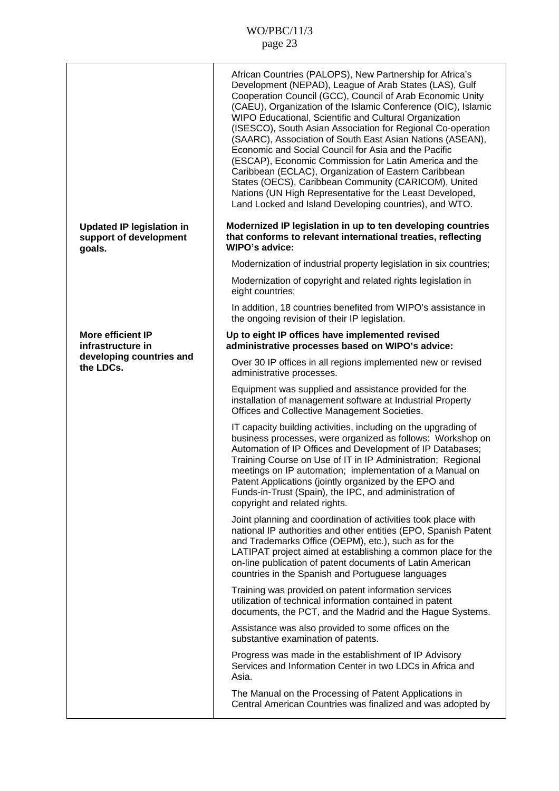|                                                                      | African Countries (PALOPS), New Partnership for Africa's<br>Development (NEPAD), League of Arab States (LAS), Gulf<br>Cooperation Council (GCC), Council of Arab Economic Unity<br>(CAEU), Organization of the Islamic Conference (OIC), Islamic<br>WIPO Educational, Scientific and Cultural Organization<br>(ISESCO), South Asian Association for Regional Co-operation<br>(SAARC), Association of South East Asian Nations (ASEAN),<br>Economic and Social Council for Asia and the Pacific<br>(ESCAP), Economic Commission for Latin America and the<br>Caribbean (ECLAC), Organization of Eastern Caribbean<br>States (OECS), Caribbean Community (CARICOM), United<br>Nations (UN High Representative for the Least Developed,<br>Land Locked and Island Developing countries), and WTO. |
|----------------------------------------------------------------------|------------------------------------------------------------------------------------------------------------------------------------------------------------------------------------------------------------------------------------------------------------------------------------------------------------------------------------------------------------------------------------------------------------------------------------------------------------------------------------------------------------------------------------------------------------------------------------------------------------------------------------------------------------------------------------------------------------------------------------------------------------------------------------------------|
| <b>Updated IP legislation in</b><br>support of development<br>goals. | Modernized IP legislation in up to ten developing countries<br>that conforms to relevant international treaties, reflecting<br><b>WIPO's advice:</b>                                                                                                                                                                                                                                                                                                                                                                                                                                                                                                                                                                                                                                           |
|                                                                      | Modernization of industrial property legislation in six countries;                                                                                                                                                                                                                                                                                                                                                                                                                                                                                                                                                                                                                                                                                                                             |
|                                                                      | Modernization of copyright and related rights legislation in<br>eight countries;                                                                                                                                                                                                                                                                                                                                                                                                                                                                                                                                                                                                                                                                                                               |
|                                                                      | In addition, 18 countries benefited from WIPO's assistance in<br>the ongoing revision of their IP legislation.                                                                                                                                                                                                                                                                                                                                                                                                                                                                                                                                                                                                                                                                                 |
| <b>More efficient IP</b><br>infrastructure in                        | Up to eight IP offices have implemented revised<br>administrative processes based on WIPO's advice:                                                                                                                                                                                                                                                                                                                                                                                                                                                                                                                                                                                                                                                                                            |
| developing countries and<br>the LDCs.                                | Over 30 IP offices in all regions implemented new or revised<br>administrative processes.                                                                                                                                                                                                                                                                                                                                                                                                                                                                                                                                                                                                                                                                                                      |
|                                                                      | Equipment was supplied and assistance provided for the<br>installation of management software at Industrial Property<br>Offices and Collective Management Societies.                                                                                                                                                                                                                                                                                                                                                                                                                                                                                                                                                                                                                           |
|                                                                      | IT capacity building activities, including on the upgrading of<br>business processes, were organized as follows: Workshop on<br>Automation of IP Offices and Development of IP Databases;<br>Training Course on Use of IT in IP Administration; Regional<br>meetings on IP automation; implementation of a Manual on<br>Patent Applications (jointly organized by the EPO and<br>Funds-in-Trust (Spain), the IPC, and administration of<br>copyright and related rights.                                                                                                                                                                                                                                                                                                                       |
|                                                                      | Joint planning and coordination of activities took place with<br>national IP authorities and other entities (EPO, Spanish Patent<br>and Trademarks Office (OEPM), etc.), such as for the<br>LATIPAT project aimed at establishing a common place for the<br>on-line publication of patent documents of Latin American<br>countries in the Spanish and Portuguese languages                                                                                                                                                                                                                                                                                                                                                                                                                     |
|                                                                      | Training was provided on patent information services<br>utilization of technical information contained in patent<br>documents, the PCT, and the Madrid and the Hague Systems.                                                                                                                                                                                                                                                                                                                                                                                                                                                                                                                                                                                                                  |
|                                                                      | Assistance was also provided to some offices on the<br>substantive examination of patents.                                                                                                                                                                                                                                                                                                                                                                                                                                                                                                                                                                                                                                                                                                     |
|                                                                      | Progress was made in the establishment of IP Advisory<br>Services and Information Center in two LDCs in Africa and<br>Asia.                                                                                                                                                                                                                                                                                                                                                                                                                                                                                                                                                                                                                                                                    |
|                                                                      | The Manual on the Processing of Patent Applications in<br>Central American Countries was finalized and was adopted by                                                                                                                                                                                                                                                                                                                                                                                                                                                                                                                                                                                                                                                                          |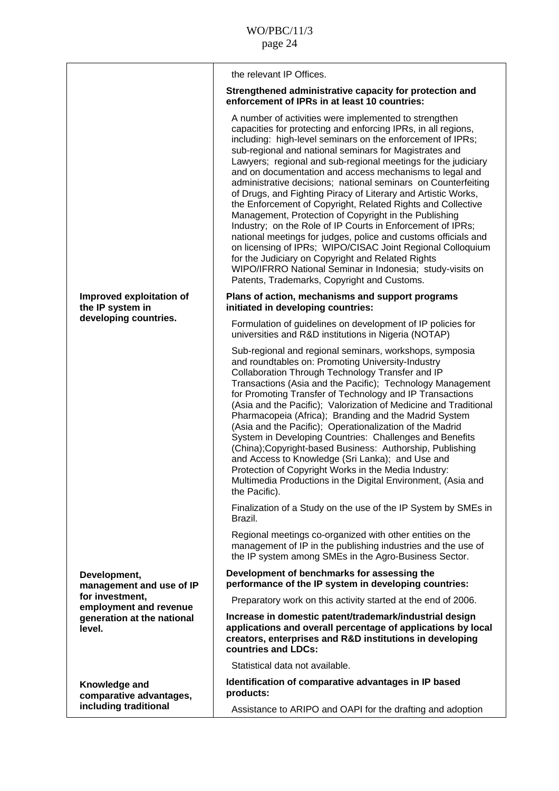|                                                                                   | the relevant IP Offices.                                                                                                                                                                                                                                                                                                                                                                                                                                                                                                                                                                                                                                                                                                                                                                                                                                                                                                                                                                            |
|-----------------------------------------------------------------------------------|-----------------------------------------------------------------------------------------------------------------------------------------------------------------------------------------------------------------------------------------------------------------------------------------------------------------------------------------------------------------------------------------------------------------------------------------------------------------------------------------------------------------------------------------------------------------------------------------------------------------------------------------------------------------------------------------------------------------------------------------------------------------------------------------------------------------------------------------------------------------------------------------------------------------------------------------------------------------------------------------------------|
|                                                                                   | Strengthened administrative capacity for protection and<br>enforcement of IPRs in at least 10 countries:                                                                                                                                                                                                                                                                                                                                                                                                                                                                                                                                                                                                                                                                                                                                                                                                                                                                                            |
|                                                                                   | A number of activities were implemented to strengthen<br>capacities for protecting and enforcing IPRs, in all regions,<br>including: high-level seminars on the enforcement of IPRs;<br>sub-regional and national seminars for Magistrates and<br>Lawyers; regional and sub-regional meetings for the judiciary<br>and on documentation and access mechanisms to legal and<br>administrative decisions; national seminars on Counterfeiting<br>of Drugs, and Fighting Piracy of Literary and Artistic Works,<br>the Enforcement of Copyright, Related Rights and Collective<br>Management, Protection of Copyright in the Publishing<br>Industry; on the Role of IP Courts in Enforcement of IPRs;<br>national meetings for judges, police and customs officials and<br>on licensing of IPRs; WIPO/CISAC Joint Regional Colloquium<br>for the Judiciary on Copyright and Related Rights<br>WIPO/IFRRO National Seminar in Indonesia; study-visits on<br>Patents, Trademarks, Copyright and Customs. |
| Improved exploitation of<br>the IP system in                                      | Plans of action, mechanisms and support programs<br>initiated in developing countries:                                                                                                                                                                                                                                                                                                                                                                                                                                                                                                                                                                                                                                                                                                                                                                                                                                                                                                              |
| developing countries.                                                             | Formulation of guidelines on development of IP policies for<br>universities and R&D institutions in Nigeria (NOTAP)                                                                                                                                                                                                                                                                                                                                                                                                                                                                                                                                                                                                                                                                                                                                                                                                                                                                                 |
|                                                                                   | Sub-regional and regional seminars, workshops, symposia<br>and roundtables on: Promoting University-Industry<br>Collaboration Through Technology Transfer and IP<br>Transactions (Asia and the Pacific); Technology Management<br>for Promoting Transfer of Technology and IP Transactions<br>(Asia and the Pacific); Valorization of Medicine and Traditional<br>Pharmacopeia (Africa); Branding and the Madrid System<br>(Asia and the Pacific); Operationalization of the Madrid<br>System in Developing Countries: Challenges and Benefits<br>(China); Copyright-based Business: Authorship, Publishing<br>and Access to Knowledge (Sri Lanka); and Use and<br>Protection of Copyright Works in the Media Industry:<br>Multimedia Productions in the Digital Environment, (Asia and<br>the Pacific).                                                                                                                                                                                            |
|                                                                                   | Finalization of a Study on the use of the IP System by SMEs in<br>Brazil.                                                                                                                                                                                                                                                                                                                                                                                                                                                                                                                                                                                                                                                                                                                                                                                                                                                                                                                           |
|                                                                                   | Regional meetings co-organized with other entities on the<br>management of IP in the publishing industries and the use of<br>the IP system among SMEs in the Agro-Business Sector.                                                                                                                                                                                                                                                                                                                                                                                                                                                                                                                                                                                                                                                                                                                                                                                                                  |
| Development,<br>management and use of IP                                          | Development of benchmarks for assessing the<br>performance of the IP system in developing countries:                                                                                                                                                                                                                                                                                                                                                                                                                                                                                                                                                                                                                                                                                                                                                                                                                                                                                                |
| for investment,<br>employment and revenue<br>generation at the national<br>level. | Preparatory work on this activity started at the end of 2006.                                                                                                                                                                                                                                                                                                                                                                                                                                                                                                                                                                                                                                                                                                                                                                                                                                                                                                                                       |
|                                                                                   | Increase in domestic patent/trademark/industrial design<br>applications and overall percentage of applications by local<br>creators, enterprises and R&D institutions in developing<br>countries and LDCs:                                                                                                                                                                                                                                                                                                                                                                                                                                                                                                                                                                                                                                                                                                                                                                                          |
|                                                                                   | Statistical data not available.                                                                                                                                                                                                                                                                                                                                                                                                                                                                                                                                                                                                                                                                                                                                                                                                                                                                                                                                                                     |
| Knowledge and<br>comparative advantages,                                          | Identification of comparative advantages in IP based<br>products:                                                                                                                                                                                                                                                                                                                                                                                                                                                                                                                                                                                                                                                                                                                                                                                                                                                                                                                                   |
| including traditional                                                             | Assistance to ARIPO and OAPI for the drafting and adoption                                                                                                                                                                                                                                                                                                                                                                                                                                                                                                                                                                                                                                                                                                                                                                                                                                                                                                                                          |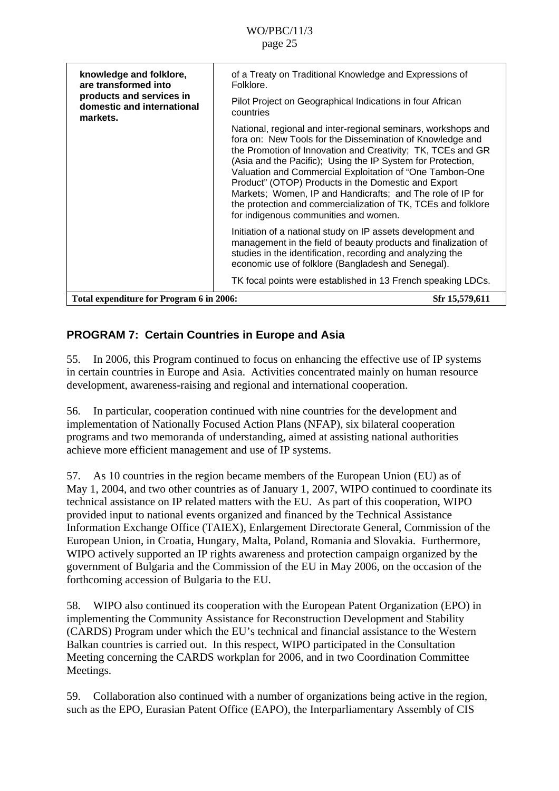<span id="page-24-0"></span>

| knowledge and folklore,<br>are transformed into<br>products and services in<br>domestic and international<br>markets. | of a Treaty on Traditional Knowledge and Expressions of<br>Folklore.                                                                                                                                                                                                                                                                                                                                                                                                                                                                                |
|-----------------------------------------------------------------------------------------------------------------------|-----------------------------------------------------------------------------------------------------------------------------------------------------------------------------------------------------------------------------------------------------------------------------------------------------------------------------------------------------------------------------------------------------------------------------------------------------------------------------------------------------------------------------------------------------|
|                                                                                                                       | Pilot Project on Geographical Indications in four African<br>countries                                                                                                                                                                                                                                                                                                                                                                                                                                                                              |
|                                                                                                                       | National, regional and inter-regional seminars, workshops and<br>fora on: New Tools for the Dissemination of Knowledge and<br>the Promotion of Innovation and Creativity; TK, TCEs and GR<br>(Asia and the Pacific); Using the IP System for Protection,<br>Valuation and Commercial Exploitation of "One Tambon-One<br>Product" (OTOP) Products in the Domestic and Export<br>Markets; Women, IP and Handicrafts; and The role of IP for<br>the protection and commercialization of TK, TCEs and folklore<br>for indigenous communities and women. |
|                                                                                                                       | Initiation of a national study on IP assets development and<br>management in the field of beauty products and finalization of<br>studies in the identification, recording and analyzing the<br>economic use of folklore (Bangladesh and Senegal).                                                                                                                                                                                                                                                                                                   |
|                                                                                                                       | TK focal points were established in 13 French speaking LDCs.                                                                                                                                                                                                                                                                                                                                                                                                                                                                                        |
| Total expenditure for Program 6 in 2006:                                                                              | Sfr 15,579,611                                                                                                                                                                                                                                                                                                                                                                                                                                                                                                                                      |
|                                                                                                                       |                                                                                                                                                                                                                                                                                                                                                                                                                                                                                                                                                     |

### **PROGRAM 7: Certain Countries in Europe and Asia**

55. In 2006, this Program continued to focus on enhancing the effective use of IP systems in certain countries in Europe and Asia. Activities concentrated mainly on human resource development, awareness-raising and regional and international cooperation.

56. In particular, cooperation continued with nine countries for the development and implementation of Nationally Focused Action Plans (NFAP), six bilateral cooperation programs and two memoranda of understanding, aimed at assisting national authorities achieve more efficient management and use of IP systems.

57. As 10 countries in the region became members of the European Union (EU) as of May 1, 2004, and two other countries as of January 1, 2007, WIPO continued to coordinate its technical assistance on IP related matters with the EU. As part of this cooperation, WIPO provided input to national events organized and financed by the Technical Assistance Information Exchange Office (TAIEX), Enlargement Directorate General, Commission of the European Union, in Croatia, Hungary, Malta, Poland, Romania and Slovakia. Furthermore, WIPO actively supported an IP rights awareness and protection campaign organized by the government of Bulgaria and the Commission of the EU in May 2006, on the occasion of the forthcoming accession of Bulgaria to the EU.

58. WIPO also continued its cooperation with the European Patent Organization (EPO) in implementing the Community Assistance for Reconstruction Development and Stability (CARDS) Program under which the EU's technical and financial assistance to the Western Balkan countries is carried out. In this respect, WIPO participated in the Consultation Meeting concerning the CARDS workplan for 2006, and in two Coordination Committee Meetings.

59. Collaboration also continued with a number of organizations being active in the region, such as the EPO, Eurasian Patent Office (EAPO), the Interparliamentary Assembly of CIS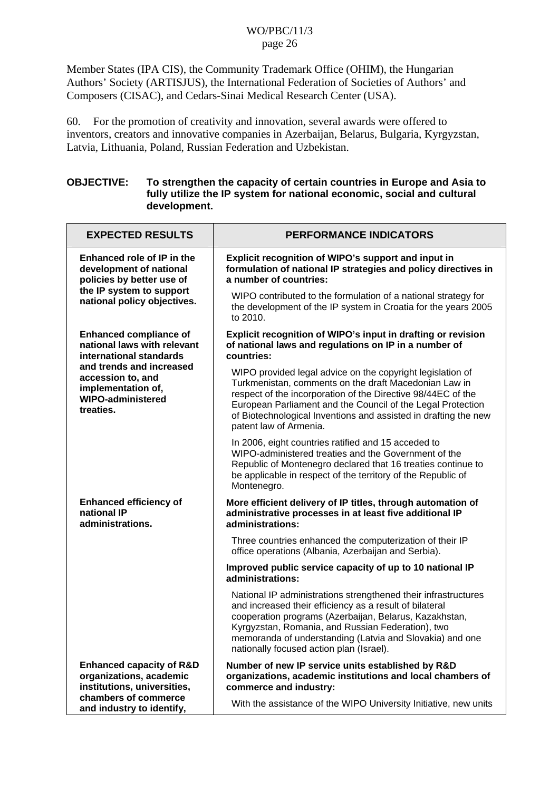Member States (IPA CIS), the Community Trademark Office (OHIM), the Hungarian Authors' Society (ARTISJUS), the International Federation of Societies of Authors' and Composers (CISAC), and Cedars-Sinai Medical Research Center (USA).

60. For the promotion of creativity and innovation, several awards were offered to inventors, creators and innovative companies in Azerbaijan, Belarus, Bulgaria, Kyrgyzstan, Latvia, Lithuania, Poland, Russian Federation and Uzbekistan.

#### **OBJECTIVE: To strengthen the capacity of certain countries in Europe and Asia to fully utilize the IP system for national economic, social and cultural development.**

| <b>EXPECTED RESULTS</b>                                                                                                                                                                                 | <b>PERFORMANCE INDICATORS</b>                                                                                                                                                                                                                                                                                                                    |
|---------------------------------------------------------------------------------------------------------------------------------------------------------------------------------------------------------|--------------------------------------------------------------------------------------------------------------------------------------------------------------------------------------------------------------------------------------------------------------------------------------------------------------------------------------------------|
| Enhanced role of IP in the<br>development of national<br>policies by better use of<br>the IP system to support<br>national policy objectives.                                                           | Explicit recognition of WIPO's support and input in<br>formulation of national IP strategies and policy directives in<br>a number of countries:                                                                                                                                                                                                  |
|                                                                                                                                                                                                         | WIPO contributed to the formulation of a national strategy for<br>the development of the IP system in Croatia for the years 2005<br>to 2010.                                                                                                                                                                                                     |
| <b>Enhanced compliance of</b><br>national laws with relevant<br>international standards<br>and trends and increased<br>accession to, and<br>implementation of,<br><b>WIPO-administered</b><br>treaties. | Explicit recognition of WIPO's input in drafting or revision<br>of national laws and regulations on IP in a number of<br>countries:                                                                                                                                                                                                              |
|                                                                                                                                                                                                         | WIPO provided legal advice on the copyright legislation of<br>Turkmenistan, comments on the draft Macedonian Law in<br>respect of the incorporation of the Directive 98/44EC of the<br>European Parliament and the Council of the Legal Protection<br>of Biotechnological Inventions and assisted in drafting the new<br>patent law of Armenia.  |
|                                                                                                                                                                                                         | In 2006, eight countries ratified and 15 acceded to<br>WIPO-administered treaties and the Government of the<br>Republic of Montenegro declared that 16 treaties continue to<br>be applicable in respect of the territory of the Republic of<br>Montenegro.                                                                                       |
| <b>Enhanced efficiency of</b><br>national IP<br>administrations.                                                                                                                                        | More efficient delivery of IP titles, through automation of<br>administrative processes in at least five additional IP<br>administrations:                                                                                                                                                                                                       |
|                                                                                                                                                                                                         | Three countries enhanced the computerization of their IP<br>office operations (Albania, Azerbaijan and Serbia).                                                                                                                                                                                                                                  |
|                                                                                                                                                                                                         | Improved public service capacity of up to 10 national IP<br>administrations:                                                                                                                                                                                                                                                                     |
|                                                                                                                                                                                                         | National IP administrations strengthened their infrastructures<br>and increased their efficiency as a result of bilateral<br>cooperation programs (Azerbaijan, Belarus, Kazakhstan,<br>Kyrgyzstan, Romania, and Russian Federation), two<br>memoranda of understanding (Latvia and Slovakia) and one<br>nationally focused action plan (Israel). |
| <b>Enhanced capacity of R&amp;D</b><br>organizations, academic<br>institutions, universities,                                                                                                           | Number of new IP service units established by R&D<br>organizations, academic institutions and local chambers of<br>commerce and industry:                                                                                                                                                                                                        |
| chambers of commerce<br>and industry to identify,                                                                                                                                                       | With the assistance of the WIPO University Initiative, new units                                                                                                                                                                                                                                                                                 |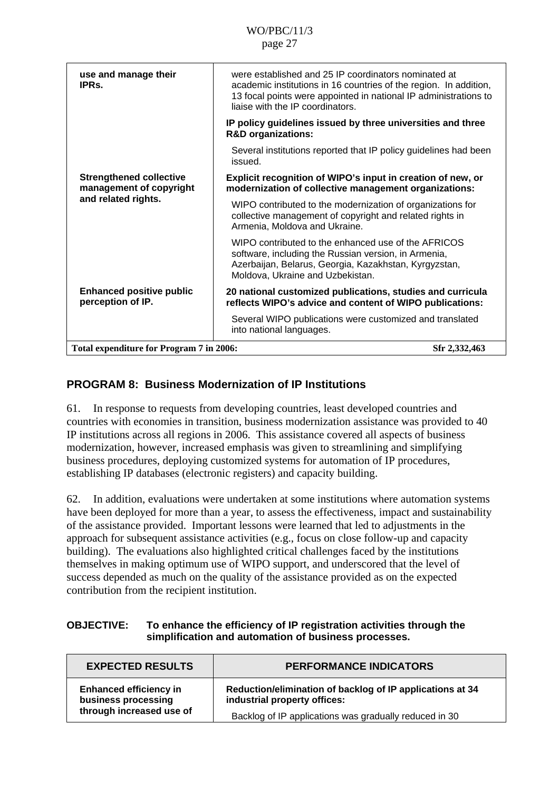<span id="page-26-0"></span>

| use and manage their<br>IPR <sub>S</sub>                                         | were established and 25 IP coordinators nominated at<br>academic institutions in 16 countries of the region. In addition,<br>13 focal points were appointed in national IP administrations to<br>liaise with the IP coordinators. |
|----------------------------------------------------------------------------------|-----------------------------------------------------------------------------------------------------------------------------------------------------------------------------------------------------------------------------------|
|                                                                                  | IP policy guidelines issued by three universities and three<br><b>R&amp;D</b> organizations:                                                                                                                                      |
|                                                                                  | Several institutions reported that IP policy guidelines had been<br>issued.                                                                                                                                                       |
| <b>Strengthened collective</b><br>management of copyright<br>and related rights. | Explicit recognition of WIPO's input in creation of new, or<br>modernization of collective management organizations:                                                                                                              |
|                                                                                  | WIPO contributed to the modernization of organizations for<br>collective management of copyright and related rights in<br>Armenia, Moldova and Ukraine.                                                                           |
|                                                                                  | WIPO contributed to the enhanced use of the AFRICOS<br>software, including the Russian version, in Armenia,<br>Azerbaijan, Belarus, Georgia, Kazakhstan, Kyrgyzstan,<br>Moldova, Ukraine and Uzbekistan.                          |
| <b>Enhanced positive public</b><br>perception of IP.                             | 20 national customized publications, studies and curricula<br>reflects WIPO's advice and content of WIPO publications:                                                                                                            |
|                                                                                  | Several WIPO publications were customized and translated<br>into national languages.                                                                                                                                              |
| Total expenditure for Program 7 in 2006:                                         | Sfr 2,332,463                                                                                                                                                                                                                     |
|                                                                                  |                                                                                                                                                                                                                                   |

### **PROGRAM 8: Business Modernization of IP Institutions**

61. In response to requests from developing countries, least developed countries and countries with economies in transition, business modernization assistance was provided to 40 IP institutions across all regions in 2006. This assistance covered all aspects of business modernization, however, increased emphasis was given to streamlining and simplifying business procedures, deploying customized systems for automation of IP procedures, establishing IP databases (electronic registers) and capacity building.

62. In addition, evaluations were undertaken at some institutions where automation systems have been deployed for more than a year, to assess the effectiveness, impact and sustainability of the assistance provided. Important lessons were learned that led to adjustments in the approach for subsequent assistance activities (e.g., focus on close follow-up and capacity building). The evaluations also highlighted critical challenges faced by the institutions themselves in making optimum use of WIPO support, and underscored that the level of success depended as much on the quality of the assistance provided as on the expected contribution from the recipient institution.

### **OBJECTIVE: To enhance the efficiency of IP registration activities through the simplification and automation of business processes.**

| <b>EXPECTED RESULTS</b>                              | <b>PERFORMANCE INDICATORS</b>                                                             |
|------------------------------------------------------|-------------------------------------------------------------------------------------------|
| <b>Enhanced efficiency in</b><br>business processing | Reduction/elimination of backlog of IP applications at 34<br>industrial property offices: |
| through increased use of                             | Backlog of IP applications was gradually reduced in 30                                    |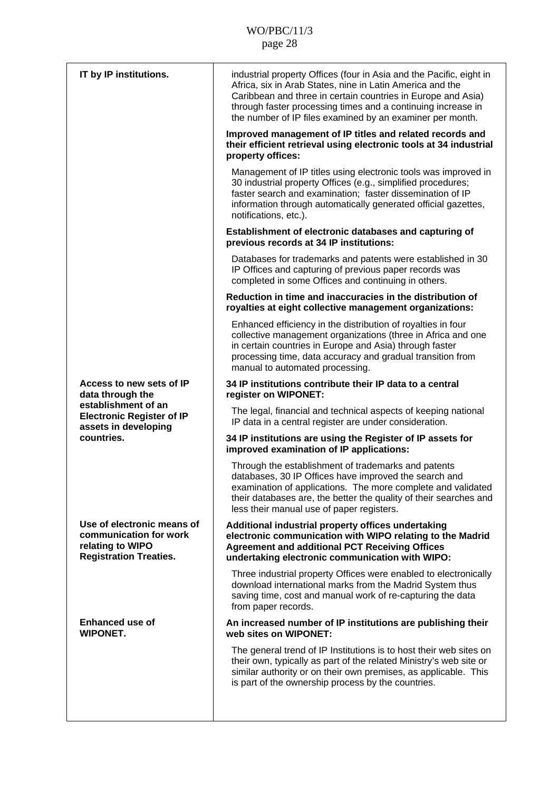| IT by IP institutions.                                                                                    | industrial property Offices (four in Asia and the Pacific, eight in<br>Africa, six in Arab States, nine in Latin America and the<br>Caribbean and three in certain countries in Europe and Asia)<br>through faster processing times and a continuing increase in<br>the number of IP files examined by an examiner per month. |
|-----------------------------------------------------------------------------------------------------------|-------------------------------------------------------------------------------------------------------------------------------------------------------------------------------------------------------------------------------------------------------------------------------------------------------------------------------|
|                                                                                                           | Improved management of IP titles and related records and<br>their efficient retrieval using electronic tools at 34 industrial<br>property offices:                                                                                                                                                                            |
|                                                                                                           | Management of IP titles using electronic tools was improved in<br>30 industrial property Offices (e.g., simplified procedures;<br>faster search and examination; faster dissemination of IP<br>information through automatically generated official gazettes,<br>notifications, etc.).                                        |
|                                                                                                           | Establishment of electronic databases and capturing of<br>previous records at 34 IP institutions:                                                                                                                                                                                                                             |
|                                                                                                           | Databases for trademarks and patents were established in 30<br>IP Offices and capturing of previous paper records was<br>completed in some Offices and continuing in others.                                                                                                                                                  |
|                                                                                                           | Reduction in time and inaccuracies in the distribution of<br>royalties at eight collective management organizations:                                                                                                                                                                                                          |
|                                                                                                           | Enhanced efficiency in the distribution of royalties in four<br>collective management organizations (three in Africa and one<br>in certain countries in Europe and Asia) through faster<br>processing time, data accuracy and gradual transition from<br>manual to automated processing.                                      |
| Access to new sets of IP<br>data through the                                                              | 34 IP institutions contribute their IP data to a central<br>register on WIPONET:                                                                                                                                                                                                                                              |
| establishment of an<br><b>Electronic Register of IP</b><br>assets in developing<br>countries.             | The legal, financial and technical aspects of keeping national<br>IP data in a central register are under consideration.                                                                                                                                                                                                      |
|                                                                                                           | 34 IP institutions are using the Register of IP assets for<br>improved examination of IP applications:                                                                                                                                                                                                                        |
|                                                                                                           | Through the establishment of trademarks and patents<br>databases, 30 IP Offices have improved the search and<br>examination of applications. The more complete and validated<br>their databases are, the better the quality of their searches and<br>less their manual use of paper registers.                                |
| Use of electronic means of<br>communication for work<br>relating to WIPO<br><b>Registration Treaties.</b> | Additional industrial property offices undertaking<br>electronic communication with WIPO relating to the Madrid<br><b>Agreement and additional PCT Receiving Offices</b><br>undertaking electronic communication with WIPO:                                                                                                   |
|                                                                                                           | Three industrial property Offices were enabled to electronically<br>download international marks from the Madrid System thus<br>saving time, cost and manual work of re-capturing the data<br>from paper records.                                                                                                             |
| <b>Enhanced use of</b><br><b>WIPONET.</b>                                                                 | An increased number of IP institutions are publishing their<br>web sites on WIPONET:                                                                                                                                                                                                                                          |
|                                                                                                           | The general trend of IP Institutions is to host their web sites on<br>their own, typically as part of the related Ministry's web site or<br>similar authority or on their own premises, as applicable. This<br>is part of the ownership process by the countries.                                                             |
|                                                                                                           |                                                                                                                                                                                                                                                                                                                               |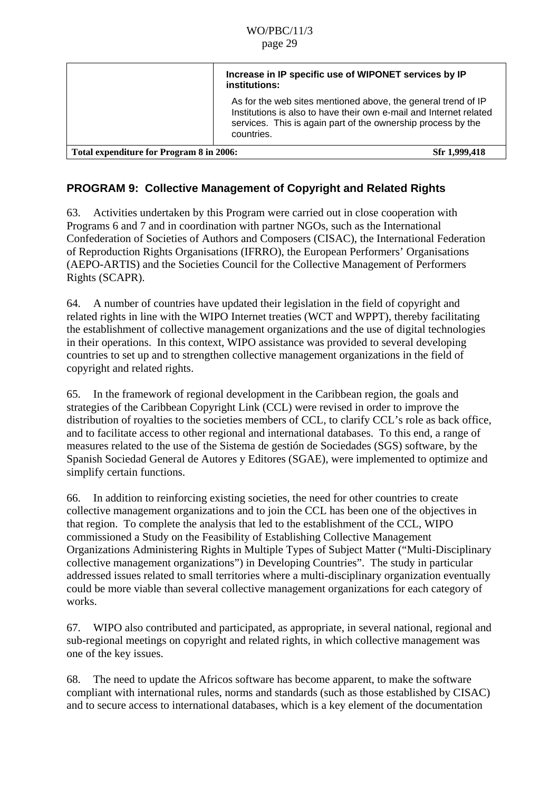<span id="page-28-0"></span>

|                                          | Increase in IP specific use of WIPONET services by IP<br>institutions:                                                                                                                                            |
|------------------------------------------|-------------------------------------------------------------------------------------------------------------------------------------------------------------------------------------------------------------------|
|                                          | As for the web sites mentioned above, the general trend of IP<br>Institutions is also to have their own e-mail and Internet related<br>services. This is again part of the ownership process by the<br>countries. |
| Total expenditure for Program 8 in 2006: | Sfr 1,999,418                                                                                                                                                                                                     |

## **PROGRAM 9: Collective Management of Copyright and Related Rights**

63. Activities undertaken by this Program were carried out in close cooperation with Programs 6 and 7 and in coordination with partner NGOs, such as the International Confederation of Societies of Authors and Composers (CISAC), the International Federation of Reproduction Rights Organisations (IFRRO), the European Performers' Organisations (AEPO-ARTIS) and the Societies Council for the Collective Management of Performers Rights (SCAPR).

64. A number of countries have updated their legislation in the field of copyright and related rights in line with the WIPO Internet treaties (WCT and WPPT), thereby facilitating the establishment of collective management organizations and the use of digital technologies in their operations. In this context, WIPO assistance was provided to several developing countries to set up and to strengthen collective management organizations in the field of copyright and related rights.

65. In the framework of regional development in the Caribbean region, the goals and strategies of the Caribbean Copyright Link (CCL) were revised in order to improve the distribution of royalties to the societies members of CCL, to clarify CCL's role as back office, and to facilitate access to other regional and international databases. To this end, a range of measures related to the use of the Sistema de gestión de Sociedades (SGS) software, by the Spanish Sociedad General de Autores y Editores (SGAE), were implemented to optimize and simplify certain functions.

66. In addition to reinforcing existing societies, the need for other countries to create collective management organizations and to join the CCL has been one of the objectives in that region. To complete the analysis that led to the establishment of the CCL, WIPO commissioned a Study on the Feasibility of Establishing Collective Management Organizations Administering Rights in Multiple Types of Subject Matter ("Multi-Disciplinary collective management organizations") in Developing Countries". The study in particular addressed issues related to small territories where a multi-disciplinary organization eventually could be more viable than several collective management organizations for each category of works.

67. WIPO also contributed and participated, as appropriate, in several national, regional and sub-regional meetings on copyright and related rights, in which collective management was one of the key issues.

68. The need to update the Africos software has become apparent, to make the software compliant with international rules, norms and standards (such as those established by CISAC) and to secure access to international databases, which is a key element of the documentation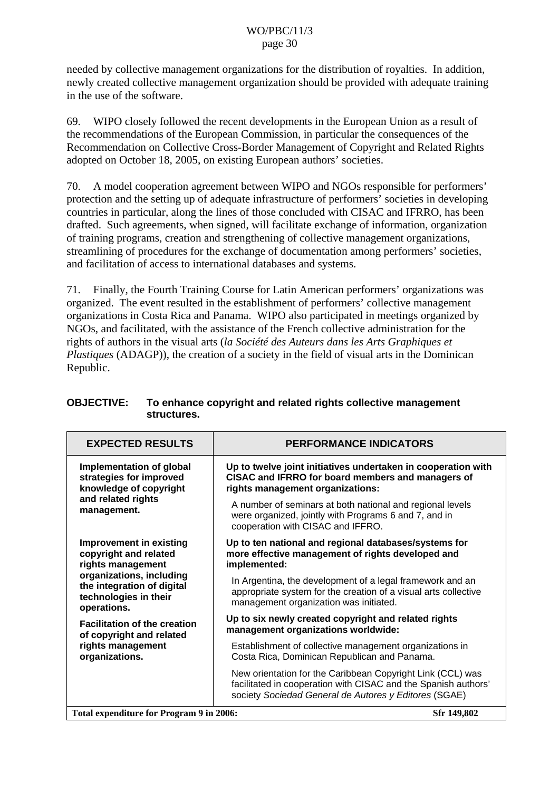needed by collective management organizations for the distribution of royalties. In addition, newly created collective management organization should be provided with adequate training in the use of the software.

69. WIPO closely followed the recent developments in the European Union as a result of the recommendations of the European Commission, in particular the consequences of the Recommendation on Collective Cross-Border Management of Copyright and Related Rights adopted on October 18, 2005, on existing European authors' societies.

70. A model cooperation agreement between WIPO and NGOs responsible for performers' protection and the setting up of adequate infrastructure of performers' societies in developing countries in particular, along the lines of those concluded with CISAC and IFRRO, has been drafted. Such agreements, when signed, will facilitate exchange of information, organization of training programs, creation and strengthening of collective management organizations, streamlining of procedures for the exchange of documentation among performers' societies, and facilitation of access to international databases and systems.

71. Finally, the Fourth Training Course for Latin American performers' organizations was organized. The event resulted in the establishment of performers' collective management organizations in Costa Rica and Panama. WIPO also participated in meetings organized by NGOs, and facilitated, with the assistance of the French collective administration for the rights of authors in the visual arts (*la Société des Auteurs dans les Arts Graphiques et Plastiques* (ADAGP)), the creation of a society in the field of visual arts in the Dominican Republic.

| <b>EXPECTED RESULTS</b>                                                                                                                                                        | <b>PERFORMANCE INDICATORS</b>                                                                                                                                                         |
|--------------------------------------------------------------------------------------------------------------------------------------------------------------------------------|---------------------------------------------------------------------------------------------------------------------------------------------------------------------------------------|
| Implementation of global<br>strategies for improved<br>knowledge of copyright<br>and related rights<br>management.                                                             | Up to twelve joint initiatives undertaken in cooperation with<br>CISAC and IFRRO for board members and managers of<br>rights management organizations:                                |
|                                                                                                                                                                                | A number of seminars at both national and regional levels<br>were organized, jointly with Programs 6 and 7, and in<br>cooperation with CISAC and IFFRO.                               |
| <b>Improvement in existing</b><br>copyright and related<br>rights management<br>organizations, including<br>the integration of digital<br>technologies in their<br>operations. | Up to ten national and regional databases/systems for<br>more effective management of rights developed and<br>implemented:                                                            |
|                                                                                                                                                                                | In Argentina, the development of a legal framework and an<br>appropriate system for the creation of a visual arts collective<br>management organization was initiated.                |
| <b>Facilitation of the creation</b><br>of copyright and related<br>rights management<br>organizations.                                                                         | Up to six newly created copyright and related rights<br>management organizations worldwide:                                                                                           |
|                                                                                                                                                                                | Establishment of collective management organizations in<br>Costa Rica, Dominican Republican and Panama.                                                                               |
|                                                                                                                                                                                | New orientation for the Caribbean Copyright Link (CCL) was<br>facilitated in cooperation with CISAC and the Spanish authors'<br>society Sociedad General de Autores y Editores (SGAE) |
| Total expenditure for Program 9 in 2006:<br>Sfr 149,802                                                                                                                        |                                                                                                                                                                                       |

### **OBJECTIVE: To enhance copyright and related rights collective management structures.**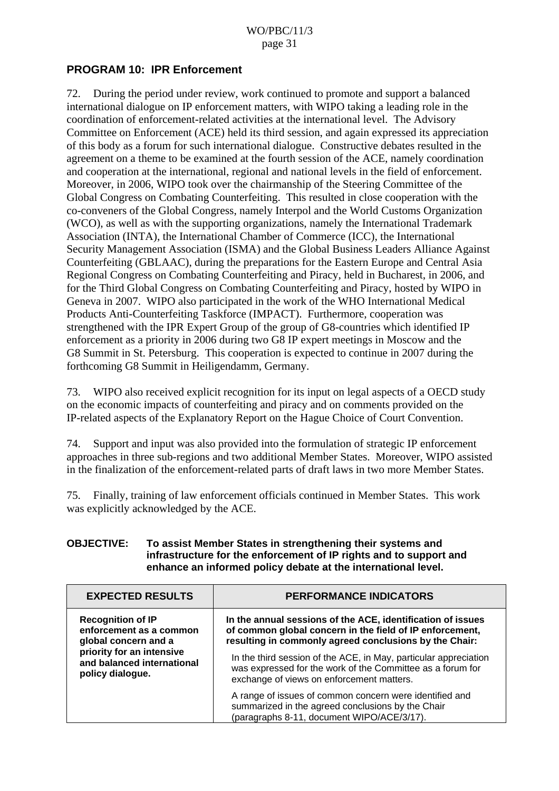### <span id="page-30-0"></span>**PROGRAM 10: IPR Enforcement**

72. During the period under review, work continued to promote and support a balanced international dialogue on IP enforcement matters, with WIPO taking a leading role in the coordination of enforcement-related activities at the international level. The Advisory Committee on Enforcement (ACE) held its third session, and again expressed its appreciation of this body as a forum for such international dialogue. Constructive debates resulted in the agreement on a theme to be examined at the fourth session of the ACE, namely coordination and cooperation at the international, regional and national levels in the field of enforcement. Moreover, in 2006, WIPO took over the chairmanship of the Steering Committee of the Global Congress on Combating Counterfeiting. This resulted in close cooperation with the co-conveners of the Global Congress, namely Interpol and the World Customs Organization (WCO), as well as with the supporting organizations, namely the International Trademark Association (INTA), the International Chamber of Commerce (ICC), the International Security Management Association (ISMA) and the Global Business Leaders Alliance Against Counterfeiting (GBLAAC), during the preparations for the Eastern Europe and Central Asia Regional Congress on Combating Counterfeiting and Piracy, held in Bucharest, in 2006, and for the Third Global Congress on Combating Counterfeiting and Piracy, hosted by WIPO in Geneva in 2007. WIPO also participated in the work of the WHO International Medical Products Anti-Counterfeiting Taskforce (IMPACT). Furthermore, cooperation was strengthened with the IPR Expert Group of the group of G8-countries which identified IP enforcement as a priority in 2006 during two G8 IP expert meetings in Moscow and the G8 Summit in St. Petersburg. This cooperation is expected to continue in 2007 during the forthcoming G8 Summit in Heiligendamm, Germany.

73. WIPO also received explicit recognition for its input on legal aspects of a OECD study on the economic impacts of counterfeiting and piracy and on comments provided on the IP-related aspects of the Explanatory Report on the Hague Choice of Court Convention.

74. Support and input was also provided into the formulation of strategic IP enforcement approaches in three sub-regions and two additional Member States. Moreover, WIPO assisted in the finalization of the enforcement-related parts of draft laws in two more Member States.

75. Finally, training of law enforcement officials continued in Member States. This work was explicitly acknowledged by the ACE.

#### **OBJECTIVE: To assist Member States in strengthening their systems and infrastructure for the enforcement of IP rights and to support and enhance an informed policy debate at the international level.**

| <b>EXPECTED RESULTS</b>                                                                                                                                    | <b>PERFORMANCE INDICATORS</b>                                                                                                                                                     |
|------------------------------------------------------------------------------------------------------------------------------------------------------------|-----------------------------------------------------------------------------------------------------------------------------------------------------------------------------------|
| <b>Recognition of IP</b><br>enforcement as a common<br>global concern and a<br>priority for an intensive<br>and balanced international<br>policy dialogue. | In the annual sessions of the ACE, identification of issues<br>of common global concern in the field of IP enforcement,<br>resulting in commonly agreed conclusions by the Chair: |
|                                                                                                                                                            | In the third session of the ACE, in May, particular appreciation<br>was expressed for the work of the Committee as a forum for<br>exchange of views on enforcement matters.       |
|                                                                                                                                                            | A range of issues of common concern were identified and<br>summarized in the agreed conclusions by the Chair<br>(paragraphs 8-11, document WIPO/ACE/3/17).                        |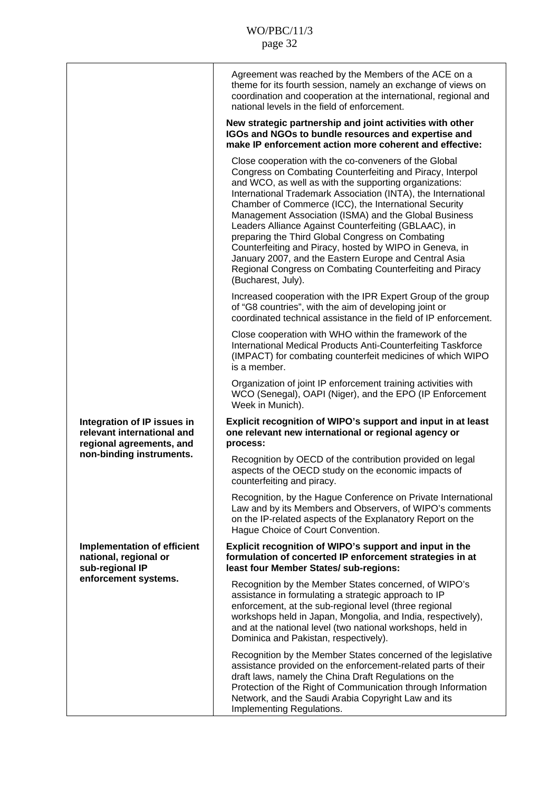|                                                                                                                   | Agreement was reached by the Members of the ACE on a<br>theme for its fourth session, namely an exchange of views on<br>coordination and cooperation at the international, regional and<br>national levels in the field of enforcement.                                                                                                                                                                                                                                                                                                                                                                                                                                           |
|-------------------------------------------------------------------------------------------------------------------|-----------------------------------------------------------------------------------------------------------------------------------------------------------------------------------------------------------------------------------------------------------------------------------------------------------------------------------------------------------------------------------------------------------------------------------------------------------------------------------------------------------------------------------------------------------------------------------------------------------------------------------------------------------------------------------|
|                                                                                                                   | New strategic partnership and joint activities with other<br>IGOs and NGOs to bundle resources and expertise and<br>make IP enforcement action more coherent and effective:                                                                                                                                                                                                                                                                                                                                                                                                                                                                                                       |
|                                                                                                                   | Close cooperation with the co-conveners of the Global<br>Congress on Combating Counterfeiting and Piracy, Interpol<br>and WCO, as well as with the supporting organizations:<br>International Trademark Association (INTA), the International<br>Chamber of Commerce (ICC), the International Security<br>Management Association (ISMA) and the Global Business<br>Leaders Alliance Against Counterfeiting (GBLAAC), in<br>preparing the Third Global Congress on Combating<br>Counterfeiting and Piracy, hosted by WIPO in Geneva, in<br>January 2007, and the Eastern Europe and Central Asia<br>Regional Congress on Combating Counterfeiting and Piracy<br>(Bucharest, July). |
|                                                                                                                   | Increased cooperation with the IPR Expert Group of the group<br>of "G8 countries", with the aim of developing joint or<br>coordinated technical assistance in the field of IP enforcement.                                                                                                                                                                                                                                                                                                                                                                                                                                                                                        |
|                                                                                                                   | Close cooperation with WHO within the framework of the<br>International Medical Products Anti-Counterfeiting Taskforce<br>(IMPACT) for combating counterfeit medicines of which WIPO<br>is a member.                                                                                                                                                                                                                                                                                                                                                                                                                                                                              |
|                                                                                                                   | Organization of joint IP enforcement training activities with<br>WCO (Senegal), OAPI (Niger), and the EPO (IP Enforcement<br>Week in Munich).                                                                                                                                                                                                                                                                                                                                                                                                                                                                                                                                     |
| Integration of IP issues in<br>relevant international and<br>regional agreements, and<br>non-binding instruments. | Explicit recognition of WIPO's support and input in at least<br>one relevant new international or regional agency or<br>process:                                                                                                                                                                                                                                                                                                                                                                                                                                                                                                                                                  |
|                                                                                                                   | Recognition by OECD of the contribution provided on legal<br>aspects of the OECD study on the economic impacts of<br>counterfeiting and piracy.                                                                                                                                                                                                                                                                                                                                                                                                                                                                                                                                   |
|                                                                                                                   | Recognition, by the Hague Conference on Private International<br>Law and by its Members and Observers, of WIPO's comments<br>on the IP-related aspects of the Explanatory Report on the<br>Hague Choice of Court Convention.                                                                                                                                                                                                                                                                                                                                                                                                                                                      |
| <b>Implementation of efficient</b><br>national, regional or<br>sub-regional IP<br>enforcement systems.            | Explicit recognition of WIPO's support and input in the<br>formulation of concerted IP enforcement strategies in at<br>least four Member States/ sub-regions:                                                                                                                                                                                                                                                                                                                                                                                                                                                                                                                     |
|                                                                                                                   | Recognition by the Member States concerned, of WIPO's<br>assistance in formulating a strategic approach to IP<br>enforcement, at the sub-regional level (three regional<br>workshops held in Japan, Mongolia, and India, respectively),<br>and at the national level (two national workshops, held in<br>Dominica and Pakistan, respectively).                                                                                                                                                                                                                                                                                                                                    |
|                                                                                                                   | Recognition by the Member States concerned of the legislative<br>assistance provided on the enforcement-related parts of their<br>draft laws, namely the China Draft Regulations on the<br>Protection of the Right of Communication through Information<br>Network, and the Saudi Arabia Copyright Law and its<br>Implementing Regulations.                                                                                                                                                                                                                                                                                                                                       |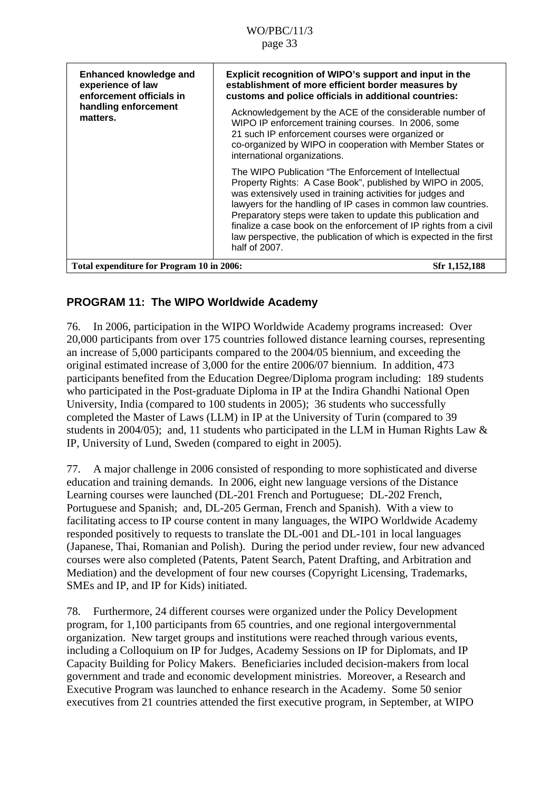<span id="page-32-0"></span>

| <b>Enhanced knowledge and</b><br>experience of law<br>enforcement officials in<br>handling enforcement<br>matters. | Explicit recognition of WIPO's support and input in the<br>establishment of more efficient border measures by<br>customs and police officials in additional countries:<br>Acknowledgement by the ACE of the considerable number of<br>WIPO IP enforcement training courses. In 2006, some<br>21 such IP enforcement courses were organized or<br>co-organized by WIPO in cooperation with Member States or<br>international organizations.                                   |
|--------------------------------------------------------------------------------------------------------------------|------------------------------------------------------------------------------------------------------------------------------------------------------------------------------------------------------------------------------------------------------------------------------------------------------------------------------------------------------------------------------------------------------------------------------------------------------------------------------|
|                                                                                                                    | The WIPO Publication "The Enforcement of Intellectual<br>Property Rights: A Case Book", published by WIPO in 2005,<br>was extensively used in training activities for judges and<br>lawyers for the handling of IP cases in common law countries.<br>Preparatory steps were taken to update this publication and<br>finalize a case book on the enforcement of IP rights from a civil<br>law perspective, the publication of which is expected in the first<br>half of 2007. |
| Total expenditure for Program 10 in 2006:                                                                          | Sfr 1,152,188                                                                                                                                                                                                                                                                                                                                                                                                                                                                |

# **PROGRAM 11: The WIPO Worldwide Academy**

76. In 2006, participation in the WIPO Worldwide Academy programs increased: Over 20,000 participants from over 175 countries followed distance learning courses, representing an increase of 5,000 participants compared to the 2004/05 biennium, and exceeding the original estimated increase of 3,000 for the entire 2006/07 biennium. In addition, 473 participants benefited from the Education Degree/Diploma program including: 189 students who participated in the Post-graduate Diploma in IP at the Indira Ghandhi National Open University, India (compared to 100 students in 2005); 36 students who successfully completed the Master of Laws (LLM) in IP at the University of Turin (compared to 39 students in 2004/05); and, 11 students who participated in the LLM in Human Rights Law & IP, University of Lund, Sweden (compared to eight in 2005).

77. A major challenge in 2006 consisted of responding to more sophisticated and diverse education and training demands. In 2006, eight new language versions of the Distance Learning courses were launched (DL-201 French and Portuguese; DL-202 French, Portuguese and Spanish; and, DL-205 German, French and Spanish). With a view to facilitating access to IP course content in many languages, the WIPO Worldwide Academy responded positively to requests to translate the DL-001 and DL-101 in local languages (Japanese, Thai, Romanian and Polish). During the period under review, four new advanced courses were also completed (Patents, Patent Search, Patent Drafting, and Arbitration and Mediation) and the development of four new courses (Copyright Licensing, Trademarks, SMEs and IP, and IP for Kids) initiated.

78. Furthermore, 24 different courses were organized under the Policy Development program, for 1,100 participants from 65 countries, and one regional intergovernmental organization. New target groups and institutions were reached through various events, including a Colloquium on IP for Judges, Academy Sessions on IP for Diplomats, and IP Capacity Building for Policy Makers. Beneficiaries included decision-makers from local government and trade and economic development ministries. Moreover, a Research and Executive Program was launched to enhance research in the Academy. Some 50 senior executives from 21 countries attended the first executive program, in September, at WIPO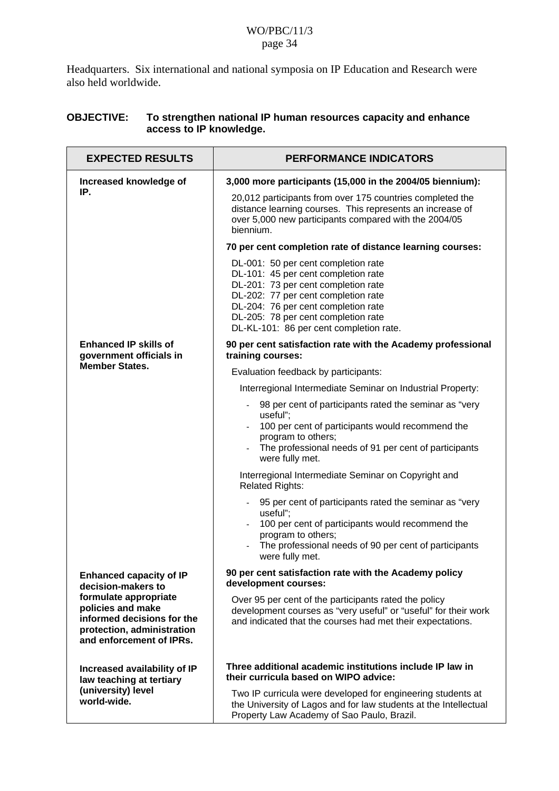Headquarters. Six international and national symposia on IP Education and Research were also held worldwide.

### **OBJECTIVE: To strengthen national IP human resources capacity and enhance access to IP knowledge.**

| <b>EXPECTED RESULTS</b>                                                                                                                                                                    | <b>PERFORMANCE INDICATORS</b>                                                                                                                                                                                                                                                     |
|--------------------------------------------------------------------------------------------------------------------------------------------------------------------------------------------|-----------------------------------------------------------------------------------------------------------------------------------------------------------------------------------------------------------------------------------------------------------------------------------|
| Increased knowledge of<br>IP.                                                                                                                                                              | 3,000 more participants (15,000 in the 2004/05 biennium):                                                                                                                                                                                                                         |
|                                                                                                                                                                                            | 20,012 participants from over 175 countries completed the<br>distance learning courses. This represents an increase of<br>over 5,000 new participants compared with the 2004/05<br>biennium.                                                                                      |
|                                                                                                                                                                                            | 70 per cent completion rate of distance learning courses:                                                                                                                                                                                                                         |
|                                                                                                                                                                                            | DL-001: 50 per cent completion rate<br>DL-101: 45 per cent completion rate<br>DL-201: 73 per cent completion rate<br>DL-202: 77 per cent completion rate<br>DL-204: 76 per cent completion rate<br>DL-205: 78 per cent completion rate<br>DL-KL-101: 86 per cent completion rate. |
| <b>Enhanced IP skills of</b><br>government officials in                                                                                                                                    | 90 per cent satisfaction rate with the Academy professional<br>training courses:                                                                                                                                                                                                  |
| <b>Member States.</b>                                                                                                                                                                      | Evaluation feedback by participants:                                                                                                                                                                                                                                              |
|                                                                                                                                                                                            | Interregional Intermediate Seminar on Industrial Property:                                                                                                                                                                                                                        |
|                                                                                                                                                                                            | 98 per cent of participants rated the seminar as "very<br>useful";<br>100 per cent of participants would recommend the<br>program to others;<br>The professional needs of 91 per cent of participants<br>were fully met.                                                          |
|                                                                                                                                                                                            | Interregional Intermediate Seminar on Copyright and<br><b>Related Rights:</b>                                                                                                                                                                                                     |
|                                                                                                                                                                                            | 95 per cent of participants rated the seminar as "very<br>useful";<br>100 per cent of participants would recommend the<br>program to others;<br>The professional needs of 90 per cent of participants<br>were fully met.                                                          |
| <b>Enhanced capacity of IP</b><br>decision-makers to<br>formulate appropriate<br>policies and make<br>informed decisions for the<br>protection, administration<br>and enforcement of IPRs. | 90 per cent satisfaction rate with the Academy policy<br>development courses:                                                                                                                                                                                                     |
|                                                                                                                                                                                            | Over 95 per cent of the participants rated the policy<br>development courses as "very useful" or "useful" for their work<br>and indicated that the courses had met their expectations.                                                                                            |
| Increased availability of IP<br>law teaching at tertiary<br>(university) level<br>world-wide.                                                                                              | Three additional academic institutions include IP law in<br>their curricula based on WIPO advice:                                                                                                                                                                                 |
|                                                                                                                                                                                            | Two IP curricula were developed for engineering students at<br>the University of Lagos and for law students at the Intellectual<br>Property Law Academy of Sao Paulo, Brazil.                                                                                                     |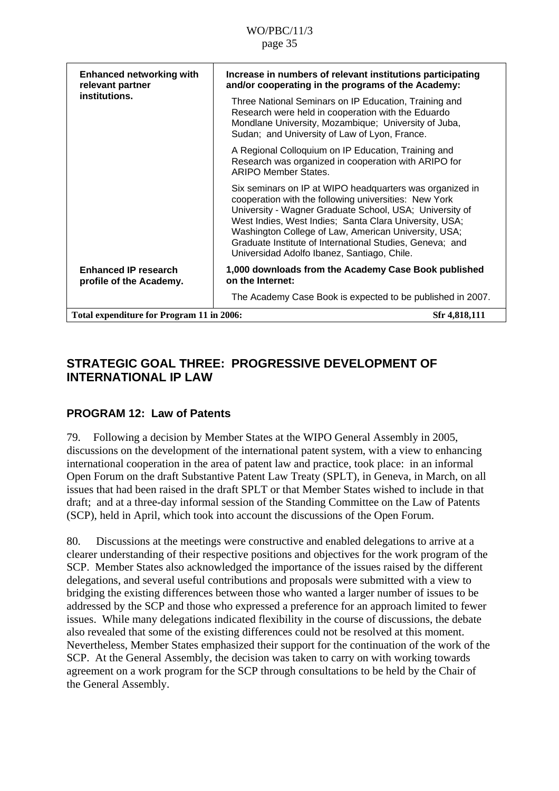<span id="page-34-0"></span>

| <b>Enhanced networking with</b><br>relevant partner<br>institutions. | Increase in numbers of relevant institutions participating<br>and/or cooperating in the programs of the Academy:<br>Three National Seminars on IP Education, Training and<br>Research were held in cooperation with the Eduardo<br>Mondlane University, Mozambique; University of Juba,<br>Sudan; and University of Law of Lyon, France.<br>A Regional Colloquium on IP Education, Training and<br>Research was organized in cooperation with ARIPO for<br><b>ARIPO Member States.</b> |
|----------------------------------------------------------------------|----------------------------------------------------------------------------------------------------------------------------------------------------------------------------------------------------------------------------------------------------------------------------------------------------------------------------------------------------------------------------------------------------------------------------------------------------------------------------------------|
|                                                                      | Six seminars on IP at WIPO headquarters was organized in<br>cooperation with the following universities: New York<br>University - Wagner Graduate School, USA; University of<br>West Indies, West Indies; Santa Clara University, USA;<br>Washington College of Law, American University, USA;<br>Graduate Institute of International Studies, Geneva; and<br>Universidad Adolfo Ibanez, Santiago, Chile.                                                                              |
| <b>Enhanced IP research</b><br>profile of the Academy.               | 1,000 downloads from the Academy Case Book published<br>on the Internet:                                                                                                                                                                                                                                                                                                                                                                                                               |
|                                                                      | The Academy Case Book is expected to be published in 2007.                                                                                                                                                                                                                                                                                                                                                                                                                             |
| Total expenditure for Program 11 in 2006:                            | Sfr 4,818,111                                                                                                                                                                                                                                                                                                                                                                                                                                                                          |

# **STRATEGIC GOAL THREE: PROGRESSIVE DEVELOPMENT OF INTERNATIONAL IP LAW**

### **PROGRAM 12: Law of Patents**

79. Following a decision by Member States at the WIPO General Assembly in 2005, discussions on the development of the international patent system, with a view to enhancing international cooperation in the area of patent law and practice, took place: in an informal Open Forum on the draft Substantive Patent Law Treaty (SPLT), in Geneva, in March, on all issues that had been raised in the draft SPLT or that Member States wished to include in that draft; and at a three-day informal session of the Standing Committee on the Law of Patents (SCP), held in April, which took into account the discussions of the Open Forum.

80. Discussions at the meetings were constructive and enabled delegations to arrive at a clearer understanding of their respective positions and objectives for the work program of the SCP. Member States also acknowledged the importance of the issues raised by the different delegations, and several useful contributions and proposals were submitted with a view to bridging the existing differences between those who wanted a larger number of issues to be addressed by the SCP and those who expressed a preference for an approach limited to fewer issues. While many delegations indicated flexibility in the course of discussions, the debate also revealed that some of the existing differences could not be resolved at this moment. Nevertheless, Member States emphasized their support for the continuation of the work of the SCP. At the General Assembly, the decision was taken to carry on with working towards agreement on a work program for the SCP through consultations to be held by the Chair of the General Assembly.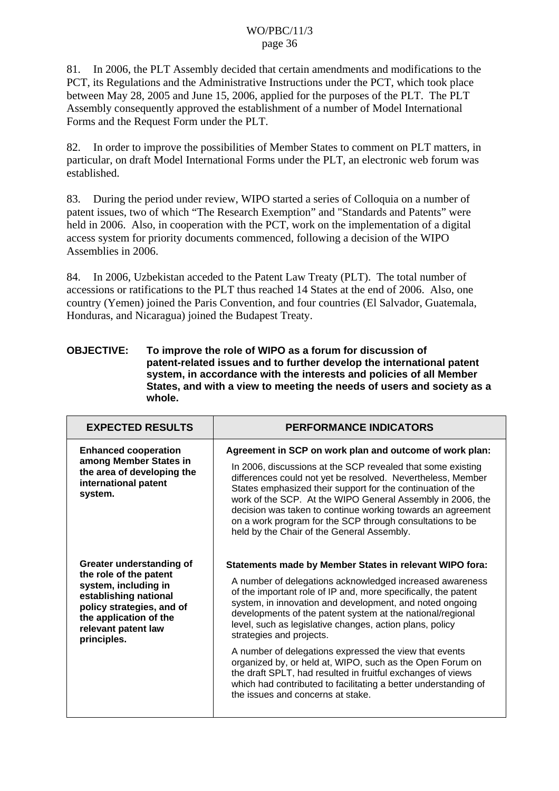81. In 2006, the PLT Assembly decided that certain amendments and modifications to the PCT, its Regulations and the Administrative Instructions under the PCT, which took place between May 28, 2005 and June 15, 2006, applied for the purposes of the PLT. The PLT Assembly consequently approved the establishment of a number of Model International Forms and the Request Form under the PLT.

82. In order to improve the possibilities of Member States to comment on PLT matters, in particular, on draft Model International Forms under the PLT, an electronic web forum was established.

83. During the period under review, WIPO started a series of Colloquia on a number of patent issues, two of which "The Research Exemption" and "Standards and Patents" were held in 2006. Also, in cooperation with the PCT, work on the implementation of a digital access system for priority documents commenced, following a decision of the WIPO Assemblies in 2006.

84. In 2006, Uzbekistan acceded to the Patent Law Treaty (PLT). The total number of accessions or ratifications to the PLT thus reached 14 States at the end of 2006. Also, one country (Yemen) joined the Paris Convention, and four countries (El Salvador, Guatemala, Honduras, and Nicaragua) joined the Budapest Treaty.

#### **OBJECTIVE: To improve the role of WIPO as a forum for discussion of patent-related issues and to further develop the international patent system, in accordance with the interests and policies of all Member States, and with a view to meeting the needs of users and society as a whole.**

| <b>EXPECTED RESULTS</b>                                                                                                                                                                          | <b>PERFORMANCE INDICATORS</b>                                                                                                                                                                                                                                                                                                                                                                                                                                                                                                                                                                                                                                                                         |
|--------------------------------------------------------------------------------------------------------------------------------------------------------------------------------------------------|-------------------------------------------------------------------------------------------------------------------------------------------------------------------------------------------------------------------------------------------------------------------------------------------------------------------------------------------------------------------------------------------------------------------------------------------------------------------------------------------------------------------------------------------------------------------------------------------------------------------------------------------------------------------------------------------------------|
| <b>Enhanced cooperation</b><br>among Member States in<br>the area of developing the<br>international patent<br>system.                                                                           | Agreement in SCP on work plan and outcome of work plan:<br>In 2006, discussions at the SCP revealed that some existing<br>differences could not yet be resolved. Nevertheless, Member<br>States emphasized their support for the continuation of the<br>work of the SCP. At the WIPO General Assembly in 2006, the<br>decision was taken to continue working towards an agreement<br>on a work program for the SCP through consultations to be<br>held by the Chair of the General Assembly.                                                                                                                                                                                                          |
| Greater understanding of<br>the role of the patent<br>system, including in<br>establishing national<br>policy strategies, and of<br>the application of the<br>relevant patent law<br>principles. | Statements made by Member States in relevant WIPO fora:<br>A number of delegations acknowledged increased awareness<br>of the important role of IP and, more specifically, the patent<br>system, in innovation and development, and noted ongoing<br>developments of the patent system at the national/regional<br>level, such as legislative changes, action plans, policy<br>strategies and projects.<br>A number of delegations expressed the view that events<br>organized by, or held at, WIPO, such as the Open Forum on<br>the draft SPLT, had resulted in fruitful exchanges of views<br>which had contributed to facilitating a better understanding of<br>the issues and concerns at stake. |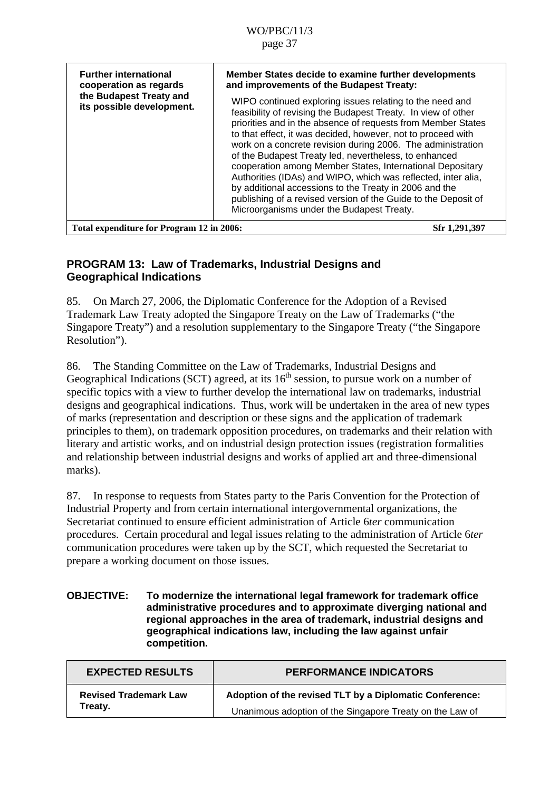| <b>Further international</b><br>cooperation as regards<br>the Budapest Treaty and<br>its possible development. | Member States decide to examine further developments<br>and improvements of the Budapest Treaty:<br>WIPO continued exploring issues relating to the need and<br>feasibility of revising the Budapest Treaty. In view of other<br>priorities and in the absence of requests from Member States<br>to that effect, it was decided, however, not to proceed with<br>work on a concrete revision during 2006. The administration<br>of the Budapest Treaty led, nevertheless, to enhanced<br>cooperation among Member States, International Depositary<br>Authorities (IDAs) and WIPO, which was reflected, inter alia,<br>by additional accessions to the Treaty in 2006 and the<br>publishing of a revised version of the Guide to the Deposit of<br>Microorganisms under the Budapest Treaty. |
|----------------------------------------------------------------------------------------------------------------|----------------------------------------------------------------------------------------------------------------------------------------------------------------------------------------------------------------------------------------------------------------------------------------------------------------------------------------------------------------------------------------------------------------------------------------------------------------------------------------------------------------------------------------------------------------------------------------------------------------------------------------------------------------------------------------------------------------------------------------------------------------------------------------------|
| Total expenditure for Program 12 in 2006:                                                                      | Sfr 1,291,397                                                                                                                                                                                                                                                                                                                                                                                                                                                                                                                                                                                                                                                                                                                                                                                |

### **PROGRAM 13: Law of Trademarks, Industrial Designs and Geographical Indications**

85. On March 27, 2006, the Diplomatic Conference for the Adoption of a Revised Trademark Law Treaty adopted the Singapore Treaty on the Law of Trademarks ("the Singapore Treaty") and a resolution supplementary to the Singapore Treaty ("the Singapore Resolution").

86. The Standing Committee on the Law of Trademarks, Industrial Designs and Geographical Indications (SCT) agreed, at its  $16<sup>th</sup>$  session, to pursue work on a number of specific topics with a view to further develop the international law on trademarks, industrial designs and geographical indications. Thus, work will be undertaken in the area of new types of marks (representation and description or these signs and the application of trademark principles to them), on trademark opposition procedures, on trademarks and their relation with literary and artistic works, and on industrial design protection issues (registration formalities and relationship between industrial designs and works of applied art and three-dimensional marks).

87. In response to requests from States party to the Paris Convention for the Protection of Industrial Property and from certain international intergovernmental organizations, the Secretariat continued to ensure efficient administration of Article 6*ter* communication procedures. Certain procedural and legal issues relating to the administration of Article 6*ter* communication procedures were taken up by the SCT, which requested the Secretariat to prepare a working document on those issues.

#### **OBJECTIVE: To modernize the international legal framework for trademark office administrative procedures and to approximate diverging national and regional approaches in the area of trademark, industrial designs and geographical indications law, including the law against unfair competition.**

| <b>EXPECTED RESULTS</b>      | <b>PERFORMANCE INDICATORS</b>                            |
|------------------------------|----------------------------------------------------------|
| <b>Revised Trademark Law</b> | Adoption of the revised TLT by a Diplomatic Conference:  |
| Treatv.                      | Unanimous adoption of the Singapore Treaty on the Law of |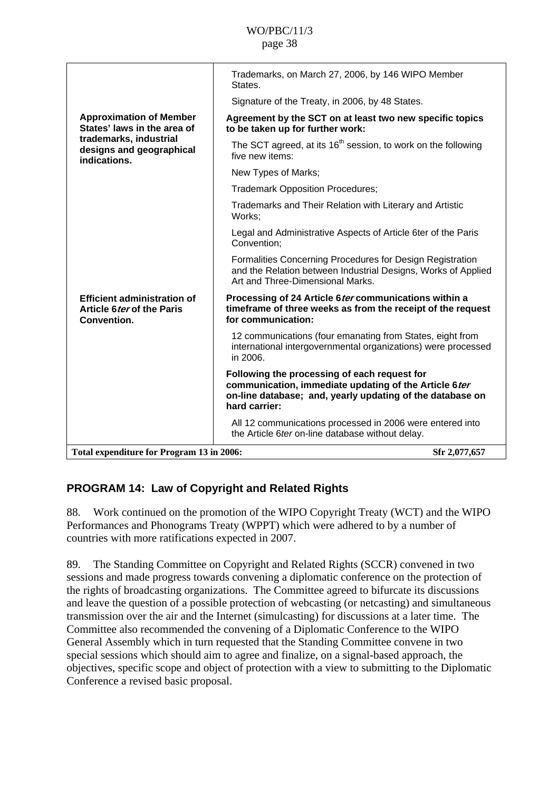|                                                                                 | Trademarks, on March 27, 2006, by 146 WIPO Member<br>States.                                                                                                                        |
|---------------------------------------------------------------------------------|-------------------------------------------------------------------------------------------------------------------------------------------------------------------------------------|
|                                                                                 | Signature of the Treaty, in 2006, by 48 States.                                                                                                                                     |
| <b>Approximation of Member</b><br>States' laws in the area of                   | Agreement by the SCT on at least two new specific topics<br>to be taken up for further work:                                                                                        |
| trademarks, industrial<br>designs and geographical<br>indications.              | The SCT agreed, at its 16 <sup>th</sup> session, to work on the following<br>five new items:                                                                                        |
|                                                                                 | New Types of Marks;                                                                                                                                                                 |
|                                                                                 | <b>Trademark Opposition Procedures;</b>                                                                                                                                             |
|                                                                                 | Trademarks and Their Relation with Literary and Artistic<br>Works:                                                                                                                  |
|                                                                                 | Legal and Administrative Aspects of Article 6ter of the Paris<br>Convention;                                                                                                        |
|                                                                                 | Formalities Concerning Procedures for Design Registration<br>and the Relation between Industrial Designs, Works of Applied<br>Art and Three-Dimensional Marks.                      |
| <b>Efficient administration of</b><br>Article 6 ter of the Paris<br>Convention. | Processing of 24 Article 6 ter communications within a<br>timeframe of three weeks as from the receipt of the request<br>for communication:                                         |
|                                                                                 | 12 communications (four emanating from States, eight from<br>international intergovernmental organizations) were processed<br>in 2006.                                              |
|                                                                                 | Following the processing of each request for<br>communication, immediate updating of the Article 6ter<br>on-line database; and, yearly updating of the database on<br>hard carrier: |
|                                                                                 | All 12 communications processed in 2006 were entered into<br>the Article 6ter on-line database without delay.                                                                       |
| Total expenditure for Program 13 in 2006:                                       | Sfr 2,077,657                                                                                                                                                                       |

## **PROGRAM 14: Law of Copyright and Related Rights**

88. Work continued on the promotion of the WIPO Copyright Treaty (WCT) and the WIPO Performances and Phonograms Treaty (WPPT) which were adhered to by a number of countries with more ratifications expected in 2007.

89. The Standing Committee on Copyright and Related Rights (SCCR) convened in two sessions and made progress towards convening a diplomatic conference on the protection of the rights of broadcasting organizations. The Committee agreed to bifurcate its discussions and leave the question of a possible protection of webcasting (or netcasting) and simultaneous transmission over the air and the Internet (simulcasting) for discussions at a later time. The Committee also recommended the convening of a Diplomatic Conference to the WIPO General Assembly which in turn requested that the Standing Committee convene in two special sessions which should aim to agree and finalize, on a signal-based approach, the objectives, specific scope and object of protection with a view to submitting to the Diplomatic Conference a revised basic proposal.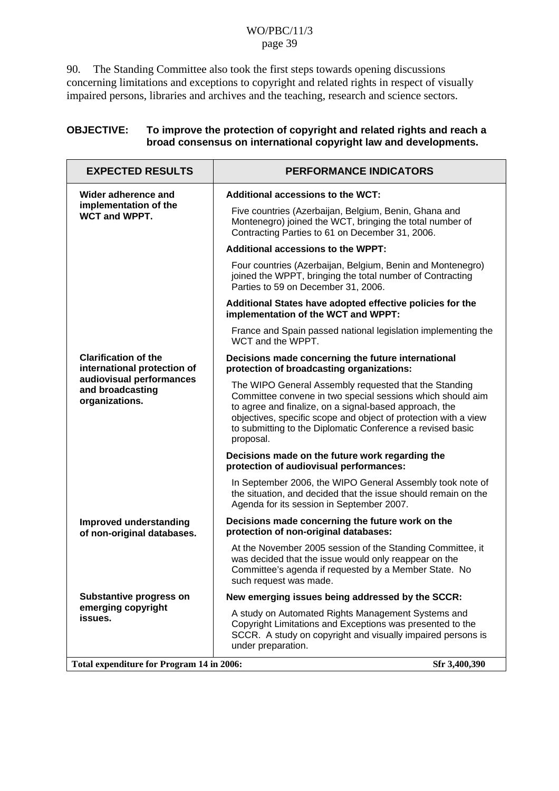90. The Standing Committee also took the first steps towards opening discussions concerning limitations and exceptions to copyright and related rights in respect of visually impaired persons, libraries and archives and the teaching, research and science sectors.

| <b>OBJECTIVE:</b> | To improve the protection of copyright and related rights and reach a |
|-------------------|-----------------------------------------------------------------------|
|                   | broad consensus on international copyright law and developments.      |

| <b>EXPECTED RESULTS</b>                                        | <b>PERFORMANCE INDICATORS</b>                                                                                                                                                                                                                                                                                               |
|----------------------------------------------------------------|-----------------------------------------------------------------------------------------------------------------------------------------------------------------------------------------------------------------------------------------------------------------------------------------------------------------------------|
| Wider adherence and                                            | Additional accessions to the WCT:                                                                                                                                                                                                                                                                                           |
| implementation of the<br><b>WCT and WPPT.</b>                  | Five countries (Azerbaijan, Belgium, Benin, Ghana and<br>Montenegro) joined the WCT, bringing the total number of<br>Contracting Parties to 61 on December 31, 2006.                                                                                                                                                        |
|                                                                | <b>Additional accessions to the WPPT:</b>                                                                                                                                                                                                                                                                                   |
|                                                                | Four countries (Azerbaijan, Belgium, Benin and Montenegro)<br>joined the WPPT, bringing the total number of Contracting<br>Parties to 59 on December 31, 2006.                                                                                                                                                              |
|                                                                | Additional States have adopted effective policies for the<br>implementation of the WCT and WPPT:                                                                                                                                                                                                                            |
|                                                                | France and Spain passed national legislation implementing the<br>WCT and the WPPT.                                                                                                                                                                                                                                          |
| <b>Clarification of the</b><br>international protection of     | Decisions made concerning the future international<br>protection of broadcasting organizations:                                                                                                                                                                                                                             |
| audiovisual performances<br>and broadcasting<br>organizations. | The WIPO General Assembly requested that the Standing<br>Committee convene in two special sessions which should aim<br>to agree and finalize, on a signal-based approach, the<br>objectives, specific scope and object of protection with a view<br>to submitting to the Diplomatic Conference a revised basic<br>proposal. |
|                                                                | Decisions made on the future work regarding the<br>protection of audiovisual performances:                                                                                                                                                                                                                                  |
|                                                                | In September 2006, the WIPO General Assembly took note of<br>the situation, and decided that the issue should remain on the<br>Agenda for its session in September 2007.                                                                                                                                                    |
| Improved understanding<br>of non-original databases.           | Decisions made concerning the future work on the<br>protection of non-original databases:                                                                                                                                                                                                                                   |
|                                                                | At the November 2005 session of the Standing Committee, it<br>was decided that the issue would only reappear on the<br>Committee's agenda if requested by a Member State. No<br>such request was made.                                                                                                                      |
| Substantive progress on                                        | New emerging issues being addressed by the SCCR:                                                                                                                                                                                                                                                                            |
| emerging copyright<br>issues.                                  | A study on Automated Rights Management Systems and<br>Copyright Limitations and Exceptions was presented to the<br>SCCR. A study on copyright and visually impaired persons is<br>under preparation.                                                                                                                        |
| Total expenditure for Program 14 in 2006:                      | Sfr 3,400,390                                                                                                                                                                                                                                                                                                               |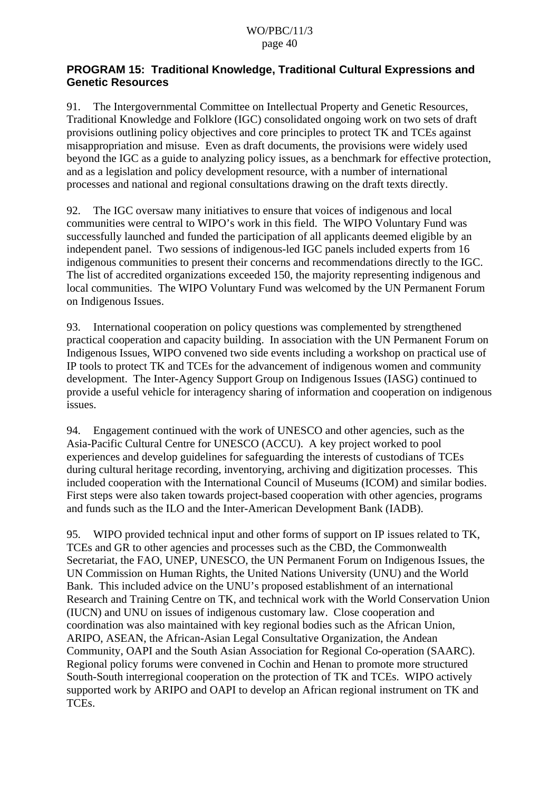### **PROGRAM 15: Traditional Knowledge, Traditional Cultural Expressions and Genetic Resources**

91. The Intergovernmental Committee on Intellectual Property and Genetic Resources, Traditional Knowledge and Folklore (IGC) consolidated ongoing work on two sets of draft provisions outlining policy objectives and core principles to protect TK and TCEs against misappropriation and misuse. Even as draft documents, the provisions were widely used beyond the IGC as a guide to analyzing policy issues, as a benchmark for effective protection, and as a legislation and policy development resource, with a number of international processes and national and regional consultations drawing on the draft texts directly.

92. The IGC oversaw many initiatives to ensure that voices of indigenous and local communities were central to WIPO's work in this field. The WIPO Voluntary Fund was successfully launched and funded the participation of all applicants deemed eligible by an independent panel. Two sessions of indigenous-led IGC panels included experts from 16 indigenous communities to present their concerns and recommendations directly to the IGC. The list of accredited organizations exceeded 150, the majority representing indigenous and local communities. The WIPO Voluntary Fund was welcomed by the UN Permanent Forum on Indigenous Issues.

93. International cooperation on policy questions was complemented by strengthened practical cooperation and capacity building. In association with the UN Permanent Forum on Indigenous Issues, WIPO convened two side events including a workshop on practical use of IP tools to protect TK and TCEs for the advancement of indigenous women and community development. The Inter-Agency Support Group on Indigenous Issues (IASG) continued to provide a useful vehicle for interagency sharing of information and cooperation on indigenous issues.

94. Engagement continued with the work of UNESCO and other agencies, such as the Asia-Pacific Cultural Centre for UNESCO (ACCU). A key project worked to pool experiences and develop guidelines for safeguarding the interests of custodians of TCEs during cultural heritage recording, inventorying, archiving and digitization processes. This included cooperation with the International Council of Museums (ICOM) and similar bodies. First steps were also taken towards project-based cooperation with other agencies, programs and funds such as the ILO and the Inter-American Development Bank (IADB).

95. WIPO provided technical input and other forms of support on IP issues related to TK, TCEs and GR to other agencies and processes such as the CBD, the Commonwealth Secretariat, the FAO, UNEP, UNESCO, the UN Permanent Forum on Indigenous Issues, the UN Commission on Human Rights, the United Nations University (UNU) and the World Bank. This included advice on the UNU's proposed establishment of an international Research and Training Centre on TK, and technical work with the World Conservation Union (IUCN) and UNU on issues of indigenous customary law. Close cooperation and coordination was also maintained with key regional bodies such as the African Union, ARIPO, ASEAN, the African-Asian Legal Consultative Organization, the Andean Community, OAPI and the South Asian Association for Regional Co-operation (SAARC). Regional policy forums were convened in Cochin and Henan to promote more structured South-South interregional cooperation on the protection of TK and TCEs. WIPO actively supported work by ARIPO and OAPI to develop an African regional instrument on TK and TCEs.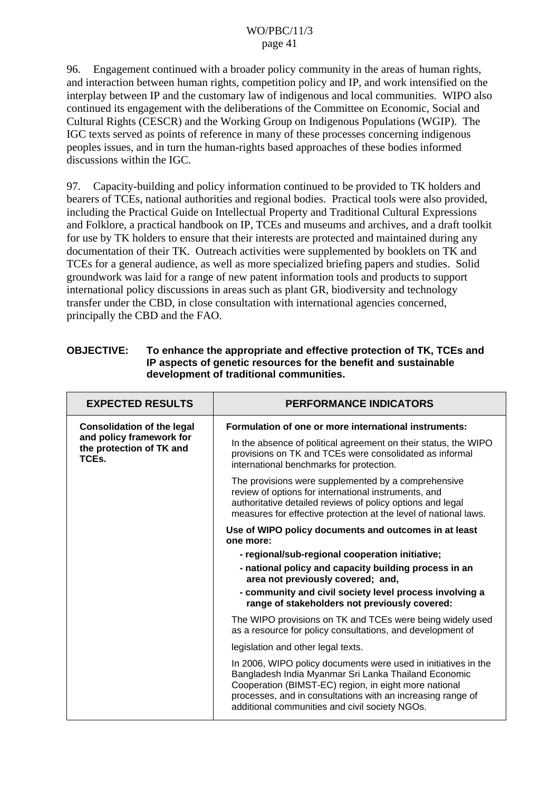96. Engagement continued with a broader policy community in the areas of human rights, and interaction between human rights, competition policy and IP, and work intensified on the interplay between IP and the customary law of indigenous and local communities. WIPO also continued its engagement with the deliberations of the Committee on Economic, Social and Cultural Rights (CESCR) and the Working Group on Indigenous Populations (WGIP). The IGC texts served as points of reference in many of these processes concerning indigenous peoples issues, and in turn the human-rights based approaches of these bodies informed discussions within the IGC.

97. Capacity-building and policy information continued to be provided to TK holders and bearers of TCEs, national authorities and regional bodies. Practical tools were also provided, including the Practical Guide on Intellectual Property and Traditional Cultural Expressions and Folklore, a practical handbook on IP, TCEs and museums and archives, and a draft toolkit for use by TK holders to ensure that their interests are protected and maintained during any documentation of their TK. Outreach activities were supplemented by booklets on TK and TCEs for a general audience, as well as more specialized briefing papers and studies. Solid groundwork was laid for a range of new patent information tools and products to support international policy discussions in areas such as plant GR, biodiversity and technology transfer under the CBD, in close consultation with international agencies concerned, principally the CBD and the FAO.

| <b>OBJECTIVE:</b> | To enhance the appropriate and effective protection of TK, TCEs and |
|-------------------|---------------------------------------------------------------------|
|                   | IP aspects of genetic resources for the benefit and sustainable     |
|                   | development of traditional communities.                             |

| <b>EXPECTED RESULTS</b>                                       | <b>PERFORMANCE INDICATORS</b>                                                                                                                                                                                                                                                                    |
|---------------------------------------------------------------|--------------------------------------------------------------------------------------------------------------------------------------------------------------------------------------------------------------------------------------------------------------------------------------------------|
| <b>Consolidation of the legal</b>                             | Formulation of one or more international instruments:                                                                                                                                                                                                                                            |
| and policy framework for<br>the protection of TK and<br>TCEs. | In the absence of political agreement on their status, the WIPO<br>provisions on TK and TCEs were consolidated as informal<br>international benchmarks for protection.                                                                                                                           |
|                                                               | The provisions were supplemented by a comprehensive<br>review of options for international instruments, and<br>authoritative detailed reviews of policy options and legal<br>measures for effective protection at the level of national laws.                                                    |
|                                                               | Use of WIPO policy documents and outcomes in at least<br>one more:                                                                                                                                                                                                                               |
|                                                               | - regional/sub-regional cooperation initiative;                                                                                                                                                                                                                                                  |
|                                                               | - national policy and capacity building process in an<br>area not previously covered; and,                                                                                                                                                                                                       |
|                                                               | - community and civil society level process involving a<br>range of stakeholders not previously covered:                                                                                                                                                                                         |
|                                                               | The WIPO provisions on TK and TCEs were being widely used<br>as a resource for policy consultations, and development of                                                                                                                                                                          |
|                                                               | legislation and other legal texts.                                                                                                                                                                                                                                                               |
|                                                               | In 2006, WIPO policy documents were used in initiatives in the<br>Bangladesh India Myanmar Sri Lanka Thailand Economic<br>Cooperation (BIMST-EC) region, in eight more national<br>processes, and in consultations with an increasing range of<br>additional communities and civil society NGOs. |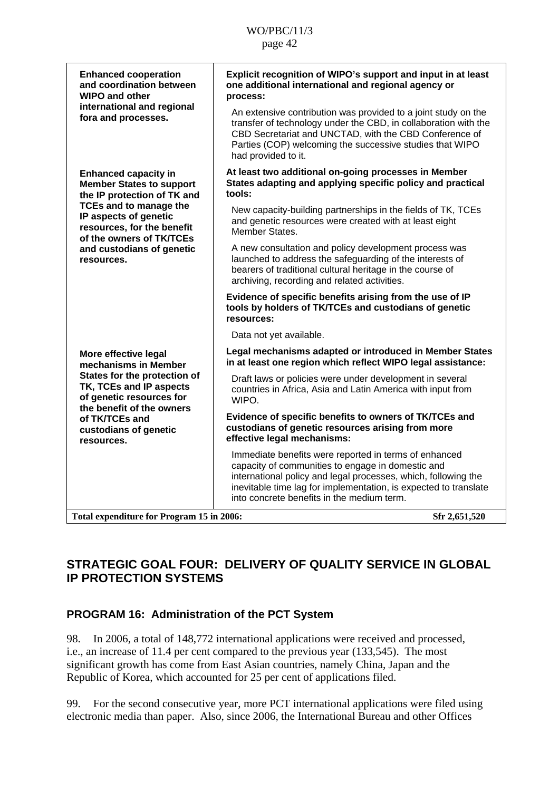| <b>Enhanced cooperation</b><br>and coordination between<br><b>WIPO and other</b>                                                                                                                                  | Explicit recognition of WIPO's support and input in at least<br>one additional international and regional agency or<br>process:                                                                                                                                                                |
|-------------------------------------------------------------------------------------------------------------------------------------------------------------------------------------------------------------------|------------------------------------------------------------------------------------------------------------------------------------------------------------------------------------------------------------------------------------------------------------------------------------------------|
| international and regional<br>fora and processes.                                                                                                                                                                 | An extensive contribution was provided to a joint study on the<br>transfer of technology under the CBD, in collaboration with the<br>CBD Secretariat and UNCTAD, with the CBD Conference of<br>Parties (COP) welcoming the successive studies that WIPO<br>had provided to it.                 |
| <b>Enhanced capacity in</b><br><b>Member States to support</b><br>the IP protection of TK and<br><b>TCEs and to manage the</b><br>IP aspects of genetic<br>resources, for the benefit<br>of the owners of TK/TCEs | At least two additional on-going processes in Member<br>States adapting and applying specific policy and practical<br>tools:                                                                                                                                                                   |
|                                                                                                                                                                                                                   | New capacity-building partnerships in the fields of TK, TCEs<br>and genetic resources were created with at least eight<br>Member States.                                                                                                                                                       |
| and custodians of genetic<br>resources.                                                                                                                                                                           | A new consultation and policy development process was<br>launched to address the safeguarding of the interests of<br>bearers of traditional cultural heritage in the course of<br>archiving, recording and related activities.                                                                 |
|                                                                                                                                                                                                                   | Evidence of specific benefits arising from the use of IP<br>tools by holders of TK/TCEs and custodians of genetic<br>resources:                                                                                                                                                                |
|                                                                                                                                                                                                                   | Data not yet available.                                                                                                                                                                                                                                                                        |
| More effective legal<br>mechanisms in Member                                                                                                                                                                      | Legal mechanisms adapted or introduced in Member States<br>in at least one region which reflect WIPO legal assistance:                                                                                                                                                                         |
| States for the protection of<br>TK, TCEs and IP aspects<br>of genetic resources for<br>the benefit of the owners                                                                                                  | Draft laws or policies were under development in several<br>countries in Africa, Asia and Latin America with input from<br>WIPO.                                                                                                                                                               |
| of TK/TCEs and<br>custodians of genetic<br>resources.                                                                                                                                                             | Evidence of specific benefits to owners of TK/TCEs and<br>custodians of genetic resources arising from more<br>effective legal mechanisms:                                                                                                                                                     |
|                                                                                                                                                                                                                   | Immediate benefits were reported in terms of enhanced<br>capacity of communities to engage in domestic and<br>international policy and legal processes, which, following the<br>inevitable time lag for implementation, is expected to translate<br>into concrete benefits in the medium term. |
| Total expenditure for Program 15 in 2006:                                                                                                                                                                         | Sfr 2,651,520                                                                                                                                                                                                                                                                                  |

# **STRATEGIC GOAL FOUR: DELIVERY OF QUALITY SERVICE IN GLOBAL IP PROTECTION SYSTEMS**

# **PROGRAM 16: Administration of the PCT System**

98. In 2006, a total of 148,772 international applications were received and processed, i.e., an increase of 11.4 per cent compared to the previous year (133,545). The most significant growth has come from East Asian countries, namely China, Japan and the Republic of Korea, which accounted for 25 per cent of applications filed.

99. For the second consecutive year, more PCT international applications were filed using electronic media than paper. Also, since 2006, the International Bureau and other Offices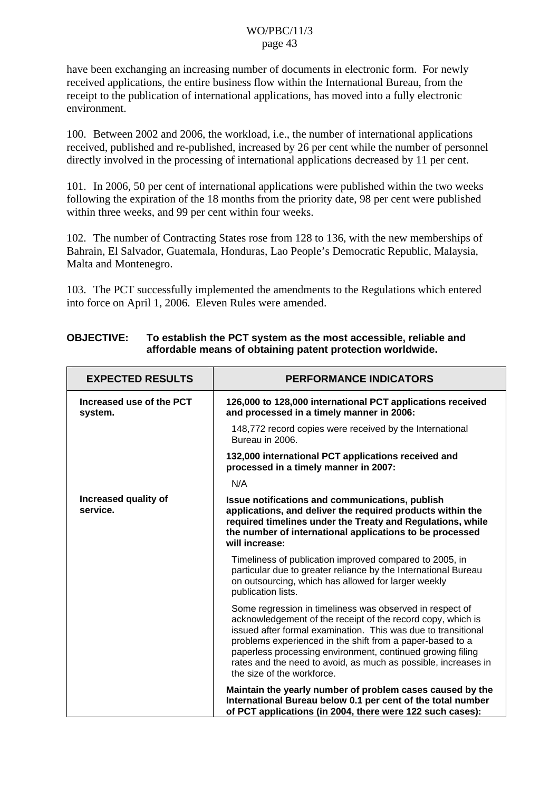have been exchanging an increasing number of documents in electronic form. For newly received applications, the entire business flow within the International Bureau, from the receipt to the publication of international applications, has moved into a fully electronic environment.

100. Between 2002 and 2006, the workload, i.e., the number of international applications received, published and re-published, increased by 26 per cent while the number of personnel directly involved in the processing of international applications decreased by 11 per cent.

101. In 2006, 50 per cent of international applications were published within the two weeks following the expiration of the 18 months from the priority date, 98 per cent were published within three weeks, and 99 per cent within four weeks.

102. The number of Contracting States rose from 128 to 136, with the new memberships of Bahrain, El Salvador, Guatemala, Honduras, Lao People's Democratic Republic, Malaysia, Malta and Montenegro.

103. The PCT successfully implemented the amendments to the Regulations which entered into force on April 1, 2006. Eleven Rules were amended.

| <b>EXPECTED RESULTS</b>             | <b>PERFORMANCE INDICATORS</b>                                                                                                                                                                                                                                                                                                                                                                                       |
|-------------------------------------|---------------------------------------------------------------------------------------------------------------------------------------------------------------------------------------------------------------------------------------------------------------------------------------------------------------------------------------------------------------------------------------------------------------------|
| Increased use of the PCT<br>system. | 126,000 to 128,000 international PCT applications received<br>and processed in a timely manner in 2006:                                                                                                                                                                                                                                                                                                             |
|                                     | 148,772 record copies were received by the International<br>Bureau in 2006.                                                                                                                                                                                                                                                                                                                                         |
|                                     | 132,000 international PCT applications received and<br>processed in a timely manner in 2007:                                                                                                                                                                                                                                                                                                                        |
|                                     | N/A                                                                                                                                                                                                                                                                                                                                                                                                                 |
| Increased quality of<br>service.    | Issue notifications and communications, publish<br>applications, and deliver the required products within the<br>required timelines under the Treaty and Regulations, while<br>the number of international applications to be processed<br>will increase:                                                                                                                                                           |
|                                     | Timeliness of publication improved compared to 2005, in<br>particular due to greater reliance by the International Bureau<br>on outsourcing, which has allowed for larger weekly<br>publication lists.                                                                                                                                                                                                              |
|                                     | Some regression in timeliness was observed in respect of<br>acknowledgement of the receipt of the record copy, which is<br>issued after formal examination. This was due to transitional<br>problems experienced in the shift from a paper-based to a<br>paperless processing environment, continued growing filing<br>rates and the need to avoid, as much as possible, increases in<br>the size of the workforce. |
|                                     | Maintain the yearly number of problem cases caused by the<br>International Bureau below 0.1 per cent of the total number<br>of PCT applications (in 2004, there were 122 such cases):                                                                                                                                                                                                                               |

### **OBJECTIVE: To establish the PCT system as the most accessible, reliable and affordable means of obtaining patent protection worldwide.**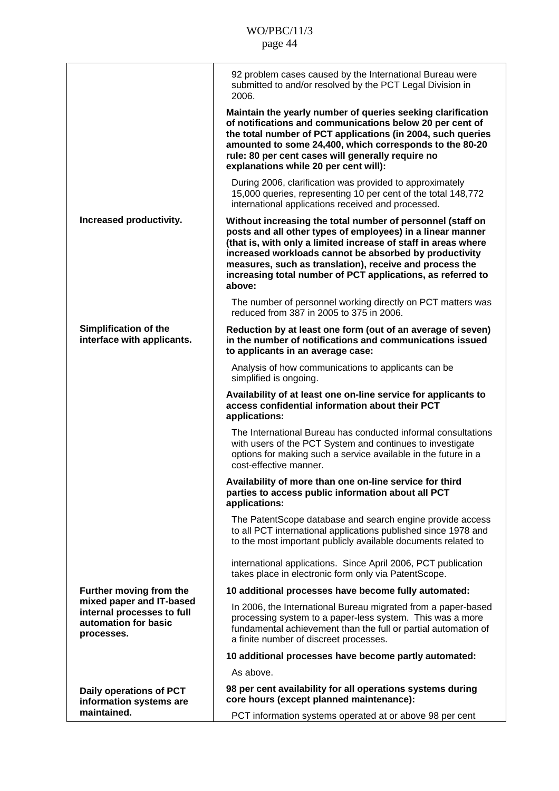|                                                                                              | 92 problem cases caused by the International Bureau were<br>submitted to and/or resolved by the PCT Legal Division in<br>2006.                                                                                                                                                                                                                                                           |
|----------------------------------------------------------------------------------------------|------------------------------------------------------------------------------------------------------------------------------------------------------------------------------------------------------------------------------------------------------------------------------------------------------------------------------------------------------------------------------------------|
|                                                                                              | Maintain the yearly number of queries seeking clarification<br>of notifications and communications below 20 per cent of<br>the total number of PCT applications (in 2004, such queries<br>amounted to some 24,400, which corresponds to the 80-20<br>rule: 80 per cent cases will generally require no<br>explanations while 20 per cent will):                                          |
|                                                                                              | During 2006, clarification was provided to approximately<br>15,000 queries, representing 10 per cent of the total 148,772<br>international applications received and processed.                                                                                                                                                                                                          |
| Increased productivity.                                                                      | Without increasing the total number of personnel (staff on<br>posts and all other types of employees) in a linear manner<br>(that is, with only a limited increase of staff in areas where<br>increased workloads cannot be absorbed by productivity<br>measures, such as translation), receive and process the<br>increasing total number of PCT applications, as referred to<br>above: |
|                                                                                              | The number of personnel working directly on PCT matters was<br>reduced from 387 in 2005 to 375 in 2006.                                                                                                                                                                                                                                                                                  |
| Simplification of the<br>interface with applicants.                                          | Reduction by at least one form (out of an average of seven)<br>in the number of notifications and communications issued<br>to applicants in an average case:                                                                                                                                                                                                                             |
|                                                                                              | Analysis of how communications to applicants can be<br>simplified is ongoing.                                                                                                                                                                                                                                                                                                            |
|                                                                                              | Availability of at least one on-line service for applicants to<br>access confidential information about their PCT<br>applications:                                                                                                                                                                                                                                                       |
|                                                                                              | The International Bureau has conducted informal consultations<br>with users of the PCT System and continues to investigate<br>options for making such a service available in the future in a<br>cost-effective manner.                                                                                                                                                                   |
|                                                                                              | Availability of more than one on-line service for third<br>parties to access public information about all PCT<br>applications:                                                                                                                                                                                                                                                           |
|                                                                                              | The PatentScope database and search engine provide access<br>to all PCT international applications published since 1978 and<br>to the most important publicly available documents related to                                                                                                                                                                                             |
|                                                                                              | international applications. Since April 2006, PCT publication<br>takes place in electronic form only via PatentScope.                                                                                                                                                                                                                                                                    |
| Further moving from the                                                                      | 10 additional processes have become fully automated:                                                                                                                                                                                                                                                                                                                                     |
| mixed paper and IT-based<br>internal processes to full<br>automation for basic<br>processes. | In 2006, the International Bureau migrated from a paper-based<br>processing system to a paper-less system. This was a more<br>fundamental achievement than the full or partial automation of<br>a finite number of discreet processes.                                                                                                                                                   |
|                                                                                              | 10 additional processes have become partly automated:                                                                                                                                                                                                                                                                                                                                    |
|                                                                                              | As above.                                                                                                                                                                                                                                                                                                                                                                                |
| Daily operations of PCT<br>information systems are                                           | 98 per cent availability for all operations systems during<br>core hours (except planned maintenance):                                                                                                                                                                                                                                                                                   |
| maintained.                                                                                  | PCT information systems operated at or above 98 per cent                                                                                                                                                                                                                                                                                                                                 |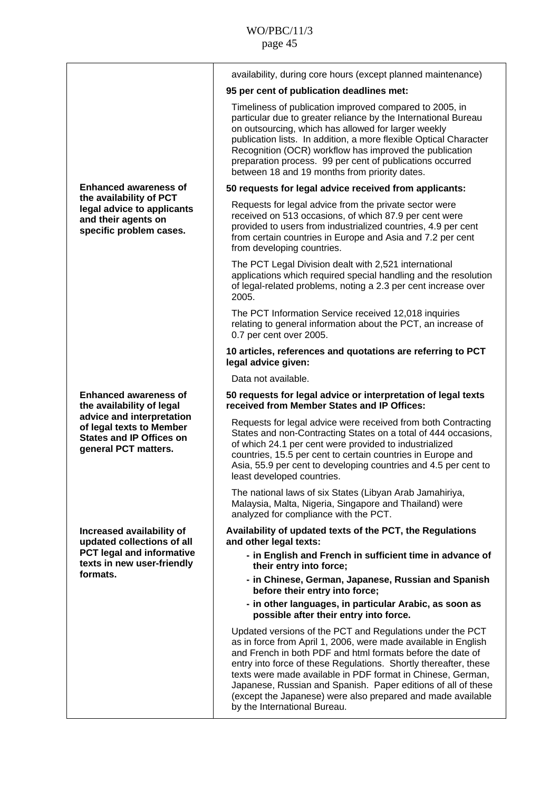|                                                                                                                  | availability, during core hours (except planned maintenance)                                                                                                                                                                                                                                                                                                                                                                                                                                 |
|------------------------------------------------------------------------------------------------------------------|----------------------------------------------------------------------------------------------------------------------------------------------------------------------------------------------------------------------------------------------------------------------------------------------------------------------------------------------------------------------------------------------------------------------------------------------------------------------------------------------|
|                                                                                                                  | 95 per cent of publication deadlines met:                                                                                                                                                                                                                                                                                                                                                                                                                                                    |
|                                                                                                                  | Timeliness of publication improved compared to 2005, in<br>particular due to greater reliance by the International Bureau<br>on outsourcing, which has allowed for larger weekly<br>publication lists. In addition, a more flexible Optical Character<br>Recognition (OCR) workflow has improved the publication<br>preparation process. 99 per cent of publications occurred<br>between 18 and 19 months from priority dates.                                                               |
| <b>Enhanced awareness of</b>                                                                                     | 50 requests for legal advice received from applicants:                                                                                                                                                                                                                                                                                                                                                                                                                                       |
| the availability of PCT<br>legal advice to applicants<br>and their agents on<br>specific problem cases.          | Requests for legal advice from the private sector were<br>received on 513 occasions, of which 87.9 per cent were<br>provided to users from industrialized countries, 4.9 per cent<br>from certain countries in Europe and Asia and 7.2 per cent<br>from developing countries.                                                                                                                                                                                                                |
|                                                                                                                  | The PCT Legal Division dealt with 2,521 international<br>applications which required special handling and the resolution<br>of legal-related problems, noting a 2.3 per cent increase over<br>2005.                                                                                                                                                                                                                                                                                          |
|                                                                                                                  | The PCT Information Service received 12,018 inquiries<br>relating to general information about the PCT, an increase of<br>0.7 per cent over 2005.                                                                                                                                                                                                                                                                                                                                            |
|                                                                                                                  | 10 articles, references and quotations are referring to PCT<br>legal advice given:                                                                                                                                                                                                                                                                                                                                                                                                           |
|                                                                                                                  | Data not available.                                                                                                                                                                                                                                                                                                                                                                                                                                                                          |
| <b>Enhanced awareness of</b><br>the availability of legal                                                        | 50 requests for legal advice or interpretation of legal texts<br>received from Member States and IP Offices:                                                                                                                                                                                                                                                                                                                                                                                 |
| advice and interpretation<br>of legal texts to Member<br><b>States and IP Offices on</b><br>general PCT matters. | Requests for legal advice were received from both Contracting<br>States and non-Contracting States on a total of 444 occasions,<br>of which 24.1 per cent were provided to industrialized<br>countries, 15.5 per cent to certain countries in Europe and<br>Asia, 55.9 per cent to developing countries and 4.5 per cent to<br>least developed countries.                                                                                                                                    |
|                                                                                                                  | The national laws of six States (Libyan Arab Jamahiriya,<br>Malaysia, Malta, Nigeria, Singapore and Thailand) were<br>analyzed for compliance with the PCT.                                                                                                                                                                                                                                                                                                                                  |
| Increased availability of<br>updated collections of all                                                          | Availability of updated texts of the PCT, the Regulations<br>and other legal texts:                                                                                                                                                                                                                                                                                                                                                                                                          |
| <b>PCT legal and informative</b><br>texts in new user-friendly                                                   | - in English and French in sufficient time in advance of<br>their entry into force;                                                                                                                                                                                                                                                                                                                                                                                                          |
| formats.                                                                                                         | - in Chinese, German, Japanese, Russian and Spanish<br>before their entry into force;                                                                                                                                                                                                                                                                                                                                                                                                        |
|                                                                                                                  | - in other languages, in particular Arabic, as soon as<br>possible after their entry into force.                                                                                                                                                                                                                                                                                                                                                                                             |
|                                                                                                                  | Updated versions of the PCT and Regulations under the PCT<br>as in force from April 1, 2006, were made available in English<br>and French in both PDF and html formats before the date of<br>entry into force of these Regulations. Shortly thereafter, these<br>texts were made available in PDF format in Chinese, German,<br>Japanese, Russian and Spanish. Paper editions of all of these<br>(except the Japanese) were also prepared and made available<br>by the International Bureau. |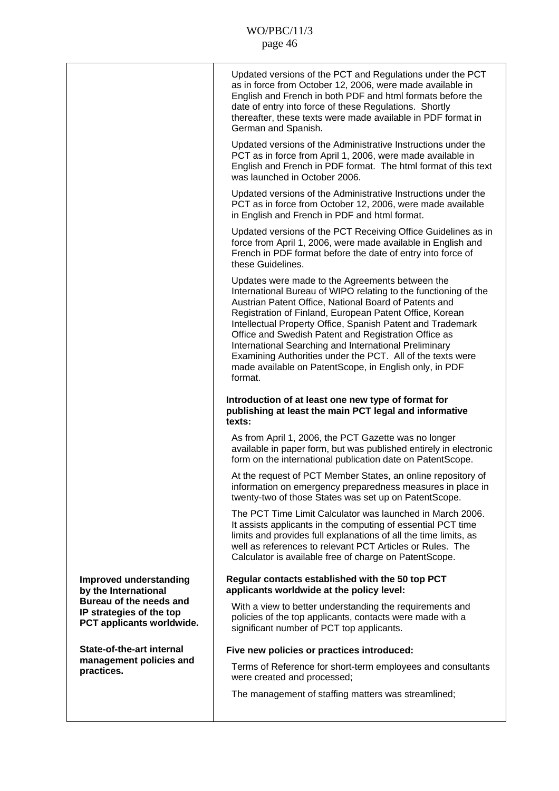|                                                                                  | Updated versions of the PCT and Regulations under the PCT<br>as in force from October 12, 2006, were made available in<br>English and French in both PDF and html formats before the<br>date of entry into force of these Regulations. Shortly<br>thereafter, these texts were made available in PDF format in<br>German and Spanish.                                                                                                                                                                                                                    |
|----------------------------------------------------------------------------------|----------------------------------------------------------------------------------------------------------------------------------------------------------------------------------------------------------------------------------------------------------------------------------------------------------------------------------------------------------------------------------------------------------------------------------------------------------------------------------------------------------------------------------------------------------|
|                                                                                  | Updated versions of the Administrative Instructions under the<br>PCT as in force from April 1, 2006, were made available in<br>English and French in PDF format. The html format of this text<br>was launched in October 2006.                                                                                                                                                                                                                                                                                                                           |
|                                                                                  | Updated versions of the Administrative Instructions under the<br>PCT as in force from October 12, 2006, were made available<br>in English and French in PDF and html format.                                                                                                                                                                                                                                                                                                                                                                             |
|                                                                                  | Updated versions of the PCT Receiving Office Guidelines as in<br>force from April 1, 2006, were made available in English and<br>French in PDF format before the date of entry into force of<br>these Guidelines.                                                                                                                                                                                                                                                                                                                                        |
|                                                                                  | Updates were made to the Agreements between the<br>International Bureau of WIPO relating to the functioning of the<br>Austrian Patent Office, National Board of Patents and<br>Registration of Finland, European Patent Office, Korean<br>Intellectual Property Office, Spanish Patent and Trademark<br>Office and Swedish Patent and Registration Office as<br>International Searching and International Preliminary<br>Examining Authorities under the PCT. All of the texts were<br>made available on PatentScope, in English only, in PDF<br>format. |
|                                                                                  |                                                                                                                                                                                                                                                                                                                                                                                                                                                                                                                                                          |
|                                                                                  | Introduction of at least one new type of format for<br>publishing at least the main PCT legal and informative<br>texts:                                                                                                                                                                                                                                                                                                                                                                                                                                  |
|                                                                                  | As from April 1, 2006, the PCT Gazette was no longer<br>available in paper form, but was published entirely in electronic<br>form on the international publication date on PatentScope.                                                                                                                                                                                                                                                                                                                                                                  |
|                                                                                  | At the request of PCT Member States, an online repository of<br>information on emergency preparedness measures in place in<br>twenty-two of those States was set up on PatentScope.                                                                                                                                                                                                                                                                                                                                                                      |
|                                                                                  | The PCT Time Limit Calculator was launched in March 2006.<br>It assists applicants in the computing of essential PCT time<br>limits and provides full explanations of all the time limits, as<br>well as references to relevant PCT Articles or Rules. The<br>Calculator is available free of charge on PatentScope.                                                                                                                                                                                                                                     |
| Improved understanding<br>by the International                                   | Regular contacts established with the 50 top PCT<br>applicants worldwide at the policy level:                                                                                                                                                                                                                                                                                                                                                                                                                                                            |
| Bureau of the needs and<br>IP strategies of the top<br>PCT applicants worldwide. | With a view to better understanding the requirements and<br>policies of the top applicants, contacts were made with a<br>significant number of PCT top applicants.                                                                                                                                                                                                                                                                                                                                                                                       |
| State-of-the-art internal                                                        | Five new policies or practices introduced:                                                                                                                                                                                                                                                                                                                                                                                                                                                                                                               |
| management policies and<br>practices.                                            | Terms of Reference for short-term employees and consultants<br>were created and processed;                                                                                                                                                                                                                                                                                                                                                                                                                                                               |
|                                                                                  | The management of staffing matters was streamlined;                                                                                                                                                                                                                                                                                                                                                                                                                                                                                                      |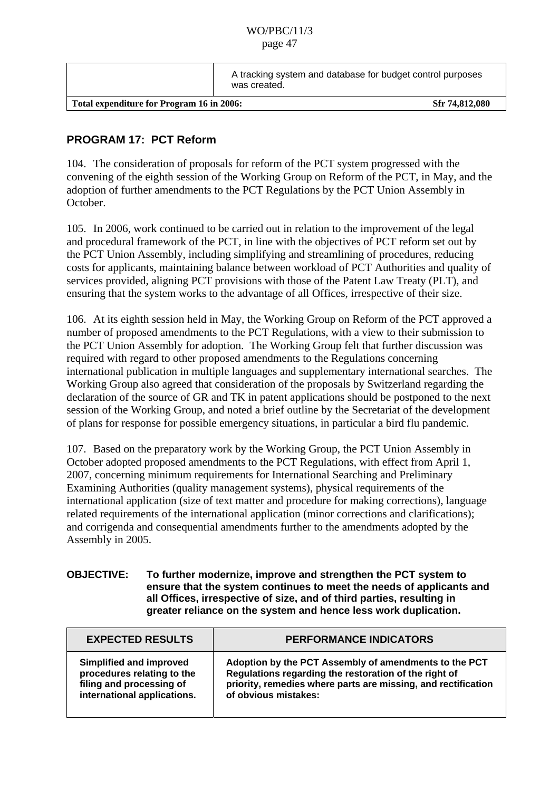|                                           | A tracking system and database for budget control purposes<br>was created. |  |
|-------------------------------------------|----------------------------------------------------------------------------|--|
| Total expenditure for Program 16 in 2006: | Sfr 74,812,080                                                             |  |

### **PROGRAM 17: PCT Reform**

104. The consideration of proposals for reform of the PCT system progressed with the convening of the eighth session of the Working Group on Reform of the PCT, in May, and the adoption of further amendments to the PCT Regulations by the PCT Union Assembly in October.

105. In 2006, work continued to be carried out in relation to the improvement of the legal and procedural framework of the PCT, in line with the objectives of PCT reform set out by the PCT Union Assembly, including simplifying and streamlining of procedures, reducing costs for applicants, maintaining balance between workload of PCT Authorities and quality of services provided, aligning PCT provisions with those of the Patent Law Treaty (PLT), and ensuring that the system works to the advantage of all Offices, irrespective of their size.

106. At its eighth session held in May, the Working Group on Reform of the PCT approved a number of proposed amendments to the PCT Regulations, with a view to their submission to the PCT Union Assembly for adoption. The Working Group felt that further discussion was required with regard to other proposed amendments to the Regulations concerning international publication in multiple languages and supplementary international searches. The Working Group also agreed that consideration of the proposals by Switzerland regarding the declaration of the source of GR and TK in patent applications should be postponed to the next session of the Working Group, and noted a brief outline by the Secretariat of the development of plans for response for possible emergency situations, in particular a bird flu pandemic.

107. Based on the preparatory work by the Working Group, the PCT Union Assembly in October adopted proposed amendments to the PCT Regulations, with effect from April 1, 2007, concerning minimum requirements for International Searching and Preliminary Examining Authorities (quality management systems), physical requirements of the international application (size of text matter and procedure for making corrections), language related requirements of the international application (minor corrections and clarifications); and corrigenda and consequential amendments further to the amendments adopted by the Assembly in 2005.

#### **OBJECTIVE: To further modernize, improve and strengthen the PCT system to ensure that the system continues to meet the needs of applicants and all Offices, irrespective of size, and of third parties, resulting in greater reliance on the system and hence less work duplication.**

| <b>EXPECTED RESULTS</b>     | <b>PERFORMANCE INDICATORS</b>                                 |
|-----------------------------|---------------------------------------------------------------|
| Simplified and improved     | Adoption by the PCT Assembly of amendments to the PCT         |
| procedures relating to the  | Regulations regarding the restoration of the right of         |
| filing and processing of    | priority, remedies where parts are missing, and rectification |
| international applications. | of obvious mistakes:                                          |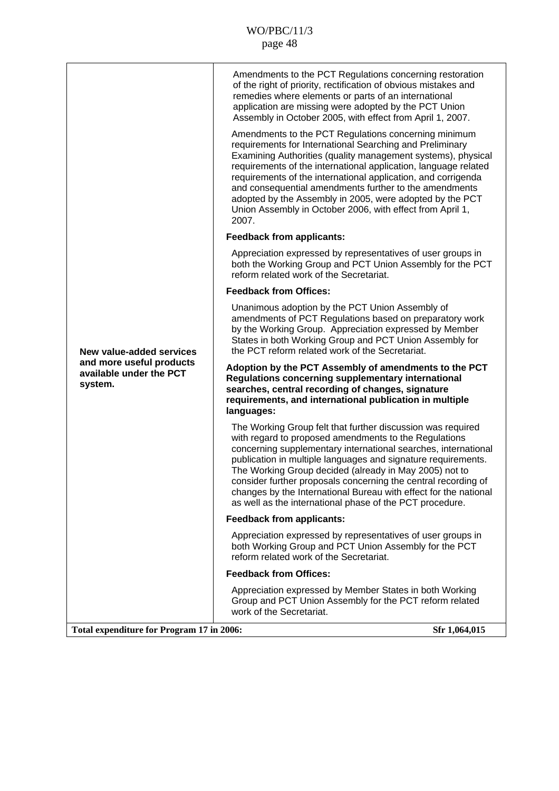|                                                                                            | Amendments to the PCT Regulations concerning restoration<br>of the right of priority, rectification of obvious mistakes and<br>remedies where elements or parts of an international<br>application are missing were adopted by the PCT Union<br>Assembly in October 2005, with effect from April 1, 2007.                                                                                                                                                                                                           |
|--------------------------------------------------------------------------------------------|---------------------------------------------------------------------------------------------------------------------------------------------------------------------------------------------------------------------------------------------------------------------------------------------------------------------------------------------------------------------------------------------------------------------------------------------------------------------------------------------------------------------|
|                                                                                            | Amendments to the PCT Regulations concerning minimum<br>requirements for International Searching and Preliminary<br>Examining Authorities (quality management systems), physical<br>requirements of the international application, language related<br>requirements of the international application, and corrigenda<br>and consequential amendments further to the amendments<br>adopted by the Assembly in 2005, were adopted by the PCT<br>Union Assembly in October 2006, with effect from April 1,<br>2007.    |
|                                                                                            | <b>Feedback from applicants:</b>                                                                                                                                                                                                                                                                                                                                                                                                                                                                                    |
|                                                                                            | Appreciation expressed by representatives of user groups in<br>both the Working Group and PCT Union Assembly for the PCT<br>reform related work of the Secretariat.                                                                                                                                                                                                                                                                                                                                                 |
| New value-added services<br>and more useful products<br>available under the PCT<br>system. | <b>Feedback from Offices:</b>                                                                                                                                                                                                                                                                                                                                                                                                                                                                                       |
|                                                                                            | Unanimous adoption by the PCT Union Assembly of<br>amendments of PCT Regulations based on preparatory work<br>by the Working Group. Appreciation expressed by Member<br>States in both Working Group and PCT Union Assembly for<br>the PCT reform related work of the Secretariat.                                                                                                                                                                                                                                  |
|                                                                                            | Adoption by the PCT Assembly of amendments to the PCT<br>Regulations concerning supplementary international<br>searches, central recording of changes, signature<br>requirements, and international publication in multiple<br>languages:                                                                                                                                                                                                                                                                           |
|                                                                                            | The Working Group felt that further discussion was required<br>with regard to proposed amendments to the Regulations<br>concerning supplementary international searches, international<br>publication in multiple languages and signature requirements.<br>The Working Group decided (already in May 2005) not to<br>consider further proposals concerning the central recording of<br>changes by the International Bureau with effect for the national<br>as well as the international phase of the PCT procedure. |
|                                                                                            | <b>Feedback from applicants:</b>                                                                                                                                                                                                                                                                                                                                                                                                                                                                                    |
|                                                                                            | Appreciation expressed by representatives of user groups in<br>both Working Group and PCT Union Assembly for the PCT<br>reform related work of the Secretariat.                                                                                                                                                                                                                                                                                                                                                     |
|                                                                                            | <b>Feedback from Offices:</b>                                                                                                                                                                                                                                                                                                                                                                                                                                                                                       |
|                                                                                            | Appreciation expressed by Member States in both Working<br>Group and PCT Union Assembly for the PCT reform related<br>work of the Secretariat.                                                                                                                                                                                                                                                                                                                                                                      |
| Total expenditure for Program 17 in 2006:                                                  | Sfr 1,064,015                                                                                                                                                                                                                                                                                                                                                                                                                                                                                                       |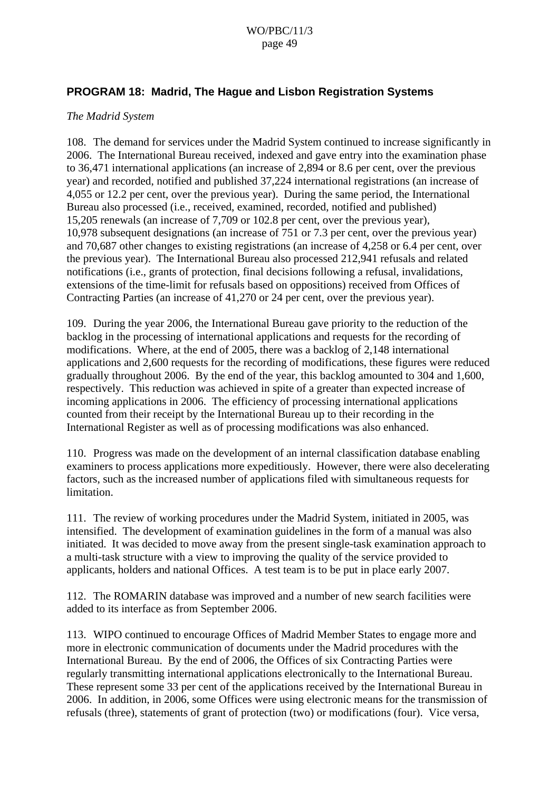### **PROGRAM 18: Madrid, The Hague and Lisbon Registration Systems**

#### *The Madrid System*

108. The demand for services under the Madrid System continued to increase significantly in 2006. The International Bureau received, indexed and gave entry into the examination phase to 36,471 international applications (an increase of 2,894 or 8.6 per cent, over the previous year) and recorded, notified and published 37,224 international registrations (an increase of 4,055 or 12.2 per cent, over the previous year). During the same period, the International Bureau also processed (i.e., received, examined, recorded, notified and published) 15,205 renewals (an increase of 7,709 or 102.8 per cent, over the previous year), 10,978 subsequent designations (an increase of 751 or 7.3 per cent, over the previous year) and 70,687 other changes to existing registrations (an increase of 4,258 or 6.4 per cent, over the previous year). The International Bureau also processed 212,941 refusals and related notifications (i.e., grants of protection, final decisions following a refusal, invalidations, extensions of the time-limit for refusals based on oppositions) received from Offices of Contracting Parties (an increase of 41,270 or 24 per cent, over the previous year).

109. During the year 2006, the International Bureau gave priority to the reduction of the backlog in the processing of international applications and requests for the recording of modifications. Where, at the end of 2005, there was a backlog of 2,148 international applications and 2,600 requests for the recording of modifications, these figures were reduced gradually throughout 2006. By the end of the year, this backlog amounted to 304 and 1,600, respectively. This reduction was achieved in spite of a greater than expected increase of incoming applications in 2006. The efficiency of processing international applications counted from their receipt by the International Bureau up to their recording in the International Register as well as of processing modifications was also enhanced.

110. Progress was made on the development of an internal classification database enabling examiners to process applications more expeditiously. However, there were also decelerating factors, such as the increased number of applications filed with simultaneous requests for limitation.

111. The review of working procedures under the Madrid System, initiated in 2005, was intensified. The development of examination guidelines in the form of a manual was also initiated. It was decided to move away from the present single-task examination approach to a multi-task structure with a view to improving the quality of the service provided to applicants, holders and national Offices. A test team is to be put in place early 2007.

112. The ROMARIN database was improved and a number of new search facilities were added to its interface as from September 2006.

113. WIPO continued to encourage Offices of Madrid Member States to engage more and more in electronic communication of documents under the Madrid procedures with the International Bureau. By the end of 2006, the Offices of six Contracting Parties were regularly transmitting international applications electronically to the International Bureau. These represent some 33 per cent of the applications received by the International Bureau in 2006. In addition, in 2006, some Offices were using electronic means for the transmission of refusals (three), statements of grant of protection (two) or modifications (four). Vice versa,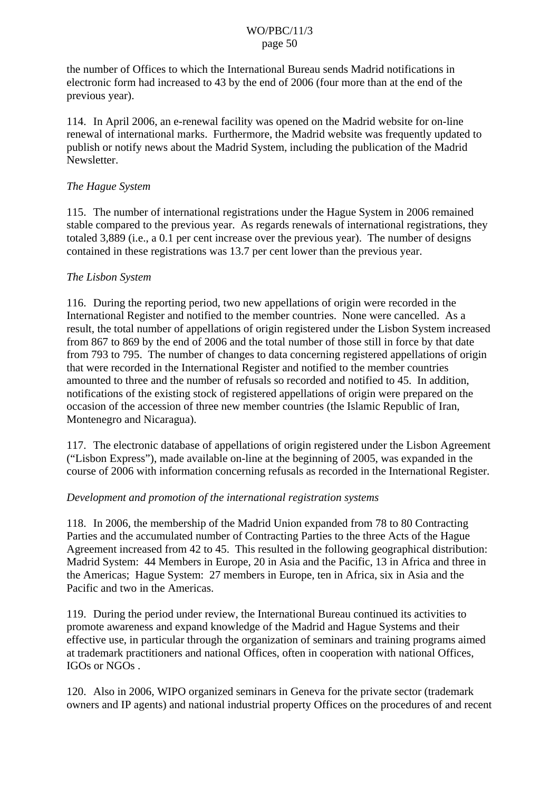the number of Offices to which the International Bureau sends Madrid notifications in electronic form had increased to 43 by the end of 2006 (four more than at the end of the previous year).

114. In April 2006, an e-renewal facility was opened on the Madrid website for on-line renewal of international marks. Furthermore, the Madrid website was frequently updated to publish or notify news about the Madrid System, including the publication of the Madrid Newsletter.

### *The Hague System*

115. The number of international registrations under the Hague System in 2006 remained stable compared to the previous year. As regards renewals of international registrations, they totaled 3,889 (i.e., a 0.1 per cent increase over the previous year). The number of designs contained in these registrations was 13.7 per cent lower than the previous year.

### *The Lisbon System*

116. During the reporting period, two new appellations of origin were recorded in the International Register and notified to the member countries. None were cancelled. As a result, the total number of appellations of origin registered under the Lisbon System increased from 867 to 869 by the end of 2006 and the total number of those still in force by that date from 793 to 795. The number of changes to data concerning registered appellations of origin that were recorded in the International Register and notified to the member countries amounted to three and the number of refusals so recorded and notified to 45. In addition, notifications of the existing stock of registered appellations of origin were prepared on the occasion of the accession of three new member countries (the Islamic Republic of Iran, Montenegro and Nicaragua).

117. The electronic database of appellations of origin registered under the Lisbon Agreement ("Lisbon Express"), made available on-line at the beginning of 2005, was expanded in the course of 2006 with information concerning refusals as recorded in the International Register.

### *Development and promotion of the international registration systems*

118. In 2006, the membership of the Madrid Union expanded from 78 to 80 Contracting Parties and the accumulated number of Contracting Parties to the three Acts of the Hague Agreement increased from 42 to 45. This resulted in the following geographical distribution: Madrid System: 44 Members in Europe, 20 in Asia and the Pacific, 13 in Africa and three in the Americas; Hague System: 27 members in Europe, ten in Africa, six in Asia and the Pacific and two in the Americas.

119. During the period under review, the International Bureau continued its activities to promote awareness and expand knowledge of the Madrid and Hague Systems and their effective use, in particular through the organization of seminars and training programs aimed at trademark practitioners and national Offices, often in cooperation with national Offices, IGOs or NGOs .

120. Also in 2006, WIPO organized seminars in Geneva for the private sector (trademark owners and IP agents) and national industrial property Offices on the procedures of and recent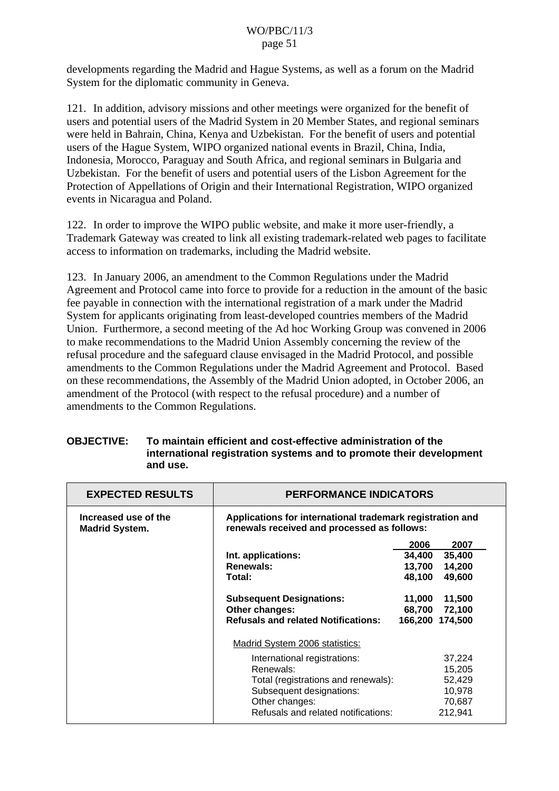developments regarding the Madrid and Hague Systems, as well as a forum on the Madrid System for the diplomatic community in Geneva.

121. In addition, advisory missions and other meetings were organized for the benefit of users and potential users of the Madrid System in 20 Member States, and regional seminars were held in Bahrain, China, Kenya and Uzbekistan. For the benefit of users and potential users of the Hague System, WIPO organized national events in Brazil, China, India, Indonesia, Morocco, Paraguay and South Africa, and regional seminars in Bulgaria and Uzbekistan. For the benefit of users and potential users of the Lisbon Agreement for the Protection of Appellations of Origin and their International Registration, WIPO organized events in Nicaragua and Poland.

122. In order to improve the WIPO public website, and make it more user-friendly, a Trademark Gateway was created to link all existing trademark-related web pages to facilitate access to information on trademarks, including the Madrid website.

123. In January 2006, an amendment to the Common Regulations under the Madrid Agreement and Protocol came into force to provide for a reduction in the amount of the basic fee payable in connection with the international registration of a mark under the Madrid System for applicants originating from least-developed countries members of the Madrid Union. Furthermore, a second meeting of the Ad hoc Working Group was convened in 2006 to make recommendations to the Madrid Union Assembly concerning the review of the refusal procedure and the safeguard clause envisaged in the Madrid Protocol, and possible amendments to the Common Regulations under the Madrid Agreement and Protocol. Based on these recommendations, the Assembly of the Madrid Union adopted, in October 2006, an amendment of the Protocol (with respect to the refusal procedure) and a number of amendments to the Common Regulations.

| <b>OBJECTIVE:</b> | To maintain efficient and cost-effective administration of the      |
|-------------------|---------------------------------------------------------------------|
|                   | international registration systems and to promote their development |
|                   | and use.                                                            |

| <b>EXPECTED RESULTS</b>                       | <b>PERFORMANCE INDICATORS</b>                                                                            |        |                 |
|-----------------------------------------------|----------------------------------------------------------------------------------------------------------|--------|-----------------|
| Increased use of the<br><b>Madrid System.</b> | Applications for international trademark registration and<br>renewals received and processed as follows: |        |                 |
|                                               |                                                                                                          | 2006   | 2007            |
|                                               | Int. applications:                                                                                       | 34,400 | 35,400          |
|                                               | Renewals:                                                                                                | 13,700 | 14,200          |
|                                               | Total:                                                                                                   | 48,100 | 49,600          |
|                                               | <b>Subsequent Designations:</b>                                                                          | 11,000 | 11,500          |
|                                               | Other changes:                                                                                           | 68,700 | 72,100          |
|                                               | <b>Refusals and related Notifications:</b>                                                               |        | 166,200 174,500 |
|                                               | Madrid System 2006 statistics:                                                                           |        |                 |
|                                               | International registrations:                                                                             |        | 37,224          |
|                                               | Renewals:                                                                                                |        | 15,205          |
|                                               | Total (registrations and renewals):                                                                      |        | 52,429          |
|                                               | Subsequent designations:                                                                                 |        | 10,978          |
|                                               | Other changes:                                                                                           |        | 70,687          |
|                                               | Refusals and related notifications:                                                                      |        | 212,941         |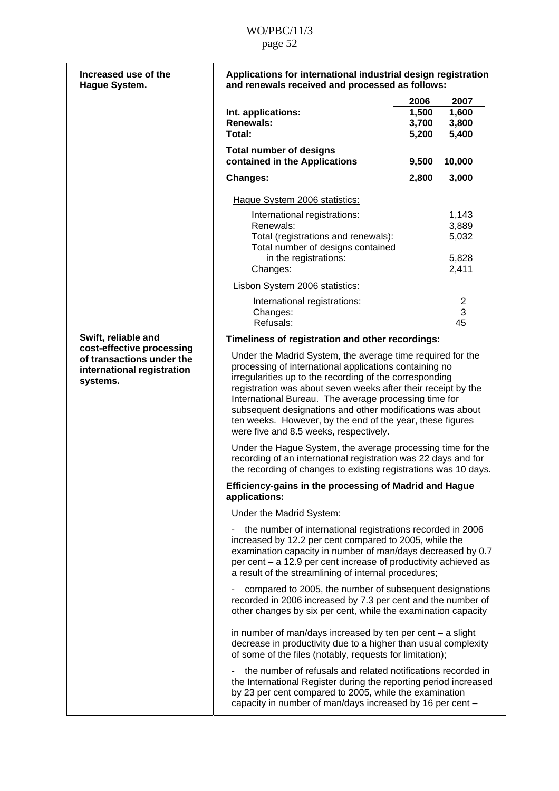| Increased use of the<br>Hague System.                                                            | Applications for international industrial design registration<br>and renewals received and processed as follows:                                                                                                                                                                                                                                                                                                                                                              |                                 |                                 |
|--------------------------------------------------------------------------------------------------|-------------------------------------------------------------------------------------------------------------------------------------------------------------------------------------------------------------------------------------------------------------------------------------------------------------------------------------------------------------------------------------------------------------------------------------------------------------------------------|---------------------------------|---------------------------------|
|                                                                                                  | Int. applications:<br><b>Renewals:</b><br>Total:                                                                                                                                                                                                                                                                                                                                                                                                                              | 2006<br>1,500<br>3,700<br>5,200 | 2007<br>1,600<br>3,800<br>5,400 |
|                                                                                                  | <b>Total number of designs</b><br>contained in the Applications                                                                                                                                                                                                                                                                                                                                                                                                               | 9,500                           | 10,000                          |
|                                                                                                  | <b>Changes:</b>                                                                                                                                                                                                                                                                                                                                                                                                                                                               | 2,800                           | 3,000                           |
|                                                                                                  | Hague System 2006 statistics:                                                                                                                                                                                                                                                                                                                                                                                                                                                 |                                 |                                 |
|                                                                                                  | International registrations:                                                                                                                                                                                                                                                                                                                                                                                                                                                  |                                 | 1,143                           |
|                                                                                                  | Renewals:                                                                                                                                                                                                                                                                                                                                                                                                                                                                     |                                 | 3,889                           |
|                                                                                                  | Total (registrations and renewals):<br>Total number of designs contained                                                                                                                                                                                                                                                                                                                                                                                                      |                                 | 5,032                           |
|                                                                                                  | in the registrations:                                                                                                                                                                                                                                                                                                                                                                                                                                                         |                                 | 5,828                           |
|                                                                                                  | Changes:                                                                                                                                                                                                                                                                                                                                                                                                                                                                      |                                 | 2,411                           |
|                                                                                                  | <b>Lisbon System 2006 statistics:</b>                                                                                                                                                                                                                                                                                                                                                                                                                                         |                                 |                                 |
|                                                                                                  | International registrations:                                                                                                                                                                                                                                                                                                                                                                                                                                                  |                                 | $\mathbf 2$                     |
|                                                                                                  | Changes:<br>Refusals:                                                                                                                                                                                                                                                                                                                                                                                                                                                         |                                 | 3<br>45                         |
| Swift, reliable and                                                                              | Timeliness of registration and other recordings:                                                                                                                                                                                                                                                                                                                                                                                                                              |                                 |                                 |
| cost-effective processing<br>of transactions under the<br>international registration<br>systems. | Under the Madrid System, the average time required for the<br>processing of international applications containing no<br>irregularities up to the recording of the corresponding<br>registration was about seven weeks after their receipt by the<br>International Bureau. The average processing time for<br>subsequent designations and other modifications was about<br>ten weeks. However, by the end of the year, these figures<br>were five and 8.5 weeks, respectively. |                                 |                                 |
|                                                                                                  | Under the Hague System, the average processing time for the<br>recording of an international registration was 22 days and for<br>the recording of changes to existing registrations was 10 days.                                                                                                                                                                                                                                                                              |                                 |                                 |
|                                                                                                  | Efficiency-gains in the processing of Madrid and Hague<br>applications:                                                                                                                                                                                                                                                                                                                                                                                                       |                                 |                                 |
|                                                                                                  | Under the Madrid System:                                                                                                                                                                                                                                                                                                                                                                                                                                                      |                                 |                                 |
|                                                                                                  | the number of international registrations recorded in 2006<br>increased by 12.2 per cent compared to 2005, while the<br>examination capacity in number of man/days decreased by 0.7<br>per cent – a 12.9 per cent increase of productivity achieved as<br>a result of the streamlining of internal procedures;                                                                                                                                                                |                                 |                                 |
|                                                                                                  | compared to 2005, the number of subsequent designations<br>recorded in 2006 increased by 7.3 per cent and the number of<br>other changes by six per cent, while the examination capacity                                                                                                                                                                                                                                                                                      |                                 |                                 |
|                                                                                                  | in number of man/days increased by ten per cent $-$ a slight<br>decrease in productivity due to a higher than usual complexity<br>of some of the files (notably, requests for limitation);                                                                                                                                                                                                                                                                                    |                                 |                                 |
|                                                                                                  | the number of refusals and related notifications recorded in<br>the International Register during the reporting period increased<br>by 23 per cent compared to 2005, while the examination<br>capacity in number of man/days increased by 16 per cent -                                                                                                                                                                                                                       |                                 |                                 |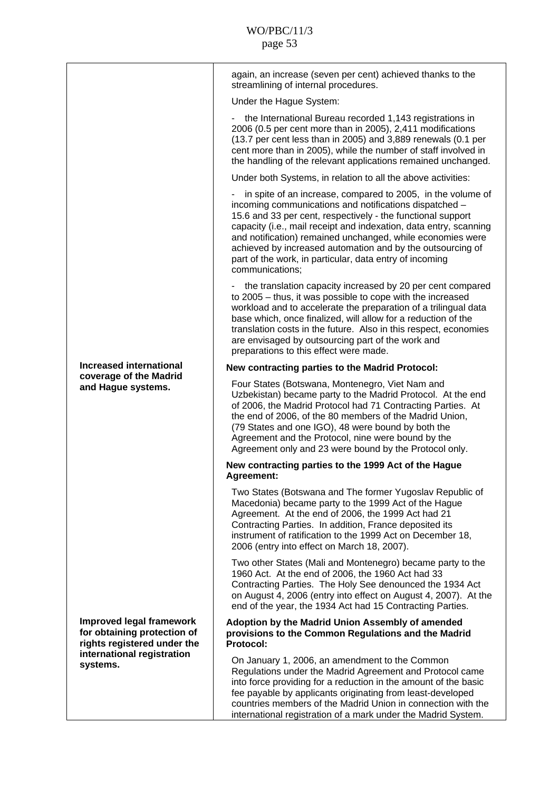|                                                                                                                                         | again, an increase (seven per cent) achieved thanks to the<br>streamlining of internal procedures.                                                                                                                                                                                                                                                                                                                                                                  |
|-----------------------------------------------------------------------------------------------------------------------------------------|---------------------------------------------------------------------------------------------------------------------------------------------------------------------------------------------------------------------------------------------------------------------------------------------------------------------------------------------------------------------------------------------------------------------------------------------------------------------|
|                                                                                                                                         | Under the Hague System:                                                                                                                                                                                                                                                                                                                                                                                                                                             |
|                                                                                                                                         | the International Bureau recorded 1,143 registrations in<br>2006 (0.5 per cent more than in 2005), 2,411 modifications<br>(13.7 per cent less than in 2005) and 3,889 renewals (0.1 per<br>cent more than in 2005), while the number of staff involved in<br>the handling of the relevant applications remained unchanged.                                                                                                                                          |
|                                                                                                                                         | Under both Systems, in relation to all the above activities:                                                                                                                                                                                                                                                                                                                                                                                                        |
|                                                                                                                                         | in spite of an increase, compared to 2005, in the volume of<br>incoming communications and notifications dispatched -<br>15.6 and 33 per cent, respectively - the functional support<br>capacity (i.e., mail receipt and indexation, data entry, scanning<br>and notification) remained unchanged, while economies were<br>achieved by increased automation and by the outsourcing of<br>part of the work, in particular, data entry of incoming<br>communications; |
|                                                                                                                                         | the translation capacity increased by 20 per cent compared<br>to 2005 - thus, it was possible to cope with the increased<br>workload and to accelerate the preparation of a trilingual data<br>base which, once finalized, will allow for a reduction of the<br>translation costs in the future. Also in this respect, economies<br>are envisaged by outsourcing part of the work and<br>preparations to this effect were made.                                     |
| <b>Increased international</b>                                                                                                          | New contracting parties to the Madrid Protocol:                                                                                                                                                                                                                                                                                                                                                                                                                     |
| coverage of the Madrid<br>and Hague systems.                                                                                            | Four States (Botswana, Montenegro, Viet Nam and<br>Uzbekistan) became party to the Madrid Protocol. At the end<br>of 2006, the Madrid Protocol had 71 Contracting Parties. At<br>the end of 2006, of the 80 members of the Madrid Union,<br>(79 States and one IGO), 48 were bound by both the<br>Agreement and the Protocol, nine were bound by the<br>Agreement only and 23 were bound by the Protocol only.                                                      |
|                                                                                                                                         | New contracting parties to the 1999 Act of the Hague<br>Agreement:                                                                                                                                                                                                                                                                                                                                                                                                  |
|                                                                                                                                         | Two States (Botswana and The former Yugoslav Republic of<br>Macedonia) became party to the 1999 Act of the Hague<br>Agreement. At the end of 2006, the 1999 Act had 21<br>Contracting Parties. In addition, France deposited its<br>instrument of ratification to the 1999 Act on December 18,<br>2006 (entry into effect on March 18, 2007).                                                                                                                       |
|                                                                                                                                         | Two other States (Mali and Montenegro) became party to the<br>1960 Act. At the end of 2006, the 1960 Act had 33<br>Contracting Parties. The Holy See denounced the 1934 Act<br>on August 4, 2006 (entry into effect on August 4, 2007). At the<br>end of the year, the 1934 Act had 15 Contracting Parties.                                                                                                                                                         |
| <b>Improved legal framework</b><br>for obtaining protection of<br>rights registered under the<br>international registration<br>systems. | Adoption by the Madrid Union Assembly of amended<br>provisions to the Common Regulations and the Madrid<br><b>Protocol:</b>                                                                                                                                                                                                                                                                                                                                         |
|                                                                                                                                         | On January 1, 2006, an amendment to the Common<br>Regulations under the Madrid Agreement and Protocol came<br>into force providing for a reduction in the amount of the basic<br>fee payable by applicants originating from least-developed<br>countries members of the Madrid Union in connection with the<br>international registration of a mark under the Madrid System.                                                                                        |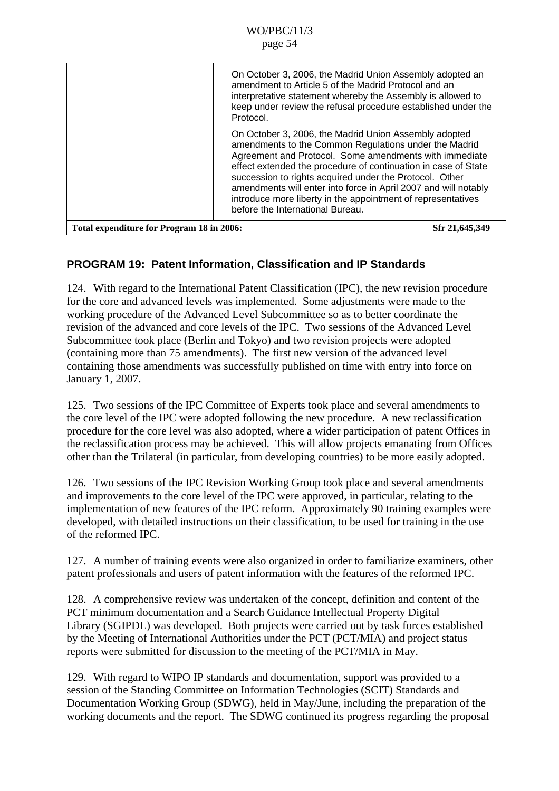|                                           | On October 3, 2006, the Madrid Union Assembly adopted an<br>amendment to Article 5 of the Madrid Protocol and an<br>interpretative statement whereby the Assembly is allowed to<br>keep under review the refusal procedure established under the<br>Protocol.                                                                                                                                                                                                                |
|-------------------------------------------|------------------------------------------------------------------------------------------------------------------------------------------------------------------------------------------------------------------------------------------------------------------------------------------------------------------------------------------------------------------------------------------------------------------------------------------------------------------------------|
|                                           | On October 3, 2006, the Madrid Union Assembly adopted<br>amendments to the Common Regulations under the Madrid<br>Agreement and Protocol. Some amendments with immediate<br>effect extended the procedure of continuation in case of State<br>succession to rights acquired under the Protocol. Other<br>amendments will enter into force in April 2007 and will notably<br>introduce more liberty in the appointment of representatives<br>before the International Bureau. |
| Total expenditure for Program 18 in 2006: | Sfr 21,645,349                                                                                                                                                                                                                                                                                                                                                                                                                                                               |

## **PROGRAM 19: Patent Information, Classification and IP Standards**

124. With regard to the International Patent Classification (IPC), the new revision procedure for the core and advanced levels was implemented. Some adjustments were made to the working procedure of the Advanced Level Subcommittee so as to better coordinate the revision of the advanced and core levels of the IPC. Two sessions of the Advanced Level Subcommittee took place (Berlin and Tokyo) and two revision projects were adopted (containing more than 75 amendments). The first new version of the advanced level containing those amendments was successfully published on time with entry into force on January 1, 2007.

125. Two sessions of the IPC Committee of Experts took place and several amendments to the core level of the IPC were adopted following the new procedure. A new reclassification procedure for the core level was also adopted, where a wider participation of patent Offices in the reclassification process may be achieved. This will allow projects emanating from Offices other than the Trilateral (in particular, from developing countries) to be more easily adopted.

126. Two sessions of the IPC Revision Working Group took place and several amendments and improvements to the core level of the IPC were approved, in particular, relating to the implementation of new features of the IPC reform. Approximately 90 training examples were developed, with detailed instructions on their classification, to be used for training in the use of the reformed IPC.

127. A number of training events were also organized in order to familiarize examiners, other patent professionals and users of patent information with the features of the reformed IPC.

128. A comprehensive review was undertaken of the concept, definition and content of the PCT minimum documentation and a Search Guidance Intellectual Property Digital Library (SGIPDL) was developed. Both projects were carried out by task forces established by the Meeting of International Authorities under the PCT (PCT/MIA) and project status reports were submitted for discussion to the meeting of the PCT/MIA in May.

129. With regard to WIPO IP standards and documentation, support was provided to a session of the Standing Committee on Information Technologies (SCIT) Standards and Documentation Working Group (SDWG), held in May/June, including the preparation of the working documents and the report. The SDWG continued its progress regarding the proposal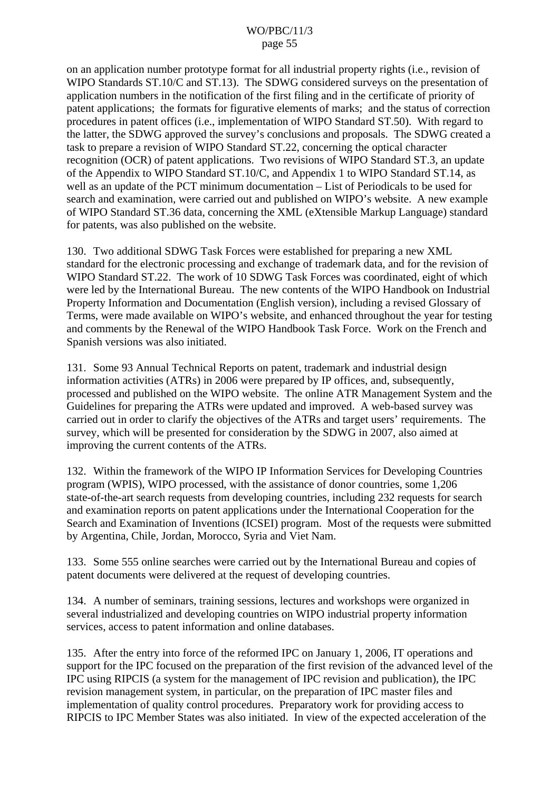on an application number prototype format for all industrial property rights (i.e., revision of WIPO Standards ST.10/C and ST.13). The SDWG considered surveys on the presentation of application numbers in the notification of the first filing and in the certificate of priority of patent applications; the formats for figurative elements of marks; and the status of correction procedures in patent offices (i.e., implementation of WIPO Standard ST.50). With regard to the latter, the SDWG approved the survey's conclusions and proposals. The SDWG created a task to prepare a revision of WIPO Standard ST.22, concerning the optical character recognition (OCR) of patent applications. Two revisions of WIPO Standard ST.3, an update of the Appendix to WIPO Standard ST.10/C, and Appendix 1 to WIPO Standard ST.14, as well as an update of the PCT minimum documentation – List of Periodicals to be used for search and examination, were carried out and published on WIPO's website. A new example of WIPO Standard ST.36 data, concerning the XML (eXtensible Markup Language) standard for patents, was also published on the website.

130. Two additional SDWG Task Forces were established for preparing a new XML standard for the electronic processing and exchange of trademark data, and for the revision of WIPO Standard ST.22. The work of 10 SDWG Task Forces was coordinated, eight of which were led by the International Bureau. The new contents of the WIPO Handbook on Industrial Property Information and Documentation (English version), including a revised Glossary of Terms, were made available on WIPO's website, and enhanced throughout the year for testing and comments by the Renewal of the WIPO Handbook Task Force. Work on the French and Spanish versions was also initiated.

131. Some 93 Annual Technical Reports on patent, trademark and industrial design information activities (ATRs) in 2006 were prepared by IP offices, and, subsequently, processed and published on the WIPO website. The online ATR Management System and the Guidelines for preparing the ATRs were updated and improved. A web-based survey was carried out in order to clarify the objectives of the ATRs and target users' requirements. The survey, which will be presented for consideration by the SDWG in 2007, also aimed at improving the current contents of the ATRs.

132. Within the framework of the WIPO IP Information Services for Developing Countries program (WPIS), WIPO processed, with the assistance of donor countries, some 1,206 state-of-the-art search requests from developing countries, including 232 requests for search and examination reports on patent applications under the International Cooperation for the Search and Examination of Inventions (ICSEI) program. Most of the requests were submitted by Argentina, Chile, Jordan, Morocco, Syria and Viet Nam.

133. Some 555 online searches were carried out by the International Bureau and copies of patent documents were delivered at the request of developing countries.

134. A number of seminars, training sessions, lectures and workshops were organized in several industrialized and developing countries on WIPO industrial property information services, access to patent information and online databases.

135. After the entry into force of the reformed IPC on January 1, 2006, IT operations and support for the IPC focused on the preparation of the first revision of the advanced level of the IPC using RIPCIS (a system for the management of IPC revision and publication), the IPC revision management system, in particular, on the preparation of IPC master files and implementation of quality control procedures. Preparatory work for providing access to RIPCIS to IPC Member States was also initiated. In view of the expected acceleration of the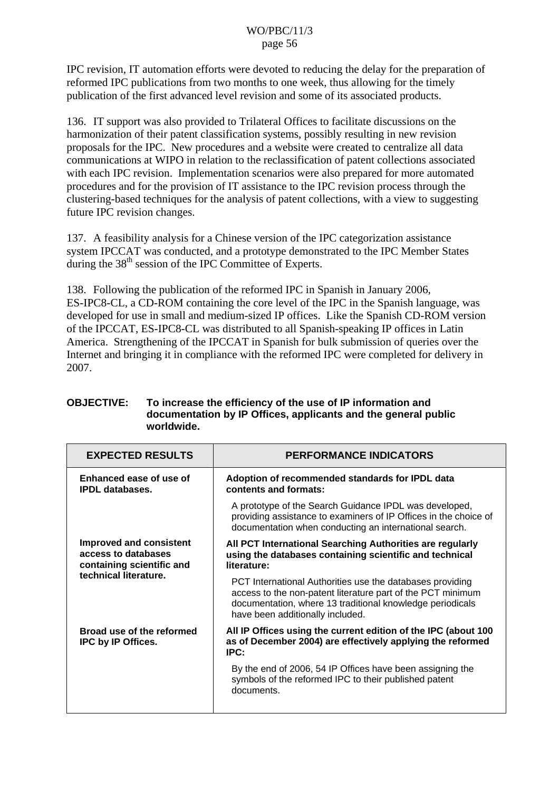IPC revision, IT automation efforts were devoted to reducing the delay for the preparation of reformed IPC publications from two months to one week, thus allowing for the timely publication of the first advanced level revision and some of its associated products.

136. IT support was also provided to Trilateral Offices to facilitate discussions on the harmonization of their patent classification systems, possibly resulting in new revision proposals for the IPC. New procedures and a website were created to centralize all data communications at WIPO in relation to the reclassification of patent collections associated with each IPC revision. Implementation scenarios were also prepared for more automated procedures and for the provision of IT assistance to the IPC revision process through the clustering-based techniques for the analysis of patent collections, with a view to suggesting future IPC revision changes.

137. A feasibility analysis for a Chinese version of the IPC categorization assistance system IPCCAT was conducted, and a prototype demonstrated to the IPC Member States during the  $38<sup>th</sup>$  session of the IPC Committee of Experts.

138. Following the publication of the reformed IPC in Spanish in January 2006, ES-IPC8-CL, a CD-ROM containing the core level of the IPC in the Spanish language, was developed for use in small and medium-sized IP offices. Like the Spanish CD-ROM version of the IPCCAT, ES-IPC8-CL was distributed to all Spanish-speaking IP offices in Latin America. Strengthening of the IPCCAT in Spanish for bulk submission of queries over the Internet and bringing it in compliance with the reformed IPC were completed for delivery in 2007.

| <b>EXPECTED RESULTS</b>                                                                                     | <b>PERFORMANCE INDICATORS</b>                                                                                                                                                                                             |  |
|-------------------------------------------------------------------------------------------------------------|---------------------------------------------------------------------------------------------------------------------------------------------------------------------------------------------------------------------------|--|
| Enhanced ease of use of<br><b>IPDL</b> databases.                                                           | Adoption of recommended standards for IPDL data<br>contents and formats:                                                                                                                                                  |  |
|                                                                                                             | A prototype of the Search Guidance IPDL was developed,<br>providing assistance to examiners of IP Offices in the choice of<br>documentation when conducting an international search.                                      |  |
| <b>Improved and consistent</b><br>access to databases<br>containing scientific and<br>technical literature. | All PCT International Searching Authorities are regularly<br>using the databases containing scientific and technical<br>literature:                                                                                       |  |
|                                                                                                             | PCT International Authorities use the databases providing<br>access to the non-patent literature part of the PCT minimum<br>documentation, where 13 traditional knowledge periodicals<br>have been additionally included. |  |
| Broad use of the reformed<br>IPC by IP Offices.                                                             | All IP Offices using the current edition of the IPC (about 100<br>as of December 2004) are effectively applying the reformed<br>IPC:                                                                                      |  |
|                                                                                                             | By the end of 2006, 54 IP Offices have been assigning the<br>symbols of the reformed IPC to their published patent<br>documents.                                                                                          |  |

#### **OBJECTIVE: To increase the efficiency of the use of IP information and documentation by IP Offices, applicants and the general public worldwide.**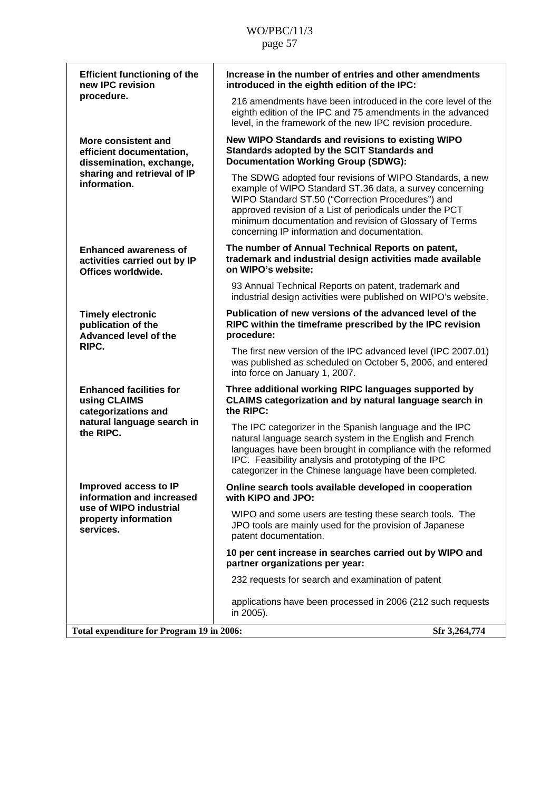| <b>Efficient functioning of the</b><br>new IPC revision<br>procedure.                                                      | Increase in the number of entries and other amendments<br>introduced in the eighth edition of the IPC:                                                                                                                                                                                                                                           |
|----------------------------------------------------------------------------------------------------------------------------|--------------------------------------------------------------------------------------------------------------------------------------------------------------------------------------------------------------------------------------------------------------------------------------------------------------------------------------------------|
|                                                                                                                            | 216 amendments have been introduced in the core level of the<br>eighth edition of the IPC and 75 amendments in the advanced<br>level, in the framework of the new IPC revision procedure.                                                                                                                                                        |
| More consistent and<br>efficient documentation,<br>dissemination, exchange,<br>sharing and retrieval of IP<br>information. | New WIPO Standards and revisions to existing WIPO<br>Standards adopted by the SCIT Standards and<br><b>Documentation Working Group (SDWG):</b>                                                                                                                                                                                                   |
|                                                                                                                            | The SDWG adopted four revisions of WIPO Standards, a new<br>example of WIPO Standard ST.36 data, a survey concerning<br>WIPO Standard ST.50 ("Correction Procedures") and<br>approved revision of a List of periodicals under the PCT<br>minimum documentation and revision of Glossary of Terms<br>concerning IP information and documentation. |
| <b>Enhanced awareness of</b><br>activities carried out by IP<br>Offices worldwide.                                         | The number of Annual Technical Reports on patent,<br>trademark and industrial design activities made available<br>on WIPO's website:                                                                                                                                                                                                             |
|                                                                                                                            | 93 Annual Technical Reports on patent, trademark and<br>industrial design activities were published on WIPO's website.                                                                                                                                                                                                                           |
| <b>Timely electronic</b><br>publication of the<br>Advanced level of the<br>RIPC.                                           | Publication of new versions of the advanced level of the<br>RIPC within the timeframe prescribed by the IPC revision<br>procedure:                                                                                                                                                                                                               |
|                                                                                                                            | The first new version of the IPC advanced level (IPC 2007.01)<br>was published as scheduled on October 5, 2006, and entered<br>into force on January 1, 2007.                                                                                                                                                                                    |
| <b>Enhanced facilities for</b><br>using CLAIMS<br>categorizations and<br>natural language search in<br>the RIPC.           | Three additional working RIPC languages supported by<br><b>CLAIMS categorization and by natural language search in</b><br>the RIPC:                                                                                                                                                                                                              |
|                                                                                                                            | The IPC categorizer in the Spanish language and the IPC<br>natural language search system in the English and French<br>languages have been brought in compliance with the reformed<br>IPC. Feasibility analysis and prototyping of the IPC<br>categorizer in the Chinese language have been completed.                                           |
| Improved access to IP<br>information and increased                                                                         | Online search tools available developed in cooperation<br>with KIPO and JPO:                                                                                                                                                                                                                                                                     |
| use of WIPO industrial<br>property information<br>services.                                                                | WIPO and some users are testing these search tools. The<br>JPO tools are mainly used for the provision of Japanese<br>patent documentation.                                                                                                                                                                                                      |
|                                                                                                                            | 10 per cent increase in searches carried out by WIPO and<br>partner organizations per year:                                                                                                                                                                                                                                                      |
|                                                                                                                            | 232 requests for search and examination of patent                                                                                                                                                                                                                                                                                                |
|                                                                                                                            | applications have been processed in 2006 (212 such requests<br>in 2005).                                                                                                                                                                                                                                                                         |
| Total expenditure for Program 19 in 2006:                                                                                  | Sfr 3,264,774                                                                                                                                                                                                                                                                                                                                    |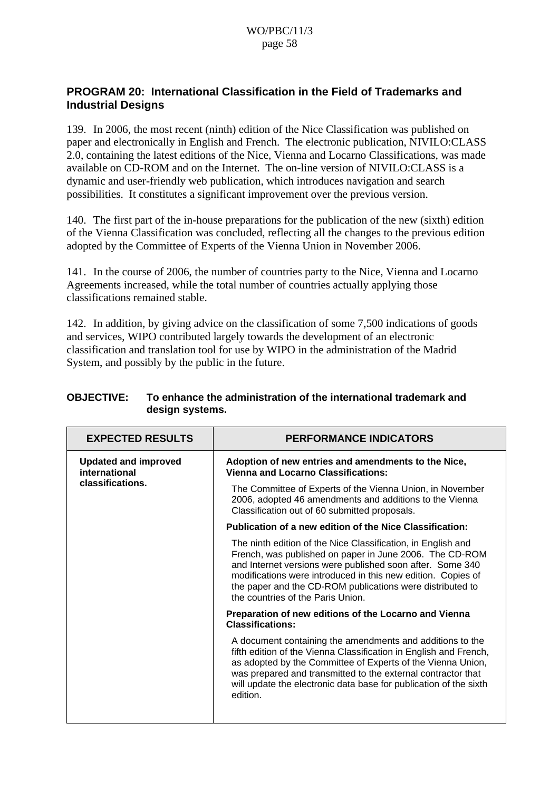### **PROGRAM 20: International Classification in the Field of Trademarks and Industrial Designs**

139. In 2006, the most recent (ninth) edition of the Nice Classification was published on paper and electronically in English and French. The electronic publication, NIVILO:CLASS 2.0, containing the latest editions of the Nice, Vienna and Locarno Classifications, was made available on CD-ROM and on the Internet. The on-line version of NIVILO:CLASS is a dynamic and user-friendly web publication, which introduces navigation and search possibilities. It constitutes a significant improvement over the previous version.

140. The first part of the in-house preparations for the publication of the new (sixth) edition of the Vienna Classification was concluded, reflecting all the changes to the previous edition adopted by the Committee of Experts of the Vienna Union in November 2006.

141. In the course of 2006, the number of countries party to the Nice, Vienna and Locarno Agreements increased, while the total number of countries actually applying those classifications remained stable.

142. In addition, by giving advice on the classification of some 7,500 indications of goods and services, WIPO contributed largely towards the development of an electronic classification and translation tool for use by WIPO in the administration of the Madrid System, and possibly by the public in the future.

| <b>EXPECTED RESULTS</b>                                          | <b>PERFORMANCE INDICATORS</b>                                                                                                                                                                                                                                                                                                                          |
|------------------------------------------------------------------|--------------------------------------------------------------------------------------------------------------------------------------------------------------------------------------------------------------------------------------------------------------------------------------------------------------------------------------------------------|
| <b>Updated and improved</b><br>international<br>classifications. | Adoption of new entries and amendments to the Nice,<br><b>Vienna and Locarno Classifications:</b>                                                                                                                                                                                                                                                      |
|                                                                  | The Committee of Experts of the Vienna Union, in November<br>2006, adopted 46 amendments and additions to the Vienna<br>Classification out of 60 submitted proposals.                                                                                                                                                                                  |
|                                                                  | Publication of a new edition of the Nice Classification:                                                                                                                                                                                                                                                                                               |
|                                                                  | The ninth edition of the Nice Classification, in English and<br>French, was published on paper in June 2006. The CD-ROM<br>and Internet versions were published soon after. Some 340<br>modifications were introduced in this new edition. Copies of<br>the paper and the CD-ROM publications were distributed to<br>the countries of the Paris Union. |
|                                                                  | Preparation of new editions of the Locarno and Vienna<br><b>Classifications:</b>                                                                                                                                                                                                                                                                       |
|                                                                  | A document containing the amendments and additions to the<br>fifth edition of the Vienna Classification in English and French,<br>as adopted by the Committee of Experts of the Vienna Union,<br>was prepared and transmitted to the external contractor that<br>will update the electronic data base for publication of the sixth<br>edition.         |

#### **OBJECTIVE: To enhance the administration of the international trademark and design systems.**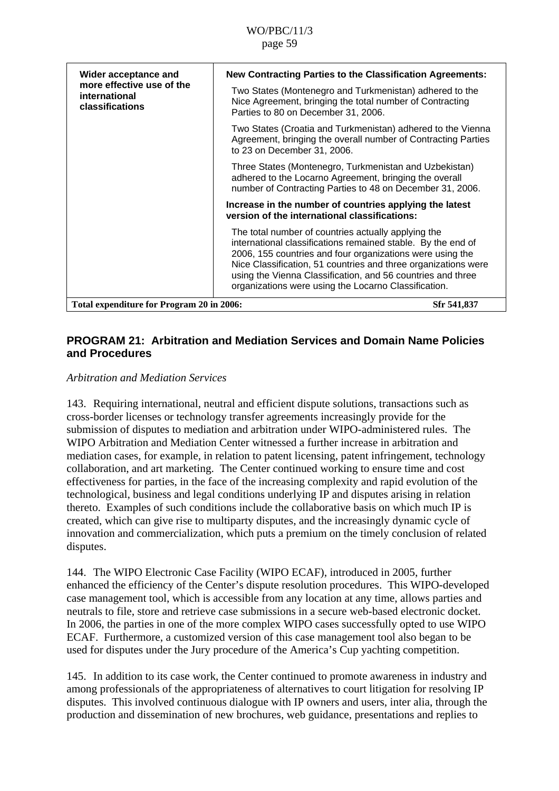| Wider acceptance and<br>more effective use of the<br>international<br>classifications | <b>New Contracting Parties to the Classification Agreements:</b><br>Two States (Montenegro and Turkmenistan) adhered to the<br>Nice Agreement, bringing the total number of Contracting<br>Parties to 80 on December 31, 2006.                                                                                                                                            |
|---------------------------------------------------------------------------------------|---------------------------------------------------------------------------------------------------------------------------------------------------------------------------------------------------------------------------------------------------------------------------------------------------------------------------------------------------------------------------|
|                                                                                       | Two States (Croatia and Turkmenistan) adhered to the Vienna<br>Agreement, bringing the overall number of Contracting Parties<br>to 23 on December 31, 2006.                                                                                                                                                                                                               |
|                                                                                       | Three States (Montenegro, Turkmenistan and Uzbekistan)<br>adhered to the Locarno Agreement, bringing the overall<br>number of Contracting Parties to 48 on December 31, 2006.                                                                                                                                                                                             |
|                                                                                       | Increase in the number of countries applying the latest<br>version of the international classifications:                                                                                                                                                                                                                                                                  |
|                                                                                       | The total number of countries actually applying the<br>international classifications remained stable. By the end of<br>2006, 155 countries and four organizations were using the<br>Nice Classification, 51 countries and three organizations were<br>using the Vienna Classification, and 56 countries and three<br>organizations were using the Locarno Classification. |
| Total expenditure for Program 20 in 2006:                                             | Sfr 541,837                                                                                                                                                                                                                                                                                                                                                               |

### **PROGRAM 21: Arbitration and Mediation Services and Domain Name Policies and Procedures**

### *Arbitration and Mediation Services*

143. Requiring international, neutral and efficient dispute solutions, transactions such as cross-border licenses or technology transfer agreements increasingly provide for the submission of disputes to mediation and arbitration under WIPO-administered rules. The WIPO Arbitration and Mediation Center witnessed a further increase in arbitration and mediation cases, for example, in relation to patent licensing, patent infringement, technology collaboration, and art marketing. The Center continued working to ensure time and cost effectiveness for parties, in the face of the increasing complexity and rapid evolution of the technological, business and legal conditions underlying IP and disputes arising in relation thereto. Examples of such conditions include the collaborative basis on which much IP is created, which can give rise to multiparty disputes, and the increasingly dynamic cycle of innovation and commercialization, which puts a premium on the timely conclusion of related disputes.

144. The WIPO Electronic Case Facility (WIPO ECAF), introduced in 2005, further enhanced the efficiency of the Center's dispute resolution procedures. This WIPO-developed case management tool, which is accessible from any location at any time, allows parties and neutrals to file, store and retrieve case submissions in a secure web-based electronic docket. In 2006, the parties in one of the more complex WIPO cases successfully opted to use WIPO ECAF. Furthermore, a customized version of this case management tool also began to be used for disputes under the Jury procedure of the America's Cup yachting competition.

145. In addition to its case work, the Center continued to promote awareness in industry and among professionals of the appropriateness of alternatives to court litigation for resolving IP disputes. This involved continuous dialogue with IP owners and users, inter alia, through the production and dissemination of new brochures, web guidance, presentations and replies to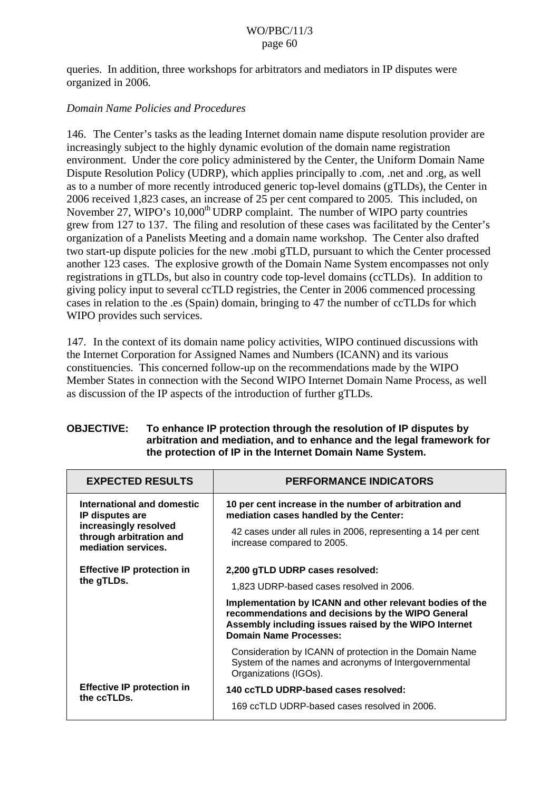queries. In addition, three workshops for arbitrators and mediators in IP disputes were organized in 2006.

### *Domain Name Policies and Procedures*

146. The Center's tasks as the leading Internet domain name dispute resolution provider are increasingly subject to the highly dynamic evolution of the domain name registration environment. Under the core policy administered by the Center, the Uniform Domain Name Dispute Resolution Policy (UDRP), which applies principally to .com, .net and .org, as well as to a number of more recently introduced generic top-level domains (gTLDs), the Center in 2006 received 1,823 cases, an increase of 25 per cent compared to 2005. This included, on November 27, WIPO's 10,000<sup>th</sup> UDRP complaint. The number of WIPO party countries grew from 127 to 137. The filing and resolution of these cases was facilitated by the Center's organization of a Panelists Meeting and a domain name workshop. The Center also drafted two start-up dispute policies for the new .mobi gTLD, pursuant to which the Center processed another 123 cases. The explosive growth of the Domain Name System encompasses not only registrations in gTLDs, but also in country code top-level domains (ccTLDs). In addition to giving policy input to several ccTLD registries, the Center in 2006 commenced processing cases in relation to the .es (Spain) domain, bringing to 47 the number of ccTLDs for which WIPO provides such services.

147. In the context of its domain name policy activities, WIPO continued discussions with the Internet Corporation for Assigned Names and Numbers (ICANN) and its various constituencies. This concerned follow-up on the recommendations made by the WIPO Member States in connection with the Second WIPO Internet Domain Name Process, as well as discussion of the IP aspects of the introduction of further gTLDs.

| <b>OBJECTIVE:</b> | To enhance IP protection through the resolution of IP disputes by     |
|-------------------|-----------------------------------------------------------------------|
|                   | arbitration and mediation, and to enhance and the legal framework for |
|                   | the protection of IP in the Internet Domain Name System.              |

| <b>EXPECTED RESULTS</b>                                                 | <b>PERFORMANCE INDICATORS</b>                                                                                                                                                                           |
|-------------------------------------------------------------------------|---------------------------------------------------------------------------------------------------------------------------------------------------------------------------------------------------------|
| International and domestic<br>IP disputes are                           | 10 per cent increase in the number of arbitration and<br>mediation cases handled by the Center:                                                                                                         |
| increasingly resolved<br>through arbitration and<br>mediation services. | 42 cases under all rules in 2006, representing a 14 per cent<br>increase compared to 2005.                                                                                                              |
| <b>Effective IP protection in</b>                                       | 2,200 gTLD UDRP cases resolved:                                                                                                                                                                         |
| the gTLDs.                                                              | 1,823 UDRP-based cases resolved in 2006.                                                                                                                                                                |
|                                                                         | Implementation by ICANN and other relevant bodies of the<br>recommendations and decisions by the WIPO General<br>Assembly including issues raised by the WIPO Internet<br><b>Domain Name Processes:</b> |
|                                                                         | Consideration by ICANN of protection in the Domain Name<br>System of the names and acronyms of Intergovernmental<br>Organizations (IGOs).                                                               |
| <b>Effective IP protection in</b><br>the ccTLDs.                        | 140 ccTLD UDRP-based cases resolved:                                                                                                                                                                    |
|                                                                         | 169 ccTLD UDRP-based cases resolved in 2006.                                                                                                                                                            |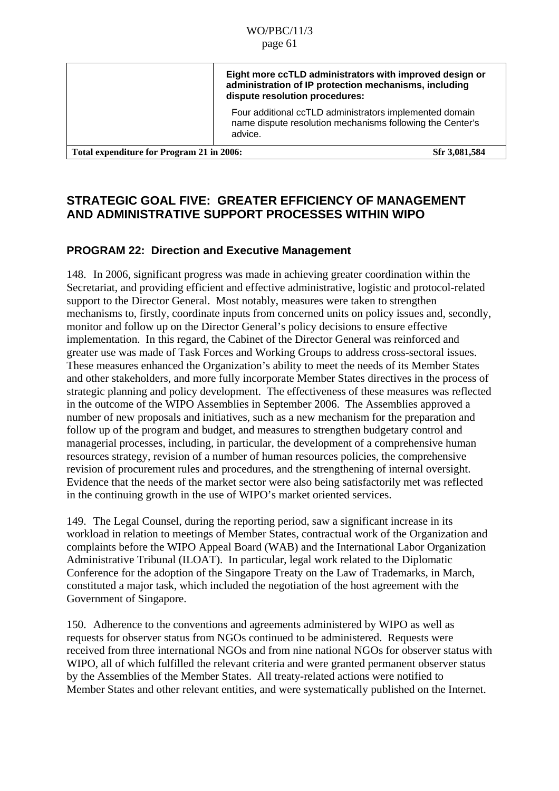|                                           | Eight more ccTLD administrators with improved design or<br>administration of IP protection mechanisms, including<br>dispute resolution procedures: |
|-------------------------------------------|----------------------------------------------------------------------------------------------------------------------------------------------------|
|                                           | Four additional ccTLD administrators implemented domain<br>name dispute resolution mechanisms following the Center's<br>advice.                    |
| Total expenditure for Program 21 in 2006: | Sfr 3,081,584                                                                                                                                      |

## **STRATEGIC GOAL FIVE: GREATER EFFICIENCY OF MANAGEMENT AND ADMINISTRATIVE SUPPORT PROCESSES WITHIN WIPO**

## **PROGRAM 22: Direction and Executive Management**

148. In 2006, significant progress was made in achieving greater coordination within the Secretariat, and providing efficient and effective administrative, logistic and protocol-related support to the Director General. Most notably, measures were taken to strengthen mechanisms to, firstly, coordinate inputs from concerned units on policy issues and, secondly, monitor and follow up on the Director General's policy decisions to ensure effective implementation. In this regard, the Cabinet of the Director General was reinforced and greater use was made of Task Forces and Working Groups to address cross-sectoral issues. These measures enhanced the Organization's ability to meet the needs of its Member States and other stakeholders, and more fully incorporate Member States directives in the process of strategic planning and policy development. The effectiveness of these measures was reflected in the outcome of the WIPO Assemblies in September 2006. The Assemblies approved a number of new proposals and initiatives, such as a new mechanism for the preparation and follow up of the program and budget, and measures to strengthen budgetary control and managerial processes, including, in particular, the development of a comprehensive human resources strategy, revision of a number of human resources policies, the comprehensive revision of procurement rules and procedures, and the strengthening of internal oversight. Evidence that the needs of the market sector were also being satisfactorily met was reflected in the continuing growth in the use of WIPO's market oriented services.

149. The Legal Counsel, during the reporting period, saw a significant increase in its workload in relation to meetings of Member States, contractual work of the Organization and complaints before the WIPO Appeal Board (WAB) and the International Labor Organization Administrative Tribunal (ILOAT). In particular, legal work related to the Diplomatic Conference for the adoption of the Singapore Treaty on the Law of Trademarks, in March, constituted a major task, which included the negotiation of the host agreement with the Government of Singapore.

150. Adherence to the conventions and agreements administered by WIPO as well as requests for observer status from NGOs continued to be administered. Requests were received from three international NGOs and from nine national NGOs for observer status with WIPO, all of which fulfilled the relevant criteria and were granted permanent observer status by the Assemblies of the Member States. All treaty-related actions were notified to Member States and other relevant entities, and were systematically published on the Internet.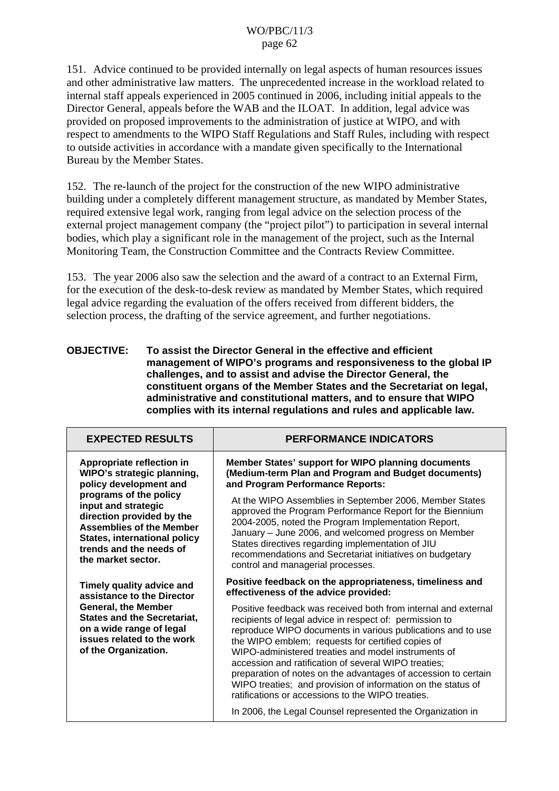151. Advice continued to be provided internally on legal aspects of human resources issues and other administrative law matters. The unprecedented increase in the workload related to internal staff appeals experienced in 2005 continued in 2006, including initial appeals to the Director General, appeals before the WAB and the ILOAT. In addition, legal advice was provided on proposed improvements to the administration of justice at WIPO, and with respect to amendments to the WIPO Staff Regulations and Staff Rules, including with respect to outside activities in accordance with a mandate given specifically to the International Bureau by the Member States.

152. The re-launch of the project for the construction of the new WIPO administrative building under a completely different management structure, as mandated by Member States, required extensive legal work, ranging from legal advice on the selection process of the external project management company (the "project pilot") to participation in several internal bodies, which play a significant role in the management of the project, such as the Internal Monitoring Team, the Construction Committee and the Contracts Review Committee.

153. The year 2006 also saw the selection and the award of a contract to an External Firm, for the execution of the desk-to-desk review as mandated by Member States, which required legal advice regarding the evaluation of the offers received from different bidders, the selection process, the drafting of the service agreement, and further negotiations.

#### **OBJECTIVE: To assist the Director General in the effective and efficient management of WIPO's programs and responsiveness to the global IP challenges, and to assist and advise the Director General, the constituent organs of the Member States and the Secretariat on legal, administrative and constitutional matters, and to ensure that WIPO complies with its internal regulations and rules and applicable law.**

| <b>EXPECTED RESULTS</b>                                                                                                                            | <b>PERFORMANCE INDICATORS</b>                                                                                                                                                                                                                                                                                                                                                                                                                                                                                                                       |
|----------------------------------------------------------------------------------------------------------------------------------------------------|-----------------------------------------------------------------------------------------------------------------------------------------------------------------------------------------------------------------------------------------------------------------------------------------------------------------------------------------------------------------------------------------------------------------------------------------------------------------------------------------------------------------------------------------------------|
| Appropriate reflection in                                                                                                                          | Member States' support for WIPO planning documents                                                                                                                                                                                                                                                                                                                                                                                                                                                                                                  |
| WIPO's strategic planning,                                                                                                                         | (Medium-term Plan and Program and Budget documents)                                                                                                                                                                                                                                                                                                                                                                                                                                                                                                 |
| policy development and                                                                                                                             | and Program Performance Reports:                                                                                                                                                                                                                                                                                                                                                                                                                                                                                                                    |
| programs of the policy                                                                                                                             | At the WIPO Assemblies in September 2006, Member States                                                                                                                                                                                                                                                                                                                                                                                                                                                                                             |
| input and strategic                                                                                                                                | approved the Program Performance Report for the Biennium                                                                                                                                                                                                                                                                                                                                                                                                                                                                                            |
| direction provided by the                                                                                                                          | 2004-2005, noted the Program Implementation Report,                                                                                                                                                                                                                                                                                                                                                                                                                                                                                                 |
| <b>Assemblies of the Member</b>                                                                                                                    | January - June 2006, and welcomed progress on Member                                                                                                                                                                                                                                                                                                                                                                                                                                                                                                |
| <b>States, international policy</b>                                                                                                                | States directives regarding implementation of JIU                                                                                                                                                                                                                                                                                                                                                                                                                                                                                                   |
| trends and the needs of                                                                                                                            | recommendations and Secretariat initiatives on budgetary                                                                                                                                                                                                                                                                                                                                                                                                                                                                                            |
| the market sector.                                                                                                                                 | control and managerial processes.                                                                                                                                                                                                                                                                                                                                                                                                                                                                                                                   |
| Timely quality advice and                                                                                                                          | Positive feedback on the appropriateness, timeliness and                                                                                                                                                                                                                                                                                                                                                                                                                                                                                            |
| assistance to the Director                                                                                                                         | effectiveness of the advice provided:                                                                                                                                                                                                                                                                                                                                                                                                                                                                                                               |
| <b>General, the Member</b><br><b>States and the Secretariat,</b><br>on a wide range of legal<br>issues related to the work<br>of the Organization. | Positive feedback was received both from internal and external<br>recipients of legal advice in respect of: permission to<br>reproduce WIPO documents in various publications and to use<br>the WIPO emblem; requests for certified copies of<br>WIPO-administered treaties and model instruments of<br>accession and ratification of several WIPO treaties;<br>preparation of notes on the advantages of accession to certain<br>WIPO treaties; and provision of information on the status of<br>ratifications or accessions to the WIPO treaties. |
|                                                                                                                                                    | In 2006, the Legal Counsel represented the Organization in                                                                                                                                                                                                                                                                                                                                                                                                                                                                                          |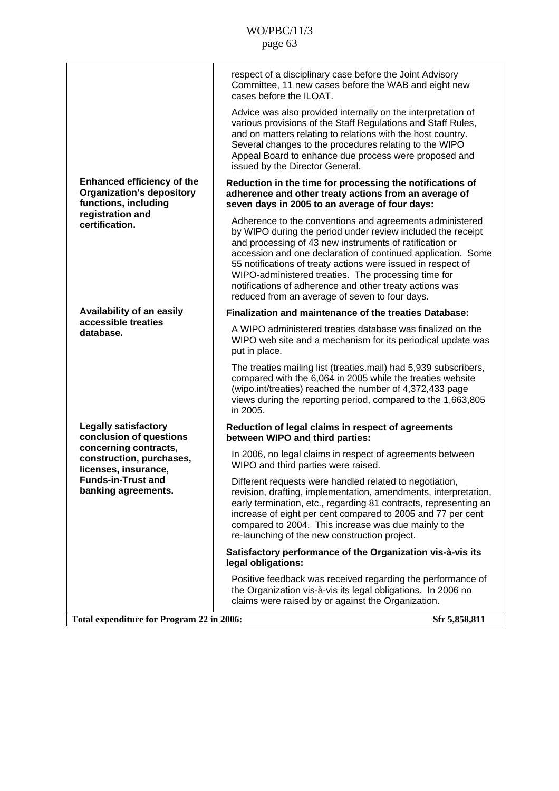|                                                                                               | respect of a disciplinary case before the Joint Advisory<br>Committee, 11 new cases before the WAB and eight new<br>cases before the ILOAT.                                                                                                                                                                                                                                                                                                                                            |
|-----------------------------------------------------------------------------------------------|----------------------------------------------------------------------------------------------------------------------------------------------------------------------------------------------------------------------------------------------------------------------------------------------------------------------------------------------------------------------------------------------------------------------------------------------------------------------------------------|
|                                                                                               | Advice was also provided internally on the interpretation of<br>various provisions of the Staff Regulations and Staff Rules,<br>and on matters relating to relations with the host country.<br>Several changes to the procedures relating to the WIPO<br>Appeal Board to enhance due process were proposed and<br>issued by the Director General.                                                                                                                                      |
| <b>Enhanced efficiency of the</b><br><b>Organization's depository</b><br>functions, including | Reduction in the time for processing the notifications of<br>adherence and other treaty actions from an average of<br>seven days in 2005 to an average of four days:                                                                                                                                                                                                                                                                                                                   |
| registration and<br>certification.                                                            | Adherence to the conventions and agreements administered<br>by WIPO during the period under review included the receipt<br>and processing of 43 new instruments of ratification or<br>accession and one declaration of continued application. Some<br>55 notifications of treaty actions were issued in respect of<br>WIPO-administered treaties. The processing time for<br>notifications of adherence and other treaty actions was<br>reduced from an average of seven to four days. |
| Availability of an easily                                                                     | <b>Finalization and maintenance of the treaties Database:</b>                                                                                                                                                                                                                                                                                                                                                                                                                          |
| accessible treaties<br>database.                                                              | A WIPO administered treaties database was finalized on the<br>WIPO web site and a mechanism for its periodical update was<br>put in place.                                                                                                                                                                                                                                                                                                                                             |
|                                                                                               | The treaties mailing list (treaties.mail) had 5,939 subscribers,<br>compared with the 6,064 in 2005 while the treaties website<br>(wipo.int/treaties) reached the number of 4,372,433 page<br>views during the reporting period, compared to the 1,663,805<br>in 2005.                                                                                                                                                                                                                 |
| <b>Legally satisfactory</b><br>conclusion of questions                                        | Reduction of legal claims in respect of agreements<br>between WIPO and third parties:                                                                                                                                                                                                                                                                                                                                                                                                  |
| concerning contracts,<br>construction, purchases,<br>licenses, insurance,                     | In 2006, no legal claims in respect of agreements between<br>WIPO and third parties were raised.                                                                                                                                                                                                                                                                                                                                                                                       |
| <b>Funds-in-Trust and</b><br>banking agreements.                                              | Different requests were handled related to negotiation<br>revision, drafting, implementation, amendments, interpretation,<br>early termination, etc., regarding 81 contracts, representing an<br>increase of eight per cent compared to 2005 and 77 per cent<br>compared to 2004. This increase was due mainly to the<br>re-launching of the new construction project.                                                                                                                 |
|                                                                                               | Satisfactory performance of the Organization vis-à-vis its<br>legal obligations:                                                                                                                                                                                                                                                                                                                                                                                                       |
|                                                                                               | Positive feedback was received regarding the performance of<br>the Organization vis-à-vis its legal obligations. In 2006 no<br>claims were raised by or against the Organization.                                                                                                                                                                                                                                                                                                      |
| Total expenditure for Program 22 in 2006:                                                     | Sfr 5,858,811                                                                                                                                                                                                                                                                                                                                                                                                                                                                          |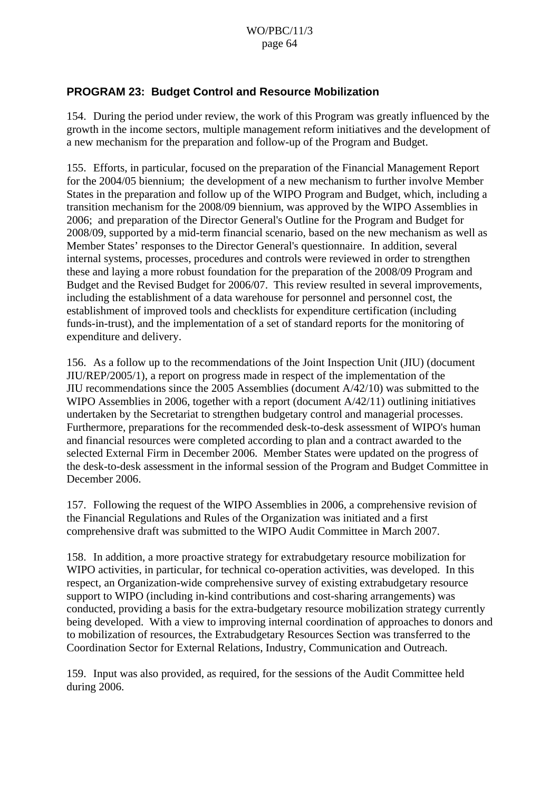### **PROGRAM 23: Budget Control and Resource Mobilization**

154. During the period under review, the work of this Program was greatly influenced by the growth in the income sectors, multiple management reform initiatives and the development of a new mechanism for the preparation and follow-up of the Program and Budget.

155. Efforts, in particular, focused on the preparation of the Financial Management Report for the 2004/05 biennium; the development of a new mechanism to further involve Member States in the preparation and follow up of the WIPO Program and Budget, which, including a transition mechanism for the 2008/09 biennium, was approved by the WIPO Assemblies in 2006; and preparation of the Director General's Outline for the Program and Budget for 2008/09, supported by a mid-term financial scenario, based on the new mechanism as well as Member States' responses to the Director General's questionnaire. In addition, several internal systems, processes, procedures and controls were reviewed in order to strengthen these and laying a more robust foundation for the preparation of the 2008/09 Program and Budget and the Revised Budget for 2006/07. This review resulted in several improvements, including the establishment of a data warehouse for personnel and personnel cost, the establishment of improved tools and checklists for expenditure certification (including funds-in-trust), and the implementation of a set of standard reports for the monitoring of expenditure and delivery.

156. As a follow up to the recommendations of the Joint Inspection Unit (JIU) (document JIU/REP/2005/1), a report on progress made in respect of the implementation of the JIU recommendations since the 2005 Assemblies (document A/42/10) was submitted to the WIPO Assemblies in 2006, together with a report (document A/42/11) outlining initiatives undertaken by the Secretariat to strengthen budgetary control and managerial processes. Furthermore, preparations for the recommended desk-to-desk assessment of WIPO's human and financial resources were completed according to plan and a contract awarded to the selected External Firm in December 2006. Member States were updated on the progress of the desk-to-desk assessment in the informal session of the Program and Budget Committee in December 2006.

157. Following the request of the WIPO Assemblies in 2006, a comprehensive revision of the Financial Regulations and Rules of the Organization was initiated and a first comprehensive draft was submitted to the WIPO Audit Committee in March 2007.

158. In addition, a more proactive strategy for extrabudgetary resource mobilization for WIPO activities, in particular, for technical co-operation activities, was developed. In this respect, an Organization-wide comprehensive survey of existing extrabudgetary resource support to WIPO (including in-kind contributions and cost-sharing arrangements) was conducted, providing a basis for the extra-budgetary resource mobilization strategy currently being developed. With a view to improving internal coordination of approaches to donors and to mobilization of resources, the Extrabudgetary Resources Section was transferred to the Coordination Sector for External Relations, Industry, Communication and Outreach.

159. Input was also provided, as required, for the sessions of the Audit Committee held during 2006.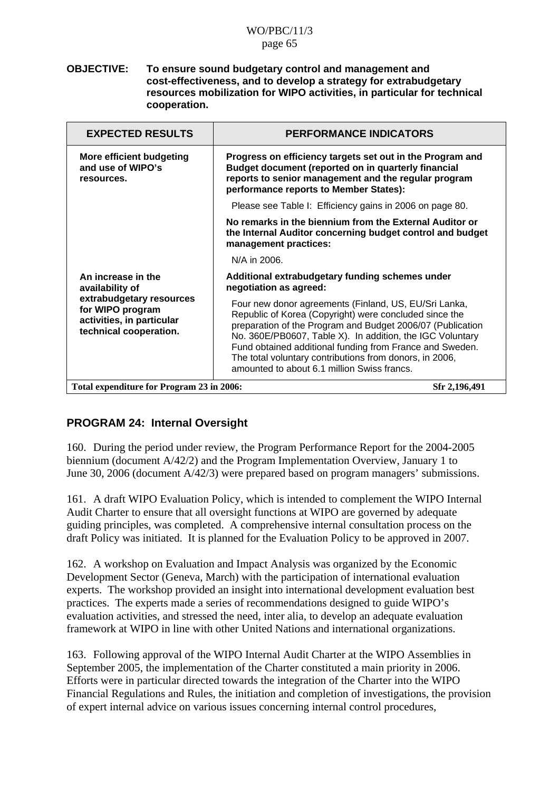#### **OBJECTIVE: To ensure sound budgetary control and management and cost-effectiveness, and to develop a strategy for extrabudgetary resources mobilization for WIPO activities, in particular for technical cooperation.**

| <b>EXPECTED RESULTS</b>                                                                                                                      | <b>PERFORMANCE INDICATORS</b>                                                                                                                                                                                                                                                                                                                                                                                    |
|----------------------------------------------------------------------------------------------------------------------------------------------|------------------------------------------------------------------------------------------------------------------------------------------------------------------------------------------------------------------------------------------------------------------------------------------------------------------------------------------------------------------------------------------------------------------|
| <b>More efficient budgeting</b><br>and use of WIPO's<br>resources.                                                                           | Progress on efficiency targets set out in the Program and<br>Budget document (reported on in quarterly financial<br>reports to senior management and the regular program<br>performance reports to Member States):                                                                                                                                                                                               |
|                                                                                                                                              | Please see Table I: Efficiency gains in 2006 on page 80.                                                                                                                                                                                                                                                                                                                                                         |
|                                                                                                                                              | No remarks in the biennium from the External Auditor or<br>the Internal Auditor concerning budget control and budget<br>management practices:                                                                                                                                                                                                                                                                    |
|                                                                                                                                              | N/A in 2006.                                                                                                                                                                                                                                                                                                                                                                                                     |
| An increase in the<br>availability of<br>extrabudgetary resources<br>for WIPO program<br>activities, in particular<br>technical cooperation. | Additional extrabudgetary funding schemes under<br>negotiation as agreed:                                                                                                                                                                                                                                                                                                                                        |
|                                                                                                                                              | Four new donor agreements (Finland, US, EU/Sri Lanka,<br>Republic of Korea (Copyright) were concluded since the<br>preparation of the Program and Budget 2006/07 (Publication<br>No. 360E/PB0607, Table X). In addition, the IGC Voluntary<br>Fund obtained additional funding from France and Sweden.<br>The total voluntary contributions from donors, in 2006,<br>amounted to about 6.1 million Swiss francs. |
| Total expenditure for Program 23 in 2006:<br>Sfr 2,196,491                                                                                   |                                                                                                                                                                                                                                                                                                                                                                                                                  |

## **PROGRAM 24: Internal Oversight**

160. During the period under review, the Program Performance Report for the 2004-2005 biennium (document A/42/2) and the Program Implementation Overview, January 1 to June 30, 2006 (document A/42/3) were prepared based on program managers' submissions.

161. A draft WIPO Evaluation Policy, which is intended to complement the WIPO Internal Audit Charter to ensure that all oversight functions at WIPO are governed by adequate guiding principles, was completed. A comprehensive internal consultation process on the draft Policy was initiated. It is planned for the Evaluation Policy to be approved in 2007.

162. A workshop on Evaluation and Impact Analysis was organized by the Economic Development Sector (Geneva, March) with the participation of international evaluation experts. The workshop provided an insight into international development evaluation best practices. The experts made a series of recommendations designed to guide WIPO's evaluation activities, and stressed the need, inter alia, to develop an adequate evaluation framework at WIPO in line with other United Nations and international organizations.

163. Following approval of the WIPO Internal Audit Charter at the WIPO Assemblies in September 2005, the implementation of the Charter constituted a main priority in 2006. Efforts were in particular directed towards the integration of the Charter into the WIPO Financial Regulations and Rules, the initiation and completion of investigations, the provision of expert internal advice on various issues concerning internal control procedures,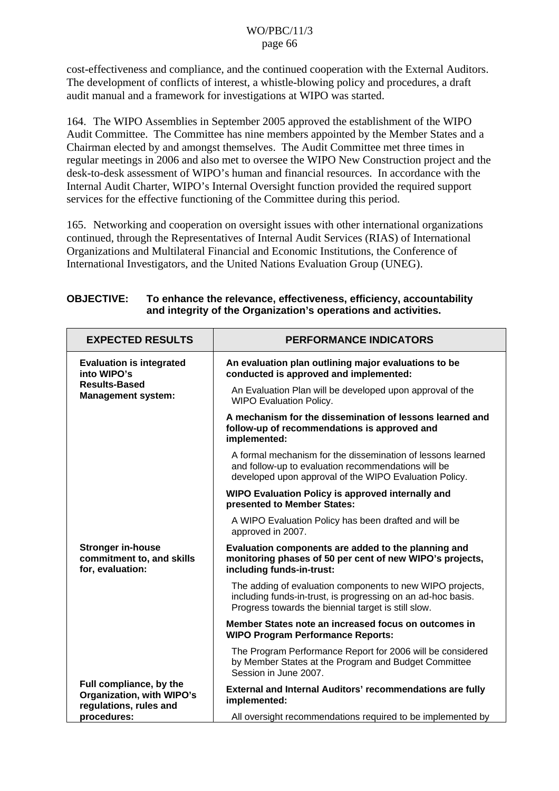cost-effectiveness and compliance, and the continued cooperation with the External Auditors. The development of conflicts of interest, a whistle-blowing policy and procedures, a draft audit manual and a framework for investigations at WIPO was started.

164. The WIPO Assemblies in September 2005 approved the establishment of the WIPO Audit Committee. The Committee has nine members appointed by the Member States and a Chairman elected by and amongst themselves. The Audit Committee met three times in regular meetings in 2006 and also met to oversee the WIPO New Construction project and the desk-to-desk assessment of WIPO's human and financial resources. In accordance with the Internal Audit Charter, WIPO's Internal Oversight function provided the required support services for the effective functioning of the Committee during this period.

165. Networking and cooperation on oversight issues with other international organizations continued, through the Representatives of Internal Audit Services (RIAS) of International Organizations and Multilateral Financial and Economic Institutions, the Conference of International Investigators, and the United Nations Evaluation Group (UNEG).

| <b>EXPECTED RESULTS</b>                                                        | <b>PERFORMANCE INDICATORS</b>                                                                                                                                                    |
|--------------------------------------------------------------------------------|----------------------------------------------------------------------------------------------------------------------------------------------------------------------------------|
| <b>Evaluation is integrated</b><br>into WIPO's                                 | An evaluation plan outlining major evaluations to be<br>conducted is approved and implemented:                                                                                   |
| <b>Results-Based</b><br><b>Management system:</b>                              | An Evaluation Plan will be developed upon approval of the<br><b>WIPO Evaluation Policy.</b>                                                                                      |
|                                                                                | A mechanism for the dissemination of lessons learned and<br>follow-up of recommendations is approved and<br>implemented:                                                         |
|                                                                                | A formal mechanism for the dissemination of lessons learned<br>and follow-up to evaluation recommendations will be<br>developed upon approval of the WIPO Evaluation Policy.     |
|                                                                                | WIPO Evaluation Policy is approved internally and<br>presented to Member States:                                                                                                 |
|                                                                                | A WIPO Evaluation Policy has been drafted and will be<br>approved in 2007.                                                                                                       |
| <b>Stronger in-house</b><br>commitment to, and skills<br>for, evaluation:      | Evaluation components are added to the planning and<br>monitoring phases of 50 per cent of new WIPO's projects,<br>including funds-in-trust:                                     |
|                                                                                | The adding of evaluation components to new WIPO projects,<br>including funds-in-trust, is progressing on an ad-hoc basis.<br>Progress towards the biennial target is still slow. |
|                                                                                | Member States note an increased focus on outcomes in<br><b>WIPO Program Performance Reports:</b>                                                                                 |
|                                                                                | The Program Performance Report for 2006 will be considered<br>by Member States at the Program and Budget Committee<br>Session in June 2007.                                      |
| Full compliance, by the<br>Organization, with WIPO's<br>regulations, rules and | External and Internal Auditors' recommendations are fully<br>implemented:                                                                                                        |
| procedures:                                                                    | All oversight recommendations required to be implemented by                                                                                                                      |

**OBJECTIVE: To enhance the relevance, effectiveness, efficiency, accountability and integrity of the Organization's operations and activities.**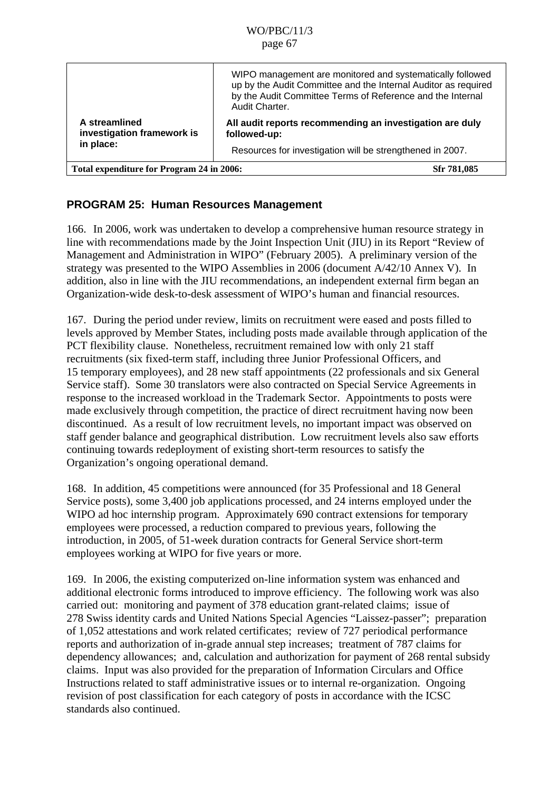|                                                          | WIPO management are monitored and systematically followed<br>up by the Audit Committee and the Internal Auditor as required<br>by the Audit Committee Terms of Reference and the Internal<br>Audit Charter. |
|----------------------------------------------------------|-------------------------------------------------------------------------------------------------------------------------------------------------------------------------------------------------------------|
| A streamlined<br>investigation framework is              | All audit reports recommending an investigation are duly<br>followed-up:                                                                                                                                    |
| in place:                                                | Resources for investigation will be strengthened in 2007.                                                                                                                                                   |
| Total expenditure for Program 24 in 2006:<br>Sfr 781,085 |                                                                                                                                                                                                             |

## **PROGRAM 25: Human Resources Management**

166. In 2006, work was undertaken to develop a comprehensive human resource strategy in line with recommendations made by the Joint Inspection Unit (JIU) in its Report "Review of Management and Administration in WIPO" (February 2005). A preliminary version of the strategy was presented to the WIPO Assemblies in 2006 (document A/42/10 Annex V). In addition, also in line with the JIU recommendations, an independent external firm began an Organization-wide desk-to-desk assessment of WIPO's human and financial resources.

167. During the period under review, limits on recruitment were eased and posts filled to levels approved by Member States, including posts made available through application of the PCT flexibility clause. Nonetheless, recruitment remained low with only 21 staff recruitments (six fixed-term staff, including three Junior Professional Officers, and 15 temporary employees), and 28 new staff appointments (22 professionals and six General Service staff). Some 30 translators were also contracted on Special Service Agreements in response to the increased workload in the Trademark Sector. Appointments to posts were made exclusively through competition, the practice of direct recruitment having now been discontinued. As a result of low recruitment levels, no important impact was observed on staff gender balance and geographical distribution. Low recruitment levels also saw efforts continuing towards redeployment of existing short-term resources to satisfy the Organization's ongoing operational demand.

168. In addition, 45 competitions were announced (for 35 Professional and 18 General Service posts), some 3,400 job applications processed, and 24 interns employed under the WIPO ad hoc internship program. Approximately 690 contract extensions for temporary employees were processed, a reduction compared to previous years, following the introduction, in 2005, of 51-week duration contracts for General Service short-term employees working at WIPO for five years or more.

169. In 2006, the existing computerized on-line information system was enhanced and additional electronic forms introduced to improve efficiency. The following work was also carried out: monitoring and payment of 378 education grant-related claims; issue of 278 Swiss identity cards and United Nations Special Agencies "Laissez-passer"; preparation of 1,052 attestations and work related certificates; review of 727 periodical performance reports and authorization of in-grade annual step increases; treatment of 787 claims for dependency allowances; and, calculation and authorization for payment of 268 rental subsidy claims. Input was also provided for the preparation of Information Circulars and Office Instructions related to staff administrative issues or to internal re-organization. Ongoing revision of post classification for each category of posts in accordance with the ICSC standards also continued.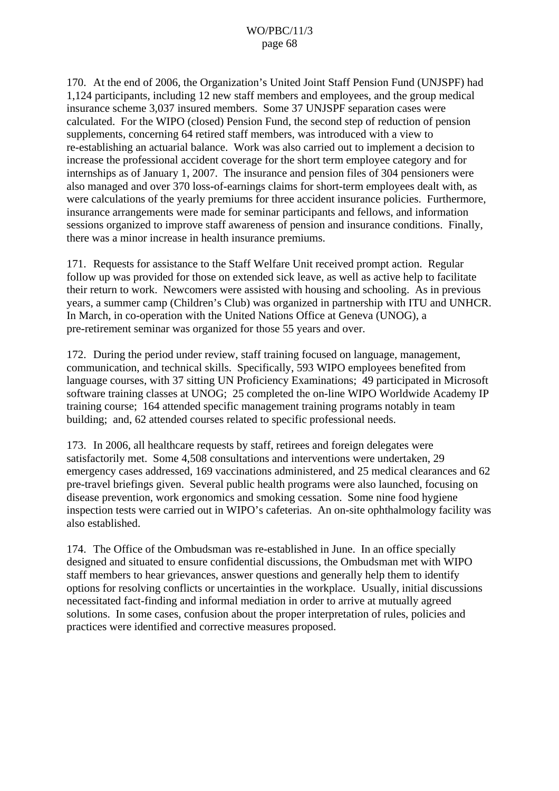170. At the end of 2006, the Organization's United Joint Staff Pension Fund (UNJSPF) had 1,124 participants, including 12 new staff members and employees, and the group medical insurance scheme 3,037 insured members. Some 37 UNJSPF separation cases were calculated. For the WIPO (closed) Pension Fund, the second step of reduction of pension supplements, concerning 64 retired staff members, was introduced with a view to re-establishing an actuarial balance. Work was also carried out to implement a decision to increase the professional accident coverage for the short term employee category and for internships as of January 1, 2007. The insurance and pension files of 304 pensioners were also managed and over 370 loss-of-earnings claims for short-term employees dealt with, as were calculations of the yearly premiums for three accident insurance policies. Furthermore, insurance arrangements were made for seminar participants and fellows, and information sessions organized to improve staff awareness of pension and insurance conditions. Finally, there was a minor increase in health insurance premiums.

171. Requests for assistance to the Staff Welfare Unit received prompt action. Regular follow up was provided for those on extended sick leave, as well as active help to facilitate their return to work. Newcomers were assisted with housing and schooling. As in previous years, a summer camp (Children's Club) was organized in partnership with ITU and UNHCR. In March, in co-operation with the United Nations Office at Geneva (UNOG), a pre-retirement seminar was organized for those 55 years and over.

172. During the period under review, staff training focused on language, management, communication, and technical skills. Specifically, 593 WIPO employees benefited from language courses, with 37 sitting UN Proficiency Examinations; 49 participated in Microsoft software training classes at UNOG; 25 completed the on-line WIPO Worldwide Academy IP training course; 164 attended specific management training programs notably in team building; and, 62 attended courses related to specific professional needs.

173. In 2006, all healthcare requests by staff, retirees and foreign delegates were satisfactorily met. Some 4,508 consultations and interventions were undertaken, 29 emergency cases addressed, 169 vaccinations administered, and 25 medical clearances and 62 pre-travel briefings given. Several public health programs were also launched, focusing on disease prevention, work ergonomics and smoking cessation. Some nine food hygiene inspection tests were carried out in WIPO's cafeterias. An on-site ophthalmology facility was also established.

174. The Office of the Ombudsman was re-established in June. In an office specially designed and situated to ensure confidential discussions, the Ombudsman met with WIPO staff members to hear grievances, answer questions and generally help them to identify options for resolving conflicts or uncertainties in the workplace. Usually, initial discussions necessitated fact-finding and informal mediation in order to arrive at mutually agreed solutions. In some cases, confusion about the proper interpretation of rules, policies and practices were identified and corrective measures proposed.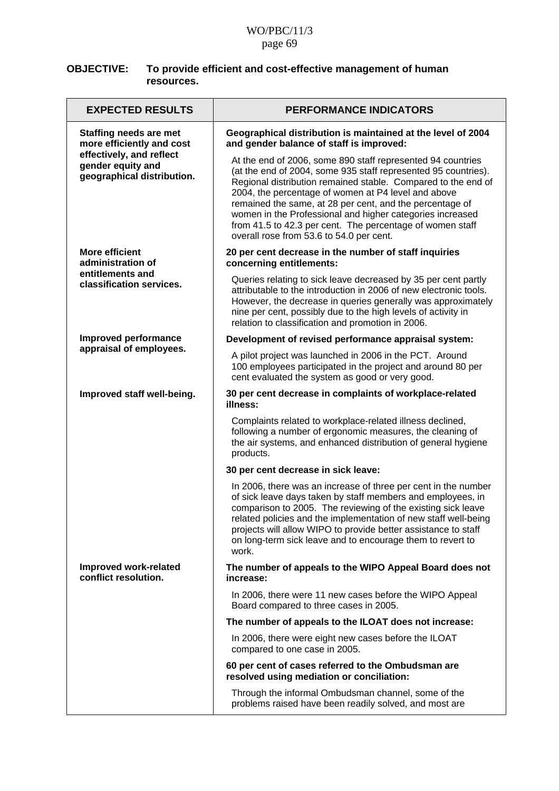| <b>OBJECTIVE:</b> | To provide efficient and cost-effective management of human |
|-------------------|-------------------------------------------------------------|
|                   | resources.                                                  |

| <b>EXPECTED RESULTS</b>                                                     | <b>PERFORMANCE INDICATORS</b>                                                                                                                                                                                                                                                                                                                                                                                                                                                           |
|-----------------------------------------------------------------------------|-----------------------------------------------------------------------------------------------------------------------------------------------------------------------------------------------------------------------------------------------------------------------------------------------------------------------------------------------------------------------------------------------------------------------------------------------------------------------------------------|
| <b>Staffing needs are met</b><br>more efficiently and cost                  | Geographical distribution is maintained at the level of 2004<br>and gender balance of staff is improved:                                                                                                                                                                                                                                                                                                                                                                                |
| effectively, and reflect<br>gender equity and<br>geographical distribution. | At the end of 2006, some 890 staff represented 94 countries<br>(at the end of 2004, some 935 staff represented 95 countries).<br>Regional distribution remained stable. Compared to the end of<br>2004, the percentage of women at P4 level and above<br>remained the same, at 28 per cent, and the percentage of<br>women in the Professional and higher categories increased<br>from 41.5 to 42.3 per cent. The percentage of women staff<br>overall rose from 53.6 to 54.0 per cent. |
| <b>More efficient</b><br>administration of                                  | 20 per cent decrease in the number of staff inquiries<br>concerning entitlements:                                                                                                                                                                                                                                                                                                                                                                                                       |
| entitlements and<br>classification services.                                | Queries relating to sick leave decreased by 35 per cent partly<br>attributable to the introduction in 2006 of new electronic tools.<br>However, the decrease in queries generally was approximately<br>nine per cent, possibly due to the high levels of activity in<br>relation to classification and promotion in 2006.                                                                                                                                                               |
| Improved performance                                                        | Development of revised performance appraisal system:                                                                                                                                                                                                                                                                                                                                                                                                                                    |
| appraisal of employees.                                                     | A pilot project was launched in 2006 in the PCT. Around<br>100 employees participated in the project and around 80 per<br>cent evaluated the system as good or very good.                                                                                                                                                                                                                                                                                                               |
| Improved staff well-being.                                                  | 30 per cent decrease in complaints of workplace-related<br>illness:                                                                                                                                                                                                                                                                                                                                                                                                                     |
|                                                                             | Complaints related to workplace-related illness declined,<br>following a number of ergonomic measures, the cleaning of<br>the air systems, and enhanced distribution of general hygiene<br>products.                                                                                                                                                                                                                                                                                    |
|                                                                             | 30 per cent decrease in sick leave:                                                                                                                                                                                                                                                                                                                                                                                                                                                     |
|                                                                             | In 2006, there was an increase of three per cent in the number<br>of sick leave days taken by staff members and employees, in<br>comparison to 2005. The reviewing of the existing sick leave<br>related policies and the implementation of new staff well-being<br>projects will allow WIPO to provide better assistance to staff<br>on long-term sick leave and to encourage them to revert to<br>work.                                                                               |
| Improved work-related<br>conflict resolution.                               | The number of appeals to the WIPO Appeal Board does not<br>increase:                                                                                                                                                                                                                                                                                                                                                                                                                    |
|                                                                             | In 2006, there were 11 new cases before the WIPO Appeal<br>Board compared to three cases in 2005.                                                                                                                                                                                                                                                                                                                                                                                       |
|                                                                             | The number of appeals to the ILOAT does not increase:                                                                                                                                                                                                                                                                                                                                                                                                                                   |
|                                                                             | In 2006, there were eight new cases before the ILOAT<br>compared to one case in 2005.                                                                                                                                                                                                                                                                                                                                                                                                   |
|                                                                             | 60 per cent of cases referred to the Ombudsman are<br>resolved using mediation or conciliation:                                                                                                                                                                                                                                                                                                                                                                                         |
|                                                                             | Through the informal Ombudsman channel, some of the<br>problems raised have been readily solved, and most are                                                                                                                                                                                                                                                                                                                                                                           |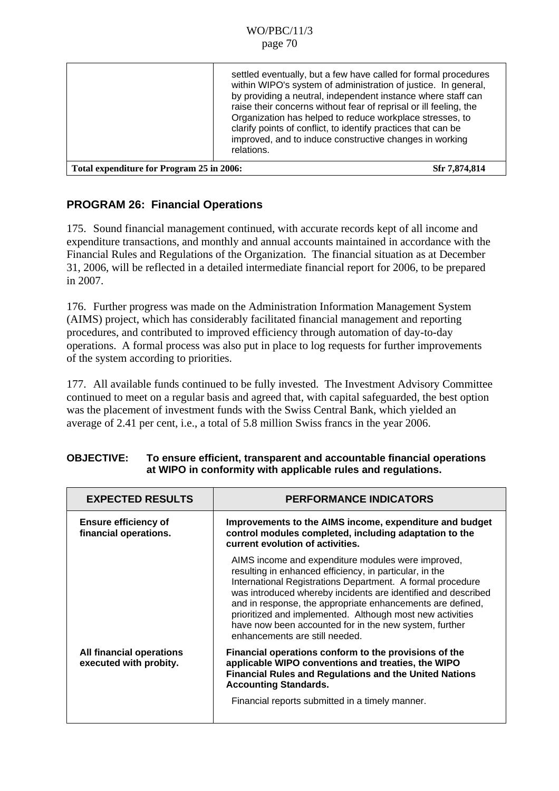|                                           | settled eventually, but a few have called for formal procedures<br>within WIPO's system of administration of justice. In general,<br>by providing a neutral, independent instance where staff can<br>raise their concerns without fear of reprisal or ill feeling, the<br>Organization has helped to reduce workplace stresses, to<br>clarify points of conflict, to identify practices that can be<br>improved, and to induce constructive changes in working<br>relations. |
|-------------------------------------------|------------------------------------------------------------------------------------------------------------------------------------------------------------------------------------------------------------------------------------------------------------------------------------------------------------------------------------------------------------------------------------------------------------------------------------------------------------------------------|
| Total expenditure for Program 25 in 2006: | Sfr 7,874,814                                                                                                                                                                                                                                                                                                                                                                                                                                                                |

## **PROGRAM 26: Financial Operations**

175. Sound financial management continued, with accurate records kept of all income and expenditure transactions, and monthly and annual accounts maintained in accordance with the Financial Rules and Regulations of the Organization. The financial situation as at December 31, 2006, will be reflected in a detailed intermediate financial report for 2006, to be prepared in 2007.

176. Further progress was made on the Administration Information Management System (AIMS) project, which has considerably facilitated financial management and reporting procedures, and contributed to improved efficiency through automation of day-to-day operations. A formal process was also put in place to log requests for further improvements of the system according to priorities.

177. All available funds continued to be fully invested. The Investment Advisory Committee continued to meet on a regular basis and agreed that, with capital safeguarded, the best option was the placement of investment funds with the Swiss Central Bank, which yielded an average of 2.41 per cent, i.e., a total of 5.8 million Swiss francs in the year 2006.

| <b>EXPECTED RESULTS</b>                              | <b>PERFORMANCE INDICATORS</b>                                                                                                                                                                                                                                                                                                                                                                                                                                       |
|------------------------------------------------------|---------------------------------------------------------------------------------------------------------------------------------------------------------------------------------------------------------------------------------------------------------------------------------------------------------------------------------------------------------------------------------------------------------------------------------------------------------------------|
| <b>Ensure efficiency of</b><br>financial operations. | Improvements to the AIMS income, expenditure and budget<br>control modules completed, including adaptation to the<br>current evolution of activities.                                                                                                                                                                                                                                                                                                               |
|                                                      | AIMS income and expenditure modules were improved,<br>resulting in enhanced efficiency, in particular, in the<br>International Registrations Department. A formal procedure<br>was introduced whereby incidents are identified and described<br>and in response, the appropriate enhancements are defined,<br>prioritized and implemented. Although most new activities<br>have now been accounted for in the new system, further<br>enhancements are still needed. |
| All financial operations<br>executed with probity.   | Financial operations conform to the provisions of the<br>applicable WIPO conventions and treaties, the WIPO<br><b>Financial Rules and Regulations and the United Nations</b><br><b>Accounting Standards.</b>                                                                                                                                                                                                                                                        |
|                                                      | Financial reports submitted in a timely manner.                                                                                                                                                                                                                                                                                                                                                                                                                     |

### **OBJECTIVE: To ensure efficient, transparent and accountable financial operations at WIPO in conformity with applicable rules and regulations.**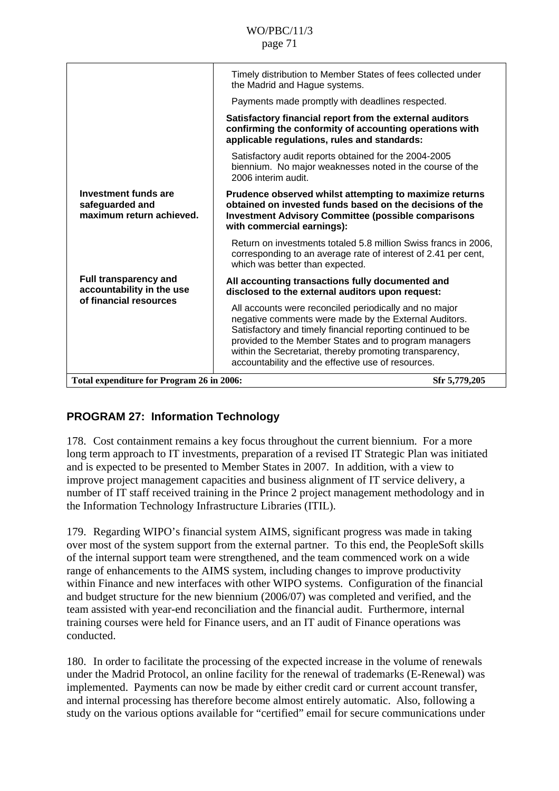|                                                                                     | Timely distribution to Member States of fees collected under<br>the Madrid and Hague systems.                                                                                                                                                                                                                                                            |               |
|-------------------------------------------------------------------------------------|----------------------------------------------------------------------------------------------------------------------------------------------------------------------------------------------------------------------------------------------------------------------------------------------------------------------------------------------------------|---------------|
|                                                                                     | Payments made promptly with deadlines respected.                                                                                                                                                                                                                                                                                                         |               |
|                                                                                     | Satisfactory financial report from the external auditors<br>confirming the conformity of accounting operations with<br>applicable regulations, rules and standards:                                                                                                                                                                                      |               |
|                                                                                     | Satisfactory audit reports obtained for the 2004-2005<br>biennium. No major weaknesses noted in the course of the<br>2006 interim audit.                                                                                                                                                                                                                 |               |
| <b>Investment funds are</b><br>safeguarded and<br>maximum return achieved.          | Prudence observed whilst attempting to maximize returns<br>obtained on invested funds based on the decisions of the<br><b>Investment Advisory Committee (possible comparisons</b><br>with commercial earnings):                                                                                                                                          |               |
|                                                                                     | Return on investments totaled 5.8 million Swiss francs in 2006,<br>corresponding to an average rate of interest of 2.41 per cent,<br>which was better than expected.                                                                                                                                                                                     |               |
| <b>Full transparency and</b><br>accountability in the use<br>of financial resources | All accounting transactions fully documented and<br>disclosed to the external auditors upon request:                                                                                                                                                                                                                                                     |               |
|                                                                                     | All accounts were reconciled periodically and no major<br>negative comments were made by the External Auditors.<br>Satisfactory and timely financial reporting continued to be<br>provided to the Member States and to program managers<br>within the Secretariat, thereby promoting transparency,<br>accountability and the effective use of resources. |               |
| Total expenditure for Program 26 in 2006:                                           |                                                                                                                                                                                                                                                                                                                                                          | Sfr 5,779,205 |

## **PROGRAM 27: Information Technology**

178. Cost containment remains a key focus throughout the current biennium. For a more long term approach to IT investments, preparation of a revised IT Strategic Plan was initiated and is expected to be presented to Member States in 2007. In addition, with a view to improve project management capacities and business alignment of IT service delivery, a number of IT staff received training in the Prince 2 project management methodology and in the Information Technology Infrastructure Libraries (ITIL).

179. Regarding WIPO's financial system AIMS, significant progress was made in taking over most of the system support from the external partner. To this end, the PeopleSoft skills of the internal support team were strengthened, and the team commenced work on a wide range of enhancements to the AIMS system, including changes to improve productivity within Finance and new interfaces with other WIPO systems. Configuration of the financial and budget structure for the new biennium (2006/07) was completed and verified, and the team assisted with year-end reconciliation and the financial audit. Furthermore, internal training courses were held for Finance users, and an IT audit of Finance operations was conducted.

180. In order to facilitate the processing of the expected increase in the volume of renewals under the Madrid Protocol, an online facility for the renewal of trademarks (E-Renewal) was implemented. Payments can now be made by either credit card or current account transfer, and internal processing has therefore become almost entirely automatic. Also, following a study on the various options available for "certified" email for secure communications under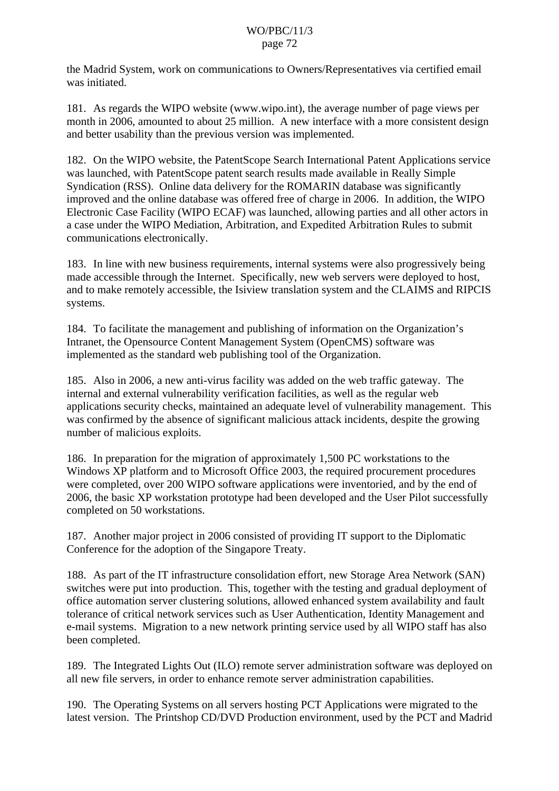the Madrid System, work on communications to Owners/Representatives via certified email was initiated.

181. As regards the WIPO website (www.wipo.int), the average number of page views per month in 2006, amounted to about 25 million. A new interface with a more consistent design and better usability than the previous version was implemented.

182. On the WIPO website, the PatentScope Search International Patent Applications service was launched, with PatentScope patent search results made available in Really Simple Syndication (RSS). Online data delivery for the ROMARIN database was significantly improved and the online database was offered free of charge in 2006. In addition, the WIPO Electronic Case Facility (WIPO ECAF) was launched, allowing parties and all other actors in a case under the WIPO Mediation, Arbitration, and Expedited Arbitration Rules to submit communications electronically.

183. In line with new business requirements, internal systems were also progressively being made accessible through the Internet. Specifically, new web servers were deployed to host, and to make remotely accessible, the Isiview translation system and the CLAIMS and RIPCIS systems.

184. To facilitate the management and publishing of information on the Organization's Intranet, the Opensource Content Management System (OpenCMS) software was implemented as the standard web publishing tool of the Organization.

185. Also in 2006, a new anti-virus facility was added on the web traffic gateway. The internal and external vulnerability verification facilities, as well as the regular web applications security checks, maintained an adequate level of vulnerability management. This was confirmed by the absence of significant malicious attack incidents, despite the growing number of malicious exploits.

186. In preparation for the migration of approximately 1,500 PC workstations to the Windows XP platform and to Microsoft Office 2003, the required procurement procedures were completed, over 200 WIPO software applications were inventoried, and by the end of 2006, the basic XP workstation prototype had been developed and the User Pilot successfully completed on 50 workstations.

187. Another major project in 2006 consisted of providing IT support to the Diplomatic Conference for the adoption of the Singapore Treaty.

188. As part of the IT infrastructure consolidation effort, new Storage Area Network (SAN) switches were put into production. This, together with the testing and gradual deployment of office automation server clustering solutions, allowed enhanced system availability and fault tolerance of critical network services such as User Authentication, Identity Management and e-mail systems. Migration to a new network printing service used by all WIPO staff has also been completed.

189. The Integrated Lights Out (ILO) remote server administration software was deployed on all new file servers, in order to enhance remote server administration capabilities.

190. The Operating Systems on all servers hosting PCT Applications were migrated to the latest version. The Printshop CD/DVD Production environment, used by the PCT and Madrid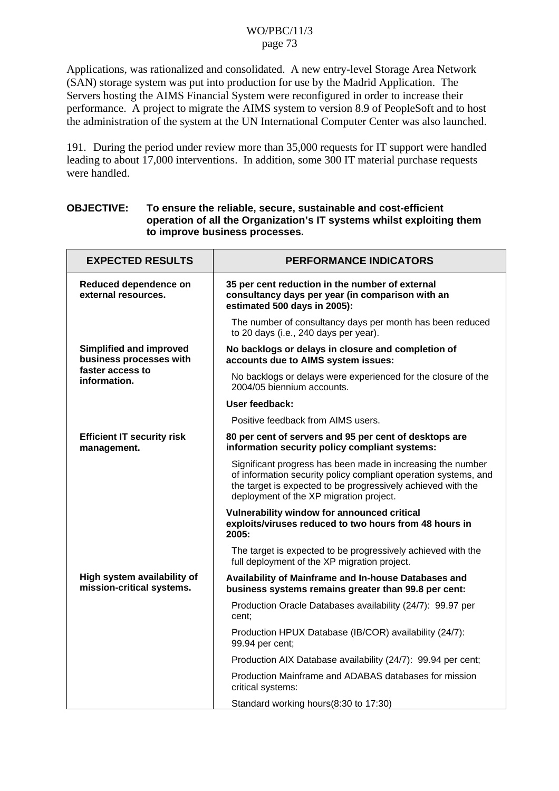Applications, was rationalized and consolidated. A new entry-level Storage Area Network (SAN) storage system was put into production for use by the Madrid Application. The Servers hosting the AIMS Financial System were reconfigured in order to increase their performance. A project to migrate the AIMS system to version 8.9 of PeopleSoft and to host the administration of the system at the UN International Computer Center was also launched.

191. During the period under review more than 35,000 requests for IT support were handled leading to about 17,000 interventions. In addition, some 300 IT material purchase requests were handled.

### **OBJECTIVE: To ensure the reliable, secure, sustainable and cost-efficient operation of all the Organization's IT systems whilst exploiting them to improve business processes.**

| <b>EXPECTED RESULTS</b>                                   | <b>PERFORMANCE INDICATORS</b>                                                                                                                                                                                                             |  |  |
|-----------------------------------------------------------|-------------------------------------------------------------------------------------------------------------------------------------------------------------------------------------------------------------------------------------------|--|--|
| Reduced dependence on<br>external resources.              | 35 per cent reduction in the number of external<br>consultancy days per year (in comparison with an<br>estimated 500 days in 2005):                                                                                                       |  |  |
|                                                           | The number of consultancy days per month has been reduced<br>to 20 days (i.e., 240 days per year).                                                                                                                                        |  |  |
| <b>Simplified and improved</b><br>business processes with | No backlogs or delays in closure and completion of<br>accounts due to AIMS system issues:                                                                                                                                                 |  |  |
| faster access to<br>information.                          | No backlogs or delays were experienced for the closure of the<br>2004/05 biennium accounts.                                                                                                                                               |  |  |
|                                                           | User feedback:                                                                                                                                                                                                                            |  |  |
|                                                           | Positive feedback from AIMS users.                                                                                                                                                                                                        |  |  |
| <b>Efficient IT security risk</b><br>management.          | 80 per cent of servers and 95 per cent of desktops are<br>information security policy compliant systems:                                                                                                                                  |  |  |
|                                                           | Significant progress has been made in increasing the number<br>of information security policy compliant operation systems, and<br>the target is expected to be progressively achieved with the<br>deployment of the XP migration project. |  |  |
|                                                           | Vulnerability window for announced critical<br>exploits/viruses reduced to two hours from 48 hours in<br>2005:                                                                                                                            |  |  |
|                                                           | The target is expected to be progressively achieved with the<br>full deployment of the XP migration project.                                                                                                                              |  |  |
| High system availability of<br>mission-critical systems.  | Availability of Mainframe and In-house Databases and<br>business systems remains greater than 99.8 per cent:                                                                                                                              |  |  |
|                                                           | Production Oracle Databases availability (24/7): 99.97 per<br>cent:                                                                                                                                                                       |  |  |
|                                                           | Production HPUX Database (IB/COR) availability (24/7):<br>99.94 per cent;                                                                                                                                                                 |  |  |
|                                                           | Production AIX Database availability (24/7): 99.94 per cent;                                                                                                                                                                              |  |  |
|                                                           | Production Mainframe and ADABAS databases for mission<br>critical systems:                                                                                                                                                                |  |  |
|                                                           | Standard working hours(8:30 to 17:30)                                                                                                                                                                                                     |  |  |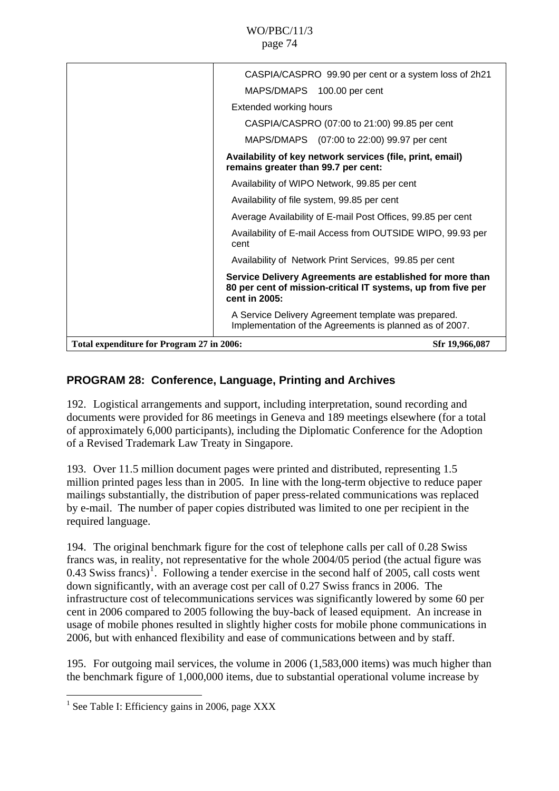<span id="page-73-0"></span>

|                                           | CASPIA/CASPRO 99.90 per cent or a system loss of 2h21                                                                                      |
|-------------------------------------------|--------------------------------------------------------------------------------------------------------------------------------------------|
|                                           | MAPS/DMAPS 100.00 per cent                                                                                                                 |
|                                           | <b>Extended working hours</b>                                                                                                              |
|                                           | CASPIA/CASPRO (07:00 to 21:00) 99.85 per cent                                                                                              |
|                                           | MAPS/DMAPS (07:00 to 22:00) 99.97 per cent                                                                                                 |
|                                           | Availability of key network services (file, print, email)<br>remains greater than 99.7 per cent:                                           |
|                                           | Availability of WIPO Network, 99.85 per cent                                                                                               |
|                                           | Availability of file system, 99.85 per cent                                                                                                |
|                                           | Average Availability of E-mail Post Offices, 99.85 per cent                                                                                |
|                                           | Availability of E-mail Access from OUTSIDE WIPO, 99.93 per<br>cent                                                                         |
|                                           | Availability of Network Print Services, 99.85 per cent                                                                                     |
|                                           | Service Delivery Agreements are established for more than<br>80 per cent of mission-critical IT systems, up from five per<br>cent in 2005: |
|                                           | A Service Delivery Agreement template was prepared.<br>Implementation of the Agreements is planned as of 2007.                             |
| Total expenditure for Program 27 in 2006: | Sfr 19,966,087                                                                                                                             |
|                                           |                                                                                                                                            |

# **PROGRAM 28: Conference, Language, Printing and Archives**

192. Logistical arrangements and support, including interpretation, sound recording and documents were provided for 86 meetings in Geneva and 189 meetings elsewhere (for a total of approximately 6,000 participants), including the Diplomatic Conference for the Adoption of a Revised Trademark Law Treaty in Singapore.

193. Over 11.5 million document pages were printed and distributed, representing 1.5 million printed pages less than in 2005. In line with the long-term objective to reduce paper mailings substantially, the distribution of paper press-related communications was replaced by e-mail. The number of paper copies distributed was limited to one per recipient in the required language.

194. The original benchmark figure for the cost of telephone calls per call of 0.28 Swiss francs was, in reality, not representative for the whole 2004/05 period (the actual figure was 0.43 Swiss francs)<sup>[1](#page-73-0)</sup>. Following a tender exercise in the second half of 2005, call costs went down significantly, with an average cost per call of 0.27 Swiss francs in 2006. The infrastructure cost of telecommunications services was significantly lowered by some 60 per cent in 2006 compared to 2005 following the buy-back of leased equipment. An increase in usage of mobile phones resulted in slightly higher costs for mobile phone communications in 2006, but with enhanced flexibility and ease of communications between and by staff.

195. For outgoing mail services, the volume in 2006 (1,583,000 items) was much higher than the benchmark figure of 1,000,000 items, due to substantial operational volume increase by

 1 See Table I: Efficiency gains in 2006, page XXX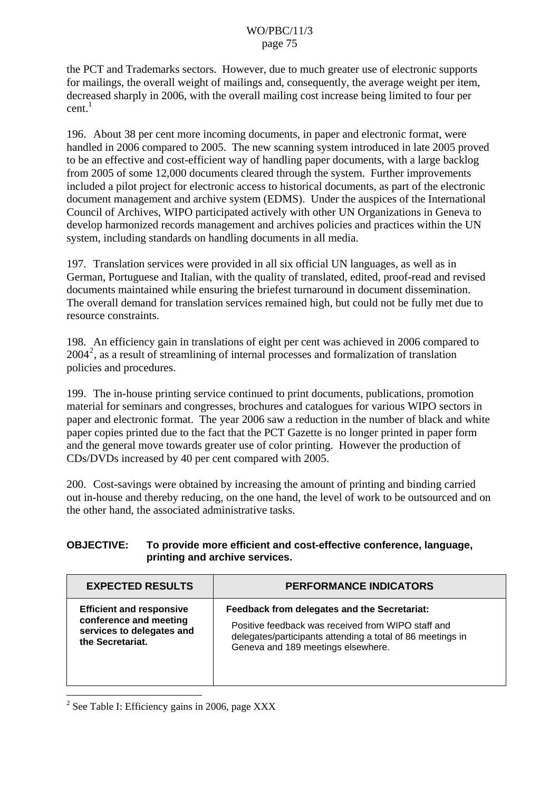<span id="page-74-0"></span>the PCT and Trademarks sectors. However, due to much greater use of electronic supports for mailings, the overall weight of mailings and, consequently, the average weight per item, decreased sharply in 2006, with the overall mailing cost increase being limited to four per  $cent.<sup>1</sup>$ 

196. About 38 per cent more incoming documents, in paper and electronic format, were handled in 2006 compared to 2005. The new scanning system introduced in late 2005 proved to be an effective and cost-efficient way of handling paper documents, with a large backlog from 2005 of some 12,000 documents cleared through the system. Further improvements included a pilot project for electronic access to historical documents, as part of the electronic document management and archive system (EDMS). Under the auspices of the International Council of Archives, WIPO participated actively with other UN Organizations in Geneva to develop harmonized records management and archives policies and practices within the UN system, including standards on handling documents in all media.

197. Translation services were provided in all six official UN languages, as well as in German, Portuguese and Italian, with the quality of translated, edited, proof-read and revised documents maintained while ensuring the briefest turnaround in document dissemination. The overall demand for translation services remained high, but could not be fully met due to resource constraints.

198. An efficiency gain in translations of eight per cent was achieved in 2006 compared to 2004[2](#page-74-0) , as a result of streamlining of internal processes and formalization of translation policies and procedures.

199. The in-house printing service continued to print documents, publications, promotion material for seminars and congresses, brochures and catalogues for various WIPO sectors in paper and electronic format. The year 2006 saw a reduction in the number of black and white paper copies printed due to the fact that the PCT Gazette is no longer printed in paper form and the general move towards greater use of color printing. However the production of CDs/DVDs increased by 40 per cent compared with 2005.

200. Cost-savings were obtained by increasing the amount of printing and binding carried out in-house and thereby reducing, on the one hand, the level of work to be outsourced and on the other hand, the associated administrative tasks.

#### **OBJECTIVE: To provide more efficient and cost-effective conference, language, printing and archive services.**

| <b>EXPECTED RESULTS</b>         | <b>PERFORMANCE INDICATORS</b>                              |
|---------------------------------|------------------------------------------------------------|
| <b>Efficient and responsive</b> | Feedback from delegates and the Secretariat:               |
| conference and meeting          | Positive feedback was received from WIPO staff and         |
| services to delegates and       | delegates/participants attending a total of 86 meetings in |
| the Secretariat.                | Geneva and 189 meetings elsewhere.                         |

 $2^2$  See Table I: Efficiency gains in 2006, page XXX

 $\overline{a}$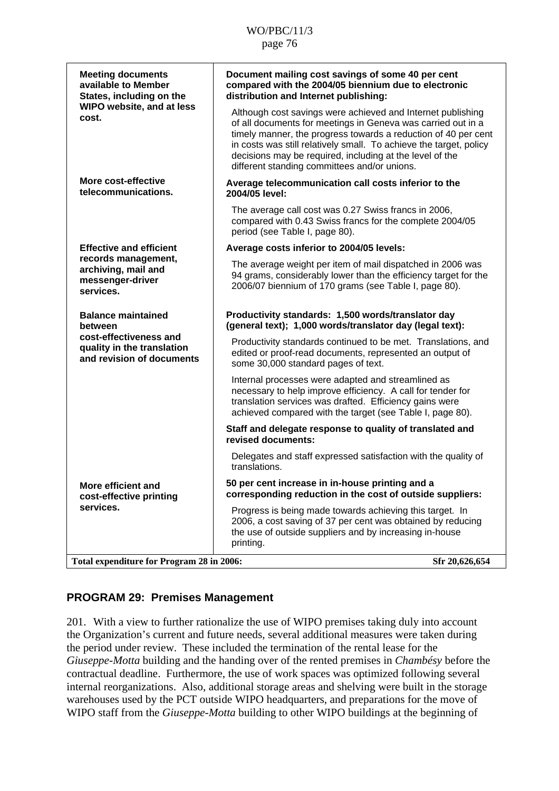| <b>Meeting documents</b><br>available to Member<br>States, including on the                                               | Document mailing cost savings of some 40 per cent<br>compared with the 2004/05 biennium due to electronic<br>distribution and Internet publishing:                                                                                                                                                                                                                              |  |  |
|---------------------------------------------------------------------------------------------------------------------------|---------------------------------------------------------------------------------------------------------------------------------------------------------------------------------------------------------------------------------------------------------------------------------------------------------------------------------------------------------------------------------|--|--|
| WIPO website, and at less<br>cost.                                                                                        | Although cost savings were achieved and Internet publishing<br>of all documents for meetings in Geneva was carried out in a<br>timely manner, the progress towards a reduction of 40 per cent<br>in costs was still relatively small. To achieve the target, policy<br>decisions may be required, including at the level of the<br>different standing committees and/or unions. |  |  |
| More cost-effective<br>telecommunications.                                                                                | Average telecommunication call costs inferior to the<br>2004/05 level:                                                                                                                                                                                                                                                                                                          |  |  |
|                                                                                                                           | The average call cost was 0.27 Swiss francs in 2006,<br>compared with 0.43 Swiss francs for the complete 2004/05<br>period (see Table I, page 80).                                                                                                                                                                                                                              |  |  |
| <b>Effective and efficient</b>                                                                                            | Average costs inferior to 2004/05 levels:                                                                                                                                                                                                                                                                                                                                       |  |  |
| records management,<br>archiving, mail and<br>messenger-driver<br>services.                                               | The average weight per item of mail dispatched in 2006 was<br>94 grams, considerably lower than the efficiency target for the<br>2006/07 biennium of 170 grams (see Table I, page 80).                                                                                                                                                                                          |  |  |
| <b>Balance maintained</b><br>between<br>cost-effectiveness and<br>quality in the translation<br>and revision of documents | Productivity standards: 1,500 words/translator day<br>(general text); 1,000 words/translator day (legal text):                                                                                                                                                                                                                                                                  |  |  |
|                                                                                                                           | Productivity standards continued to be met. Translations, and<br>edited or proof-read documents, represented an output of<br>some 30,000 standard pages of text.                                                                                                                                                                                                                |  |  |
|                                                                                                                           | Internal processes were adapted and streamlined as<br>necessary to help improve efficiency. A call for tender for<br>translation services was drafted. Efficiency gains were<br>achieved compared with the target (see Table I, page 80).                                                                                                                                       |  |  |
|                                                                                                                           | Staff and delegate response to quality of translated and<br>revised documents:                                                                                                                                                                                                                                                                                                  |  |  |
|                                                                                                                           | Delegates and staff expressed satisfaction with the quality of<br>translations.                                                                                                                                                                                                                                                                                                 |  |  |
| More efficient and<br>cost-effective printing<br>services.                                                                | 50 per cent increase in in-house printing and a<br>corresponding reduction in the cost of outside suppliers:                                                                                                                                                                                                                                                                    |  |  |
|                                                                                                                           | Progress is being made towards achieving this target. In<br>2006, a cost saving of 37 per cent was obtained by reducing<br>the use of outside suppliers and by increasing in-house<br>printing.                                                                                                                                                                                 |  |  |
| Total expenditure for Program 28 in 2006:                                                                                 | Sfr 20,626,654                                                                                                                                                                                                                                                                                                                                                                  |  |  |

# **PROGRAM 29: Premises Management**

201. With a view to further rationalize the use of WIPO premises taking duly into account the Organization's current and future needs, several additional measures were taken during the period under review. These included the termination of the rental lease for the *Giuseppe-Motta* building and the handing over of the rented premises in *Chambésy* before the contractual deadline. Furthermore, the use of work spaces was optimized following several internal reorganizations. Also, additional storage areas and shelving were built in the storage warehouses used by the PCT outside WIPO headquarters, and preparations for the move of WIPO staff from the *Giuseppe-Motta* building to other WIPO buildings at the beginning of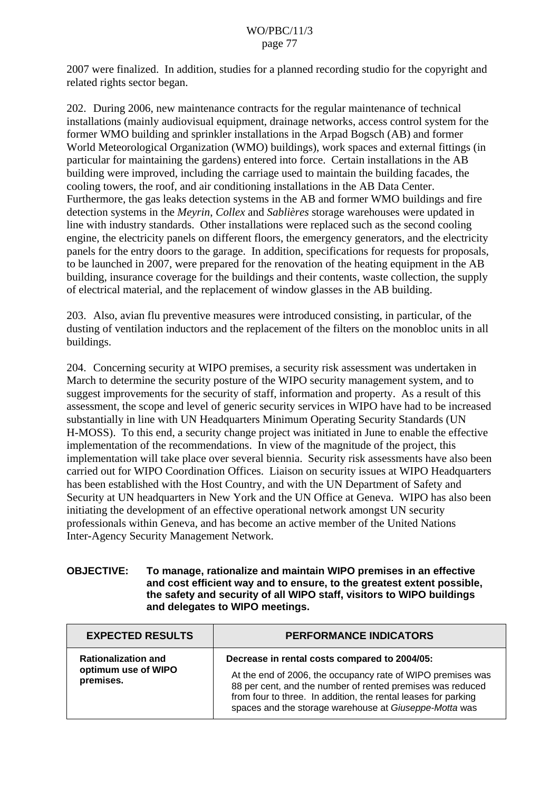2007 were finalized. In addition, studies for a planned recording studio for the copyright and related rights sector began.

202. During 2006, new maintenance contracts for the regular maintenance of technical installations (mainly audiovisual equipment, drainage networks, access control system for the former WMO building and sprinkler installations in the Arpad Bogsch (AB) and former World Meteorological Organization (WMO) buildings), work spaces and external fittings (in particular for maintaining the gardens) entered into force. Certain installations in the AB building were improved, including the carriage used to maintain the building facades, the cooling towers, the roof, and air conditioning installations in the AB Data Center. Furthermore, the gas leaks detection systems in the AB and former WMO buildings and fire detection systems in the *Meyrin*, *Collex* and *Sablières* storage warehouses were updated in line with industry standards. Other installations were replaced such as the second cooling engine, the electricity panels on different floors, the emergency generators, and the electricity panels for the entry doors to the garage. In addition, specifications for requests for proposals, to be launched in 2007, were prepared for the renovation of the heating equipment in the AB building, insurance coverage for the buildings and their contents, waste collection, the supply of electrical material, and the replacement of window glasses in the AB building.

203. Also, avian flu preventive measures were introduced consisting, in particular, of the dusting of ventilation inductors and the replacement of the filters on the monobloc units in all buildings.

204. Concerning security at WIPO premises, a security risk assessment was undertaken in March to determine the security posture of the WIPO security management system, and to suggest improvements for the security of staff, information and property. As a result of this assessment, the scope and level of generic security services in WIPO have had to be increased substantially in line with UN Headquarters Minimum Operating Security Standards (UN H-MOSS). To this end, a security change project was initiated in June to enable the effective implementation of the recommendations. In view of the magnitude of the project, this implementation will take place over several biennia. Security risk assessments have also been carried out for WIPO Coordination Offices. Liaison on security issues at WIPO Headquarters has been established with the Host Country, and with the UN Department of Safety and Security at UN headquarters in New York and the UN Office at Geneva. WIPO has also been initiating the development of an effective operational network amongst UN security professionals within Geneva, and has become an active member of the United Nations Inter-Agency Security Management Network.

#### **OBJECTIVE: To manage, rationalize and maintain WIPO premises in an effective and cost efficient way and to ensure, to the greatest extent possible, the safety and security of all WIPO staff, visitors to WIPO buildings and delegates to WIPO meetings.**

| <b>EXPECTED RESULTS</b>                                        | <b>PERFORMANCE INDICATORS</b>                                                                                                                                                                                                                                                                          |  |  |
|----------------------------------------------------------------|--------------------------------------------------------------------------------------------------------------------------------------------------------------------------------------------------------------------------------------------------------------------------------------------------------|--|--|
| <b>Rationalization and</b><br>optimum use of WIPO<br>premises. | Decrease in rental costs compared to 2004/05:<br>At the end of 2006, the occupancy rate of WIPO premises was<br>88 per cent, and the number of rented premises was reduced<br>from four to three. In addition, the rental leases for parking<br>spaces and the storage warehouse at Giuseppe-Motta was |  |  |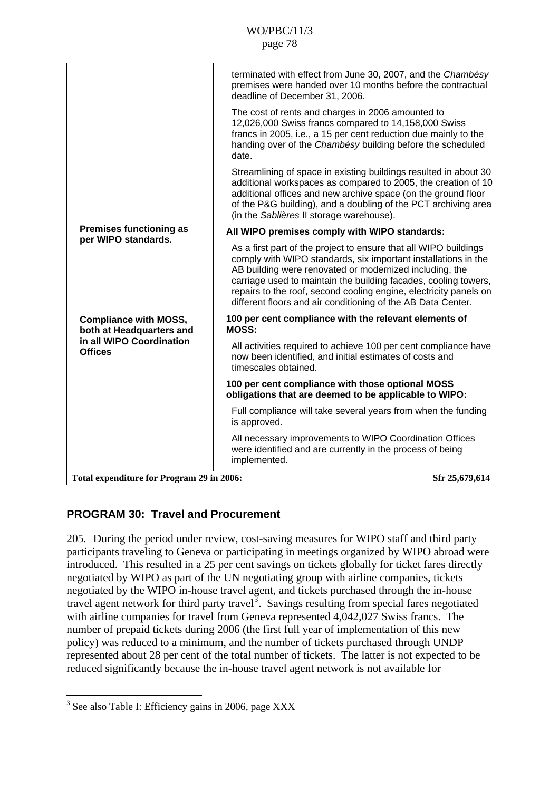<span id="page-77-0"></span>

|                                                          | terminated with effect from June 30, 2007, and the Chambésy<br>premises were handed over 10 months before the contractual<br>deadline of December 31, 2006.                                                                                                                                                                                                                                           |
|----------------------------------------------------------|-------------------------------------------------------------------------------------------------------------------------------------------------------------------------------------------------------------------------------------------------------------------------------------------------------------------------------------------------------------------------------------------------------|
|                                                          | The cost of rents and charges in 2006 amounted to<br>12,026,000 Swiss francs compared to 14,158,000 Swiss<br>francs in 2005, i.e., a 15 per cent reduction due mainly to the<br>handing over of the Chambésy building before the scheduled<br>date.                                                                                                                                                   |
|                                                          | Streamlining of space in existing buildings resulted in about 30<br>additional workspaces as compared to 2005, the creation of 10<br>additional offices and new archive space (on the ground floor<br>of the P&G building), and a doubling of the PCT archiving area<br>(in the Sablières II storage warehouse).                                                                                      |
| <b>Premises functioning as</b><br>per WIPO standards.    | All WIPO premises comply with WIPO standards:                                                                                                                                                                                                                                                                                                                                                         |
|                                                          | As a first part of the project to ensure that all WIPO buildings<br>comply with WIPO standards, six important installations in the<br>AB building were renovated or modernized including, the<br>carriage used to maintain the building facades, cooling towers,<br>repairs to the roof, second cooling engine, electricity panels on<br>different floors and air conditioning of the AB Data Center. |
| <b>Compliance with MOSS,</b><br>both at Headquarters and | 100 per cent compliance with the relevant elements of<br><b>MOSS:</b>                                                                                                                                                                                                                                                                                                                                 |
| in all WIPO Coordination<br><b>Offices</b>               | All activities required to achieve 100 per cent compliance have<br>now been identified, and initial estimates of costs and<br>timescales obtained.                                                                                                                                                                                                                                                    |
|                                                          | 100 per cent compliance with those optional MOSS<br>obligations that are deemed to be applicable to WIPO:                                                                                                                                                                                                                                                                                             |
|                                                          | Full compliance will take several years from when the funding<br>is approved.                                                                                                                                                                                                                                                                                                                         |
|                                                          | All necessary improvements to WIPO Coordination Offices<br>were identified and are currently in the process of being<br>implemented.                                                                                                                                                                                                                                                                  |
| Total expenditure for Program 29 in 2006:                | Sfr 25,679,614                                                                                                                                                                                                                                                                                                                                                                                        |
|                                                          |                                                                                                                                                                                                                                                                                                                                                                                                       |

# **PROGRAM 30: Travel and Procurement**

205. During the period under review, cost-saving measures for WIPO staff and third party participants traveling to Geneva or participating in meetings organized by WIPO abroad were introduced. This resulted in a 25 per cent savings on tickets globally for ticket fares directly negotiated by WIPO as part of the UN negotiating group with airline companies, tickets negotiated by the WIPO in-house travel agent, and tickets purchased through the in-house travel agent network for third party travel<sup>[3](#page-77-0)</sup>. Savings resulting from special fares negotiated with airline companies for travel from Geneva represented 4,042,027 Swiss francs. The number of prepaid tickets during 2006 (the first full year of implementation of this new policy) was reduced to a minimum, and the number of tickets purchased through UNDP represented about 28 per cent of the total number of tickets. The latter is not expected to be reduced significantly because the in-house travel agent network is not available for

 $\overline{a}$ 

<sup>&</sup>lt;sup>3</sup> See also Table I: Efficiency gains in 2006, page XXX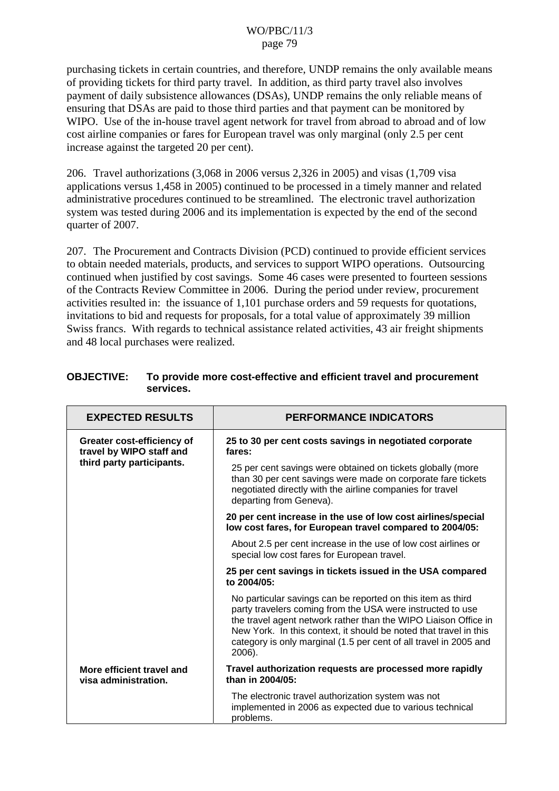purchasing tickets in certain countries, and therefore, UNDP remains the only available means of providing tickets for third party travel. In addition, as third party travel also involves payment of daily subsistence allowances (DSAs), UNDP remains the only reliable means of ensuring that DSAs are paid to those third parties and that payment can be monitored by WIPO. Use of the in-house travel agent network for travel from abroad to abroad and of low cost airline companies or fares for European travel was only marginal (only 2.5 per cent increase against the targeted 20 per cent).

206. Travel authorizations (3,068 in 2006 versus 2,326 in 2005) and visas (1,709 visa applications versus 1,458 in 2005) continued to be processed in a timely manner and related administrative procedures continued to be streamlined. The electronic travel authorization system was tested during 2006 and its implementation is expected by the end of the second quarter of 2007.

207. The Procurement and Contracts Division (PCD) continued to provide efficient services to obtain needed materials, products, and services to support WIPO operations. Outsourcing continued when justified by cost savings. Some 46 cases were presented to fourteen sessions of the Contracts Review Committee in 2006. During the period under review, procurement activities resulted in: the issuance of 1,101 purchase orders and 59 requests for quotations, invitations to bid and requests for proposals, for a total value of approximately 39 million Swiss francs. With regards to technical assistance related activities, 43 air freight shipments and 48 local purchases were realized.

| <b>EXPECTED RESULTS</b>                                                             | <b>PERFORMANCE INDICATORS</b>                                                                                                                                                                                                                                                                                                                    |
|-------------------------------------------------------------------------------------|--------------------------------------------------------------------------------------------------------------------------------------------------------------------------------------------------------------------------------------------------------------------------------------------------------------------------------------------------|
| Greater cost-efficiency of<br>travel by WIPO staff and<br>third party participants. | 25 to 30 per cent costs savings in negotiated corporate<br>fares:                                                                                                                                                                                                                                                                                |
|                                                                                     | 25 per cent savings were obtained on tickets globally (more<br>than 30 per cent savings were made on corporate fare tickets<br>negotiated directly with the airline companies for travel<br>departing from Geneva).                                                                                                                              |
|                                                                                     | 20 per cent increase in the use of low cost airlines/special<br>low cost fares, for European travel compared to 2004/05:                                                                                                                                                                                                                         |
|                                                                                     | About 2.5 per cent increase in the use of low cost airlines or<br>special low cost fares for European travel.                                                                                                                                                                                                                                    |
|                                                                                     | 25 per cent savings in tickets issued in the USA compared<br>to 2004/05:                                                                                                                                                                                                                                                                         |
|                                                                                     | No particular savings can be reported on this item as third<br>party travelers coming from the USA were instructed to use<br>the travel agent network rather than the WIPO Liaison Office in<br>New York. In this context, it should be noted that travel in this<br>category is only marginal (1.5 per cent of all travel in 2005 and<br>2006). |
| More efficient travel and<br>visa administration.                                   | Travel authorization requests are processed more rapidly<br>than in 2004/05:                                                                                                                                                                                                                                                                     |
|                                                                                     | The electronic travel authorization system was not<br>implemented in 2006 as expected due to various technical<br>problems.                                                                                                                                                                                                                      |

### **OBJECTIVE: To provide more cost-effective and efficient travel and procurement services.**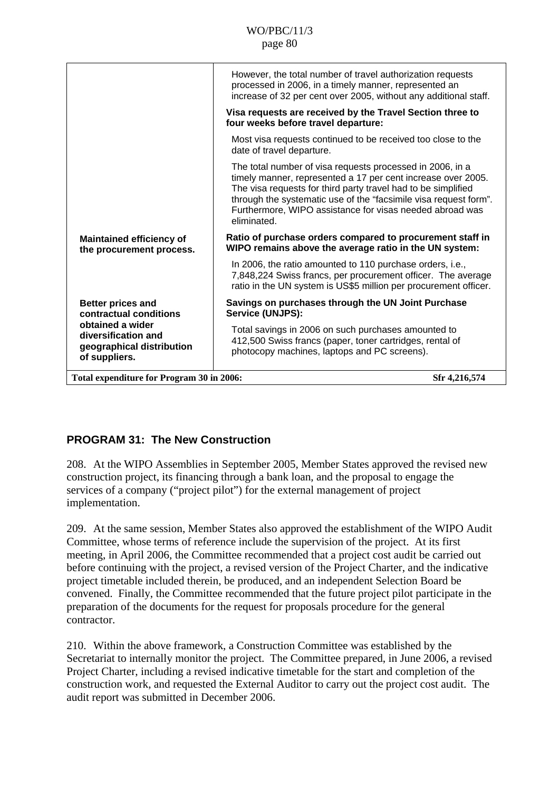|                                                                                                                                             | However, the total number of travel authorization requests<br>processed in 2006, in a timely manner, represented an<br>increase of 32 per cent over 2005, without any additional staff.                                                                                                                                                   |  |
|---------------------------------------------------------------------------------------------------------------------------------------------|-------------------------------------------------------------------------------------------------------------------------------------------------------------------------------------------------------------------------------------------------------------------------------------------------------------------------------------------|--|
|                                                                                                                                             | Visa requests are received by the Travel Section three to<br>four weeks before travel departure:                                                                                                                                                                                                                                          |  |
|                                                                                                                                             | Most visa requests continued to be received too close to the<br>date of travel departure.                                                                                                                                                                                                                                                 |  |
|                                                                                                                                             | The total number of visa requests processed in 2006, in a<br>timely manner, represented a 17 per cent increase over 2005.<br>The visa requests for third party travel had to be simplified<br>through the systematic use of the "facsimile visa request form".<br>Furthermore, WIPO assistance for visas needed abroad was<br>eliminated. |  |
| <b>Maintained efficiency of</b><br>the procurement process.                                                                                 | Ratio of purchase orders compared to procurement staff in<br>WIPO remains above the average ratio in the UN system:                                                                                                                                                                                                                       |  |
|                                                                                                                                             | In 2006, the ratio amounted to 110 purchase orders, i.e.,<br>7,848,224 Swiss francs, per procurement officer. The average<br>ratio in the UN system is US\$5 million per procurement officer.                                                                                                                                             |  |
| <b>Better prices and</b><br>contractual conditions<br>obtained a wider<br>diversification and<br>geographical distribution<br>of suppliers. | Savings on purchases through the UN Joint Purchase<br>Service (UNJPS):                                                                                                                                                                                                                                                                    |  |
|                                                                                                                                             | Total savings in 2006 on such purchases amounted to<br>412,500 Swiss francs (paper, toner cartridges, rental of<br>photocopy machines, laptops and PC screens).                                                                                                                                                                           |  |
| Total expenditure for Program 30 in 2006:                                                                                                   | Sfr 4,216,574                                                                                                                                                                                                                                                                                                                             |  |

# **PROGRAM 31: The New Construction**

208. At the WIPO Assemblies in September 2005, Member States approved the revised new construction project, its financing through a bank loan, and the proposal to engage the services of a company ("project pilot") for the external management of project implementation.

209. At the same session, Member States also approved the establishment of the WIPO Audit Committee, whose terms of reference include the supervision of the project. At its first meeting, in April 2006, the Committee recommended that a project cost audit be carried out before continuing with the project, a revised version of the Project Charter, and the indicative project timetable included therein, be produced, and an independent Selection Board be convened. Finally, the Committee recommended that the future project pilot participate in the preparation of the documents for the request for proposals procedure for the general contractor.

210. Within the above framework, a Construction Committee was established by the Secretariat to internally monitor the project. The Committee prepared, in June 2006, a revised Project Charter, including a revised indicative timetable for the start and completion of the construction work, and requested the External Auditor to carry out the project cost audit. The audit report was submitted in December 2006.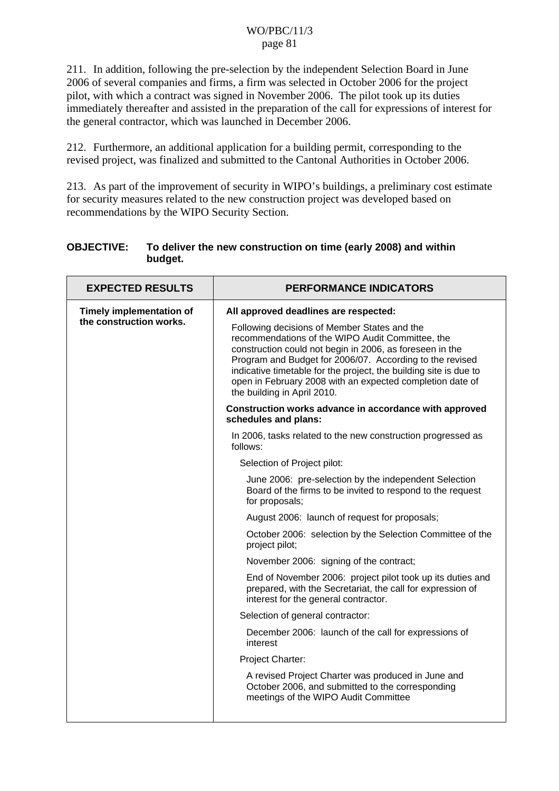211. In addition, following the pre-selection by the independent Selection Board in June 2006 of several companies and firms, a firm was selected in October 2006 for the project pilot, with which a contract was signed in November 2006. The pilot took up its duties immediately thereafter and assisted in the preparation of the call for expressions of interest for the general contractor, which was launched in December 2006.

212. Furthermore, an additional application for a building permit, corresponding to the revised project, was finalized and submitted to the Cantonal Authorities in October 2006.

213. As part of the improvement of security in WIPO's buildings, a preliminary cost estimate for security measures related to the new construction project was developed based on recommendations by the WIPO Security Section.

### **OBJECTIVE: To deliver the new construction on time (early 2008) and within budget.**

| <b>EXPECTED RESULTS</b>                                    | <b>PERFORMANCE INDICATORS</b>                                                                                                                                                                                                                                                                                                                                                             |
|------------------------------------------------------------|-------------------------------------------------------------------------------------------------------------------------------------------------------------------------------------------------------------------------------------------------------------------------------------------------------------------------------------------------------------------------------------------|
| <b>Timely implementation of</b><br>the construction works. | All approved deadlines are respected:                                                                                                                                                                                                                                                                                                                                                     |
|                                                            | Following decisions of Member States and the<br>recommendations of the WIPO Audit Committee, the<br>construction could not begin in 2006, as foreseen in the<br>Program and Budget for 2006/07. According to the revised<br>indicative timetable for the project, the building site is due to<br>open in February 2008 with an expected completion date of<br>the building in April 2010. |
|                                                            | Construction works advance in accordance with approved<br>schedules and plans:                                                                                                                                                                                                                                                                                                            |
|                                                            | In 2006, tasks related to the new construction progressed as<br>follows:                                                                                                                                                                                                                                                                                                                  |
|                                                            | Selection of Project pilot:                                                                                                                                                                                                                                                                                                                                                               |
|                                                            | June 2006: pre-selection by the independent Selection<br>Board of the firms to be invited to respond to the request<br>for proposals;                                                                                                                                                                                                                                                     |
|                                                            | August 2006: launch of request for proposals;                                                                                                                                                                                                                                                                                                                                             |
|                                                            | October 2006: selection by the Selection Committee of the<br>project pilot;                                                                                                                                                                                                                                                                                                               |
|                                                            | November 2006: signing of the contract;                                                                                                                                                                                                                                                                                                                                                   |
|                                                            | End of November 2006: project pilot took up its duties and<br>prepared, with the Secretariat, the call for expression of<br>interest for the general contractor.                                                                                                                                                                                                                          |
|                                                            | Selection of general contractor:                                                                                                                                                                                                                                                                                                                                                          |
|                                                            | December 2006: launch of the call for expressions of<br>interest                                                                                                                                                                                                                                                                                                                          |
|                                                            | Project Charter:                                                                                                                                                                                                                                                                                                                                                                          |
|                                                            | A revised Project Charter was produced in June and<br>October 2006, and submitted to the corresponding<br>meetings of the WIPO Audit Committee                                                                                                                                                                                                                                            |
|                                                            |                                                                                                                                                                                                                                                                                                                                                                                           |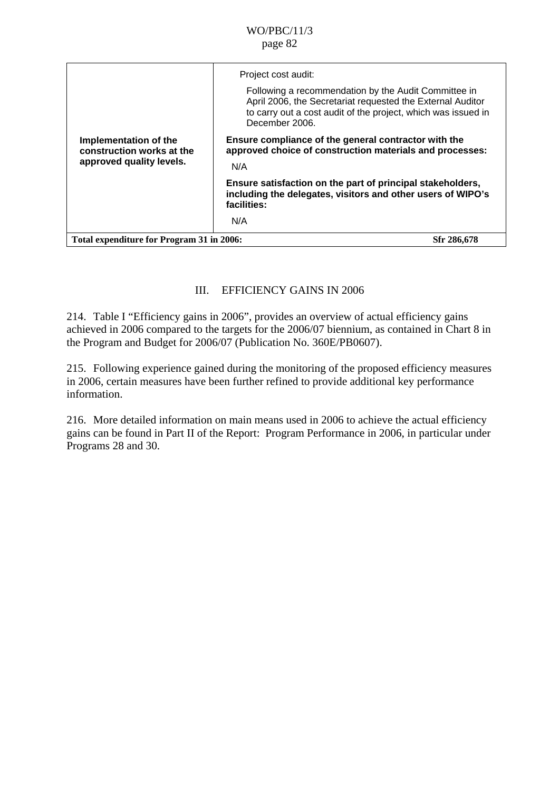|                                                                                | Project cost audit:<br>Following a recommendation by the Audit Committee in<br>April 2006, the Secretariat requested the External Auditor<br>to carry out a cost audit of the project, which was issued in<br>December 2006. |
|--------------------------------------------------------------------------------|------------------------------------------------------------------------------------------------------------------------------------------------------------------------------------------------------------------------------|
| Implementation of the<br>construction works at the<br>approved quality levels. | Ensure compliance of the general contractor with the<br>approved choice of construction materials and processes:<br>N/A                                                                                                      |
|                                                                                | Ensure satisfaction on the part of principal stakeholders,<br>including the delegates, visitors and other users of WIPO's<br>facilities:<br>N/A                                                                              |
| Total expenditure for Program 31 in 2006:                                      | Sfr 286,678                                                                                                                                                                                                                  |

## III. EFFICIENCY GAINS IN 2006

214. Table I "Efficiency gains in 2006", provides an overview of actual efficiency gains achieved in 2006 compared to the targets for the 2006/07 biennium, as contained in Chart 8 in the Program and Budget for 2006/07 (Publication No. 360E/PB0607).

215. Following experience gained during the monitoring of the proposed efficiency measures in 2006, certain measures have been further refined to provide additional key performance information.

216. More detailed information on main means used in 2006 to achieve the actual efficiency gains can be found in Part II of the Report: Program Performance in 2006, in particular under Programs 28 and 30.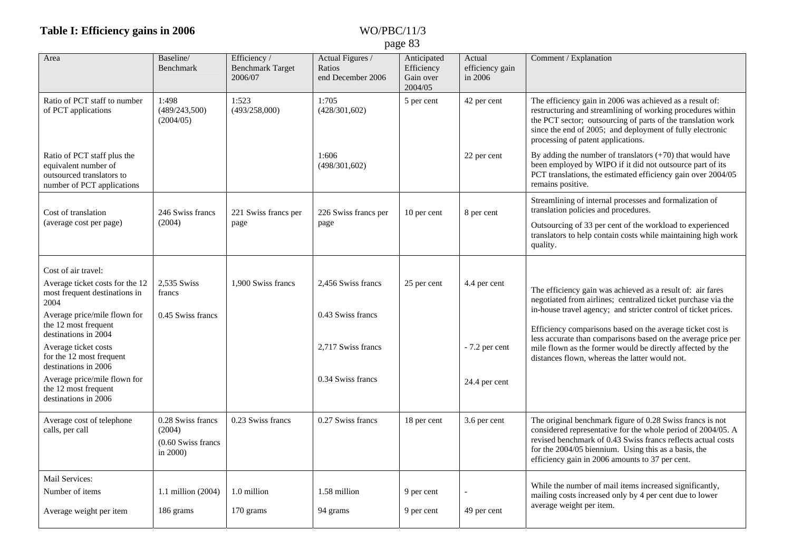## **Table I: Efficiency gain**

## **s in 2006** WO/PBC/11/3 page 83

| Area                                                                                                           | Baseline/<br>Benchmark                                          | Efficiency /<br><b>Benchmark Target</b><br>2006/07 | Actual Figures /<br>Ratios<br>end December 2006 | Anticipated<br>Efficiency<br>Gain over<br>2004/05 | Actual<br>efficiency gain<br>in 2006 | Comment / Explanation                                                                                                                                                                                                                                                                                |
|----------------------------------------------------------------------------------------------------------------|-----------------------------------------------------------------|----------------------------------------------------|-------------------------------------------------|---------------------------------------------------|--------------------------------------|------------------------------------------------------------------------------------------------------------------------------------------------------------------------------------------------------------------------------------------------------------------------------------------------------|
| Ratio of PCT staff to number<br>of PCT applications                                                            | 1:498<br>(489/243,500)<br>(2004/05)                             | 1:523<br>(493/258,000)                             | 1:705<br>(428/301,602)                          | 5 per cent                                        | 42 per cent                          | The efficiency gain in 2006 was achieved as a result of:<br>restructuring and streamlining of working procedures within<br>the PCT sector; outsourcing of parts of the translation work<br>since the end of 2005; and deployment of fully electronic<br>processing of patent applications.           |
| Ratio of PCT staff plus the<br>equivalent number of<br>outsourced translators to<br>number of PCT applications |                                                                 |                                                    | 1:606<br>(498/301,602)                          |                                                   | 22 per cent                          | By adding the number of translators $(+70)$ that would have<br>been employed by WIPO if it did not outsource part of its<br>PCT translations, the estimated efficiency gain over 2004/05<br>remains positive.                                                                                        |
| Cost of translation                                                                                            | 246 Swiss francs                                                | 221 Swiss francs per                               | 226 Swiss francs per                            | 10 per cent                                       | 8 per cent                           | Streamlining of internal processes and formalization of<br>translation policies and procedures.                                                                                                                                                                                                      |
| (average cost per page)                                                                                        | (2004)                                                          | page                                               | page                                            |                                                   |                                      | Outsourcing of 33 per cent of the workload to experienced<br>translators to help contain costs while maintaining high work<br>quality.                                                                                                                                                               |
| Cost of air travel:                                                                                            |                                                                 |                                                    |                                                 |                                                   |                                      |                                                                                                                                                                                                                                                                                                      |
| Average ticket costs for the 12<br>most frequent destinations in<br>2004                                       | 2,535 Swiss<br>francs                                           | 1.900 Swiss francs                                 | 2,456 Swiss francs                              | 25 per cent                                       | 4.4 per cent                         | The efficiency gain was achieved as a result of: air fares<br>negotiated from airlines; centralized ticket purchase via the                                                                                                                                                                          |
| Average price/mile flown for<br>the 12 most frequent<br>destinations in 2004                                   | 0.45 Swiss francs                                               |                                                    | 0.43 Swiss francs                               |                                                   |                                      | in-house travel agency; and stricter control of ticket prices.<br>Efficiency comparisons based on the average ticket cost is<br>less accurate than comparisons based on the average price per                                                                                                        |
| Average ticket costs<br>for the 12 most frequent<br>destinations in 2006                                       |                                                                 |                                                    | 2,717 Swiss francs                              |                                                   | - 7.2 per cent                       | mile flown as the former would be directly affected by the<br>distances flown, whereas the latter would not.                                                                                                                                                                                         |
| Average price/mile flown for<br>the 12 most frequent<br>destinations in 2006                                   |                                                                 |                                                    | 0.34 Swiss francs                               |                                                   | 24.4 per cent                        |                                                                                                                                                                                                                                                                                                      |
| Average cost of telephone<br>calls, per call                                                                   | 0.28 Swiss francs<br>(2004)<br>$(0.60$ Swiss francs<br>in 2000) | 0.23 Swiss francs                                  | 0.27 Swiss francs                               | 18 per cent                                       | 3.6 per cent                         | The original benchmark figure of 0.28 Swiss francs is not<br>considered representative for the whole period of 2004/05. A<br>revised benchmark of 0.43 Swiss francs reflects actual costs<br>for the 2004/05 biennium. Using this as a basis, the<br>efficiency gain in 2006 amounts to 37 per cent. |
| Mail Services:<br>Number of items                                                                              | 1.1 million $(2004)$                                            | 1.0 million                                        | 1.58 million                                    | 9 per cent                                        |                                      | While the number of mail items increased significantly,                                                                                                                                                                                                                                              |
| Average weight per item                                                                                        | 186 grams                                                       | 170 grams                                          | 94 grams                                        | 9 per cent                                        | 49 per cent                          | mailing costs increased only by 4 per cent due to lower<br>average weight per item.                                                                                                                                                                                                                  |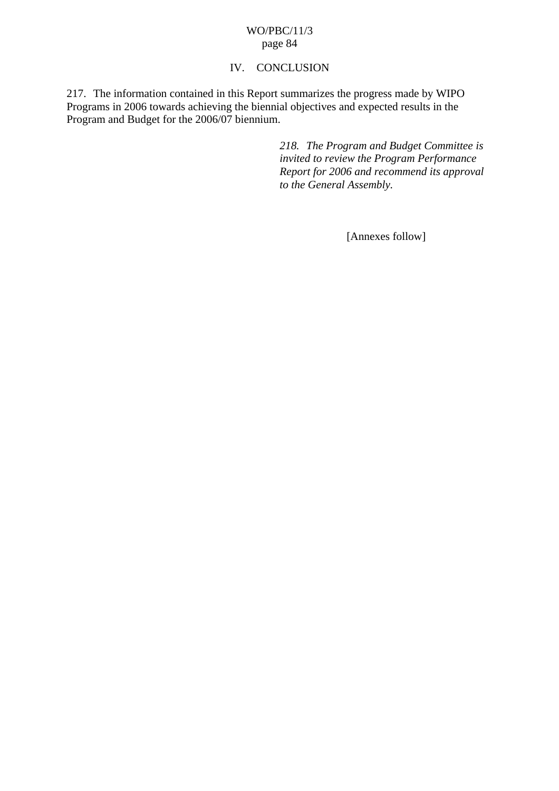## IV. CONCLUSION

217. The information contained in this Report summarizes the progress made by WIPO Programs in 2006 towards achieving the biennial objectives and expected results in the Program and Budget for the 2006/07 biennium.

> *218. The Program and Budget Committee is invited to review the Program Performance Report for 2006 and recommend its approval to the General Assembly.*

> > [Annexes follow]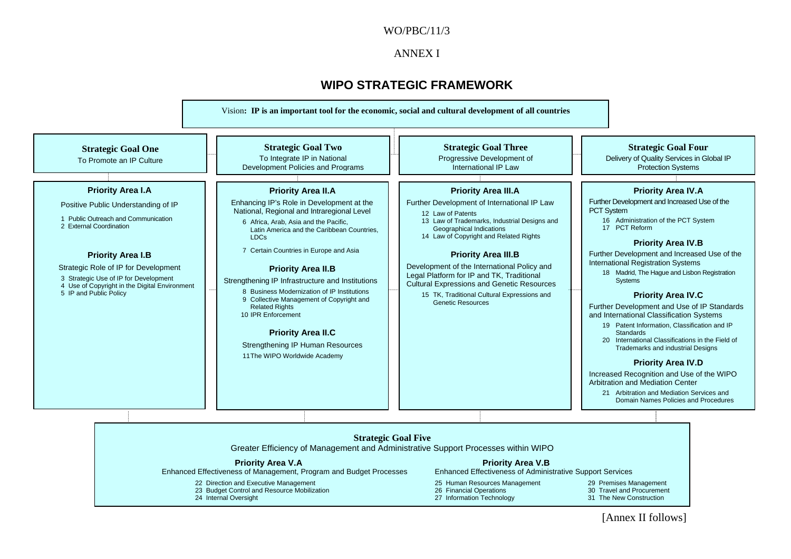#### WO/PBC/11/3

#### ANNEX I

## **WIPO STRATEGIC FRAMEWORK**



[Annex II follows]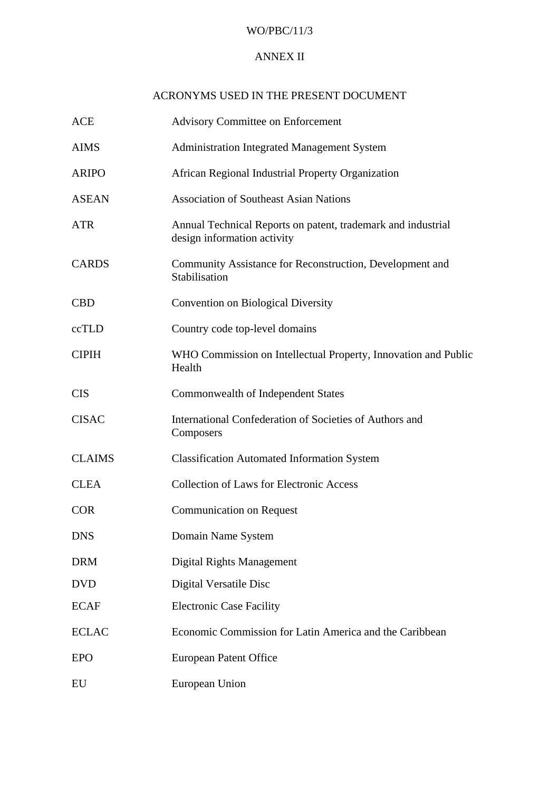### WO/PBC/11/3

## ANNEX II

## ACRONYMS USED IN THE PRESENT DOCUMENT

| <b>ACE</b>    | <b>Advisory Committee on Enforcement</b>                                                    |
|---------------|---------------------------------------------------------------------------------------------|
| <b>AIMS</b>   | <b>Administration Integrated Management System</b>                                          |
| <b>ARIPO</b>  | African Regional Industrial Property Organization                                           |
| <b>ASEAN</b>  | <b>Association of Southeast Asian Nations</b>                                               |
| <b>ATR</b>    | Annual Technical Reports on patent, trademark and industrial<br>design information activity |
| <b>CARDS</b>  | Community Assistance for Reconstruction, Development and<br>Stabilisation                   |
| <b>CBD</b>    | <b>Convention on Biological Diversity</b>                                                   |
| ccTLD         | Country code top-level domains                                                              |
| <b>CIPIH</b>  | WHO Commission on Intellectual Property, Innovation and Public<br>Health                    |
| <b>CIS</b>    | Commonwealth of Independent States                                                          |
| <b>CISAC</b>  | International Confederation of Societies of Authors and<br>Composers                        |
| <b>CLAIMS</b> | <b>Classification Automated Information System</b>                                          |
| <b>CLEA</b>   | <b>Collection of Laws for Electronic Access</b>                                             |
| <b>COR</b>    | <b>Communication on Request</b>                                                             |
| <b>DNS</b>    | Domain Name System                                                                          |
| <b>DRM</b>    | Digital Rights Management                                                                   |
| <b>DVD</b>    | Digital Versatile Disc                                                                      |
| <b>ECAF</b>   | <b>Electronic Case Facility</b>                                                             |
| <b>ECLAC</b>  | Economic Commission for Latin America and the Caribbean                                     |
| <b>EPO</b>    | European Patent Office                                                                      |
| EU            | European Union                                                                              |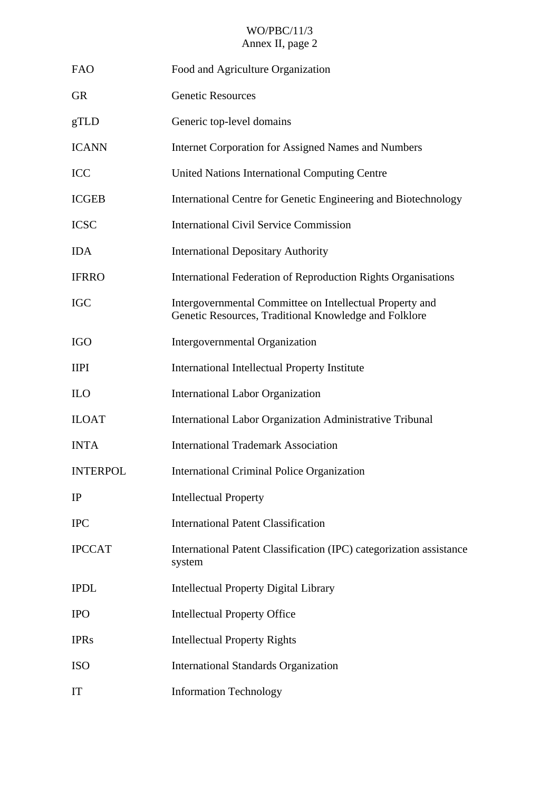| <b>FAO</b>      | Food and Agriculture Organization                                                                                 |
|-----------------|-------------------------------------------------------------------------------------------------------------------|
| <b>GR</b>       | <b>Genetic Resources</b>                                                                                          |
| gTLD            | Generic top-level domains                                                                                         |
| <b>ICANN</b>    | <b>Internet Corporation for Assigned Names and Numbers</b>                                                        |
| <b>ICC</b>      | United Nations International Computing Centre                                                                     |
| <b>ICGEB</b>    | International Centre for Genetic Engineering and Biotechnology                                                    |
| <b>ICSC</b>     | <b>International Civil Service Commission</b>                                                                     |
| <b>IDA</b>      | <b>International Depositary Authority</b>                                                                         |
| <b>IFRRO</b>    | International Federation of Reproduction Rights Organisations                                                     |
| <b>IGC</b>      | Intergovernmental Committee on Intellectual Property and<br>Genetic Resources, Traditional Knowledge and Folklore |
| <b>IGO</b>      | Intergovernmental Organization                                                                                    |
| <b>IIPI</b>     | International Intellectual Property Institute                                                                     |
| <b>ILO</b>      | <b>International Labor Organization</b>                                                                           |
| <b>ILOAT</b>    | International Labor Organization Administrative Tribunal                                                          |
| <b>INTA</b>     | <b>International Trademark Association</b>                                                                        |
| <b>INTERPOL</b> | International Criminal Police Organization                                                                        |
| IP              | <b>Intellectual Property</b>                                                                                      |
| <b>IPC</b>      | <b>International Patent Classification</b>                                                                        |
| <b>IPCCAT</b>   | International Patent Classification (IPC) categorization assistance<br>system                                     |
| <b>IPDL</b>     | <b>Intellectual Property Digital Library</b>                                                                      |
| <b>IPO</b>      | <b>Intellectual Property Office</b>                                                                               |
| <b>IPRs</b>     | <b>Intellectual Property Rights</b>                                                                               |
| <b>ISO</b>      | <b>International Standards Organization</b>                                                                       |
| IT              | <b>Information Technology</b>                                                                                     |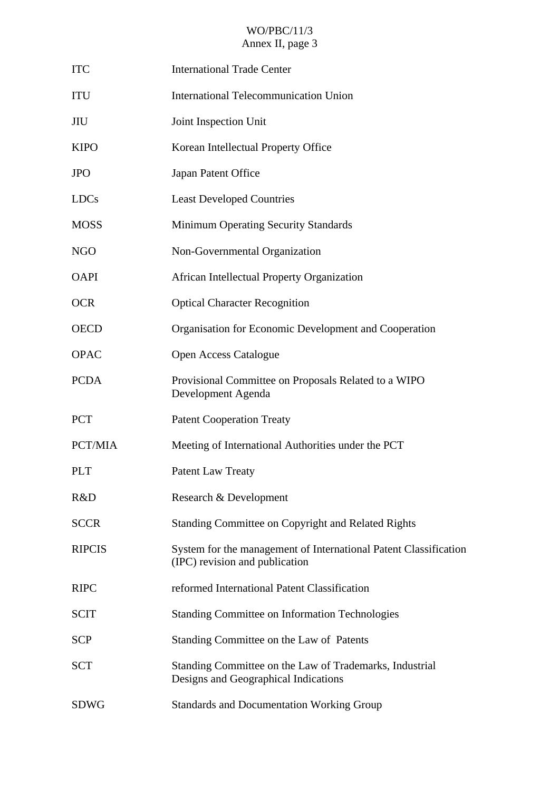| <b>ITC</b>    | <b>International Trade Center</b>                                                                  |
|---------------|----------------------------------------------------------------------------------------------------|
| <b>ITU</b>    | <b>International Telecommunication Union</b>                                                       |
| JIU           | Joint Inspection Unit                                                                              |
| <b>KIPO</b>   | Korean Intellectual Property Office                                                                |
| <b>JPO</b>    | Japan Patent Office                                                                                |
| <b>LDCs</b>   | <b>Least Developed Countries</b>                                                                   |
| <b>MOSS</b>   | Minimum Operating Security Standards                                                               |
| <b>NGO</b>    | Non-Governmental Organization                                                                      |
| <b>OAPI</b>   | African Intellectual Property Organization                                                         |
| <b>OCR</b>    | <b>Optical Character Recognition</b>                                                               |
| <b>OECD</b>   | Organisation for Economic Development and Cooperation                                              |
| <b>OPAC</b>   | <b>Open Access Catalogue</b>                                                                       |
| <b>PCDA</b>   | Provisional Committee on Proposals Related to a WIPO<br>Development Agenda                         |
| <b>PCT</b>    | <b>Patent Cooperation Treaty</b>                                                                   |
| PCT/MIA       | Meeting of International Authorities under the PCT                                                 |
| <b>PLT</b>    | <b>Patent Law Treaty</b>                                                                           |
| R&D           | Research & Development                                                                             |
| <b>SCCR</b>   | Standing Committee on Copyright and Related Rights                                                 |
| <b>RIPCIS</b> | System for the management of International Patent Classification<br>(IPC) revision and publication |
| <b>RIPC</b>   | reformed International Patent Classification                                                       |
| <b>SCIT</b>   | <b>Standing Committee on Information Technologies</b>                                              |
| <b>SCP</b>    | Standing Committee on the Law of Patents                                                           |
| <b>SCT</b>    | Standing Committee on the Law of Trademarks, Industrial<br>Designs and Geographical Indications    |
| <b>SDWG</b>   | <b>Standards and Documentation Working Group</b>                                                   |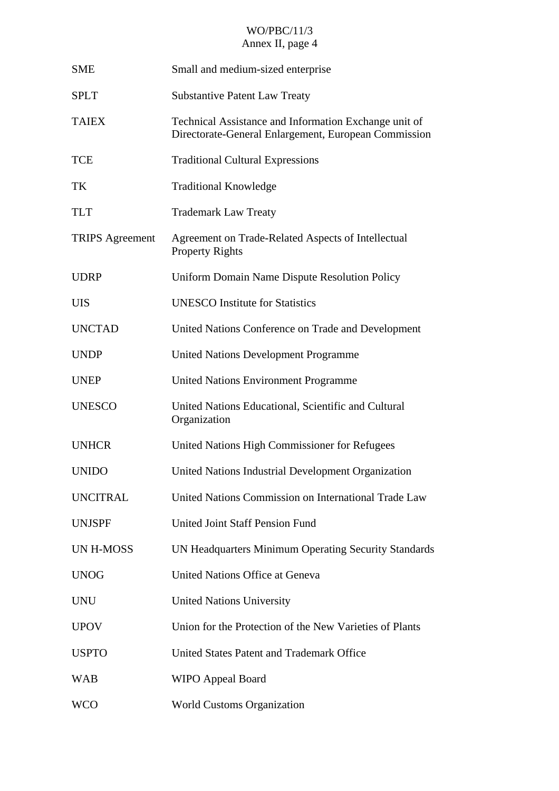| <b>SME</b>             | Small and medium-sized enterprise                                                                             |
|------------------------|---------------------------------------------------------------------------------------------------------------|
| <b>SPLT</b>            | <b>Substantive Patent Law Treaty</b>                                                                          |
| <b>TAIEX</b>           | Technical Assistance and Information Exchange unit of<br>Directorate-General Enlargement, European Commission |
| <b>TCE</b>             | <b>Traditional Cultural Expressions</b>                                                                       |
| TK                     | <b>Traditional Knowledge</b>                                                                                  |
| <b>TLT</b>             | <b>Trademark Law Treaty</b>                                                                                   |
| <b>TRIPS</b> Agreement | Agreement on Trade-Related Aspects of Intellectual<br><b>Property Rights</b>                                  |
| <b>UDRP</b>            | Uniform Domain Name Dispute Resolution Policy                                                                 |
| <b>UIS</b>             | <b>UNESCO Institute for Statistics</b>                                                                        |
| <b>UNCTAD</b>          | United Nations Conference on Trade and Development                                                            |
| <b>UNDP</b>            | <b>United Nations Development Programme</b>                                                                   |
| <b>UNEP</b>            | <b>United Nations Environment Programme</b>                                                                   |
| <b>UNESCO</b>          | United Nations Educational, Scientific and Cultural<br>Organization                                           |
| <b>UNHCR</b>           | United Nations High Commissioner for Refugees                                                                 |
| <b>UNIDO</b>           | United Nations Industrial Development Organization                                                            |
| <b>UNCITRAL</b>        | United Nations Commission on International Trade Law                                                          |
| <b>UNJSPF</b>          | <b>United Joint Staff Pension Fund</b>                                                                        |
| UN H-MOSS              | UN Headquarters Minimum Operating Security Standards                                                          |
| <b>UNOG</b>            | <b>United Nations Office at Geneva</b>                                                                        |
| <b>UNU</b>             | <b>United Nations University</b>                                                                              |
| <b>UPOV</b>            | Union for the Protection of the New Varieties of Plants                                                       |
| <b>USPTO</b>           | United States Patent and Trademark Office                                                                     |
| <b>WAB</b>             | <b>WIPO Appeal Board</b>                                                                                      |
| <b>WCO</b>             | <b>World Customs Organization</b>                                                                             |